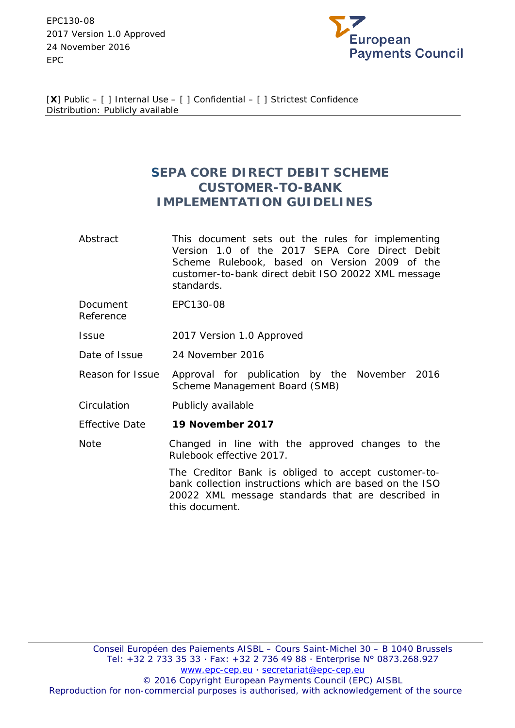EPC130-08 2017 Version 1.0 Approved 24 November 2016 EPC



[**X**] Public – [ ] Internal Use – [ ] Confidential – [ ] Strictest Confidence Distribution: Publicly available

# **SEPA CORE DIRECT DEBIT SCHEME CUSTOMER-TO-BANK IMPLEMENTATION GUIDELINES**

- Abstract This document sets out the rules for implementing Version 1.0 of the 2017 SEPA Core Direct Debit Scheme Rulebook, based on Version 2009 of the customer-to-bank direct debit ISO 20022 XML message standards.
- Document Reference EPC130-08
- Issue 2017 Version 1.0 Approved
- Date of Issue 24 November 2016
- Reason for Issue Approval for publication by the November 2016 Scheme Management Board (SMB)
- Circulation Publicly available
- Effective Date **19 November 2017**

Note Changed in line with the approved changes to the Rulebook effective 2017.

> The Creditor Bank is obliged to accept customer-tobank collection instructions which are based on the ISO 20022 XML message standards that are described in this document.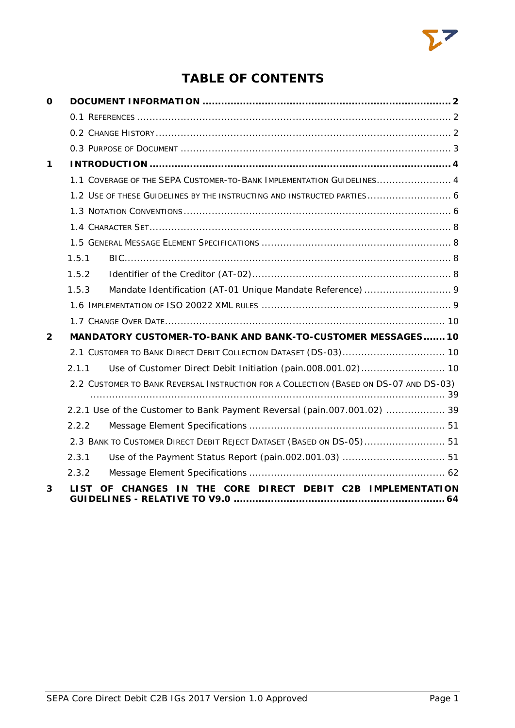

# **TABLE OF CONTENTS**

| 0            |             |                                                                                       |
|--------------|-------------|---------------------------------------------------------------------------------------|
|              |             |                                                                                       |
|              |             |                                                                                       |
|              |             |                                                                                       |
| 1            |             |                                                                                       |
|              |             | 1.1 COVERAGE OF THE SEPA CUSTOMER-TO-BANK IMPLEMENTATION GUIDELINES 4                 |
|              |             | 1.2 USE OF THESE GUIDELINES BY THE INSTRUCTING AND INSTRUCTED PARTIES 6               |
|              |             |                                                                                       |
|              |             |                                                                                       |
|              |             |                                                                                       |
|              | 1.5.1       |                                                                                       |
|              | 1.5.2       |                                                                                       |
|              | 1.5.3       |                                                                                       |
|              |             |                                                                                       |
|              |             |                                                                                       |
| $\mathbf{2}$ |             | MANDATORY CUSTOMER-TO-BANK AND BANK-TO-CUSTOMER MESSAGES 10                           |
|              |             | 2.1 CUSTOMER TO BANK DIRECT DEBIT COLLECTION DATASET (DS-03) 10                       |
|              | 2.1.1       | Use of Customer Direct Debit Initiation (pain.008.001.02) 10                          |
|              |             | 2.2 CUSTOMER TO BANK REVERSAL INSTRUCTION FOR A COLLECTION (BASED ON DS-07 AND DS-03) |
|              |             | 2.2.1 Use of the Customer to Bank Payment Reversal (pain.007.001.02)  39              |
|              | 2.2.2       |                                                                                       |
|              |             | 2.3 BANK TO CUSTOMER DIRECT DEBIT REJECT DATASET (BASED ON DS-05) 51                  |
|              | 2.3.1       |                                                                                       |
|              | 2.3.2       |                                                                                       |
| 3            | <b>LIST</b> | THE CORE DIRECT DEBIT C2B IMPLEMENTATION<br><b>CHANGES IN</b><br><b>OF</b>            |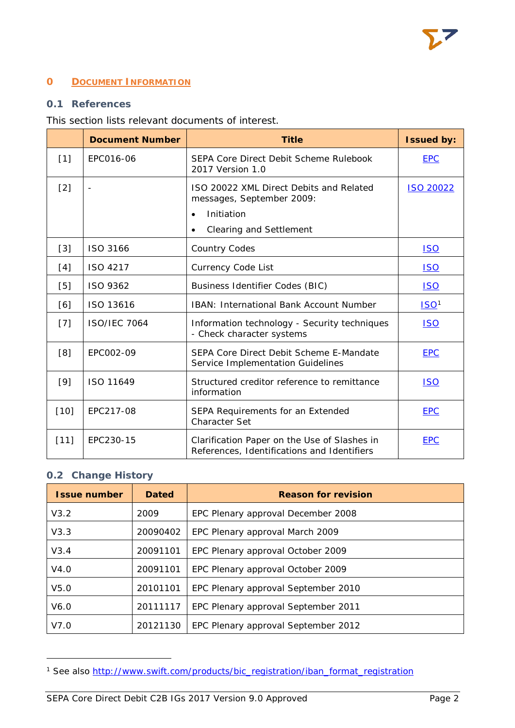# <span id="page-2-0"></span>**0 DOCUMENT INFORMATION**

# <span id="page-2-1"></span>**0.1 References**

# This section lists relevant documents of interest.

|        | <b>Document Number</b> | <b>Title</b>                                                                                | <b>Issued by:</b> |
|--------|------------------------|---------------------------------------------------------------------------------------------|-------------------|
| $[1]$  | EPC016-06              | SEPA Core Direct Debit Scheme Rulebook<br>2017 Version 1.0                                  | <b>EPC</b>        |
| $[2]$  | $\blacksquare$         | ISO 20022 XML Direct Debits and Related<br>messages, September 2009:                        | <b>ISO 20022</b>  |
|        |                        | Initiation<br>$\bullet$                                                                     |                   |
|        |                        | <b>Clearing and Settlement</b><br>$\bullet$                                                 |                   |
| $[3]$  | ISO 3166               | <b>Country Codes</b>                                                                        | <u>ISO</u>        |
| [4]    | ISO 4217               | Currency Code List<br><u>ISO</u>                                                            |                   |
| [5]    | ISO 9362               | <b>Business Identifier Codes (BIC)</b>                                                      | <b>ISO</b>        |
| [6]    | ISO 13616              | <b>IBAN: International Bank Account Number</b>                                              | ISO <sup>1</sup>  |
| $[7]$  | <b>ISO/IEC 7064</b>    | Information technology - Security techniques<br>- Check character systems                   | <u>ISO</u>        |
| [8]    | EPC002-09              | SEPA Core Direct Debit Scheme E-Mandate<br>Service Implementation Guidelines                | <b>EPC</b>        |
| $[9]$  | ISO 11649              | Structured creditor reference to remittance<br>information                                  | <b>ISO</b>        |
| $[10]$ | EPC217-08              | SEPA Requirements for an Extended<br><b>Character Set</b>                                   | <b>EPC</b>        |
| $[11]$ | EPC230-15              | Clarification Paper on the Use of Slashes in<br>References, Identifications and Identifiers | <b>EPC</b>        |

# <span id="page-2-2"></span>**0.2 Change History**

1

| <b>Issue number</b> | <b>Dated</b> | <b>Reason for revision</b>          |  |  |
|---------------------|--------------|-------------------------------------|--|--|
| V3.2                | 2009         | EPC Plenary approval December 2008  |  |  |
| V3.3                | 20090402     | EPC Plenary approval March 2009     |  |  |
| V3.4                | 20091101     | EPC Plenary approval October 2009   |  |  |
| V4.0                | 20091101     | EPC Plenary approval October 2009   |  |  |
| V <sub>5.0</sub>    | 20101101     | EPC Plenary approval September 2010 |  |  |
| V6.0                | 20111117     | EPC Plenary approval September 2011 |  |  |
| V7.0                | 20121130     | EPC Plenary approval September 2012 |  |  |

<span id="page-2-3"></span><sup>&</sup>lt;sup>1</sup> See also [http://www.swift.com/products/bic\\_registration/iban\\_format\\_registration](http://www.swift.com/products/bic_registration/iban_format_registration)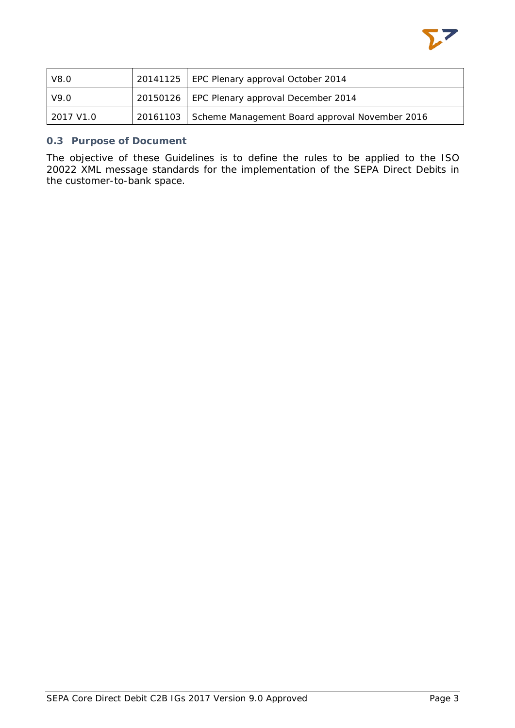

| V8.0      | 20141125   EPC Plenary approval October 2014            |  |  |
|-----------|---------------------------------------------------------|--|--|
| V9.0      | 20150126   EPC Plenary approval December 2014           |  |  |
| 2017 V1.0 | 20161103 Scheme Management Board approval November 2016 |  |  |

# <span id="page-3-0"></span>**0.3 Purpose of Document**

The objective of these Guidelines is to define the rules to be applied to the ISO 20022 XML message standards for the implementation of the SEPA Direct Debits in the customer-to-bank space.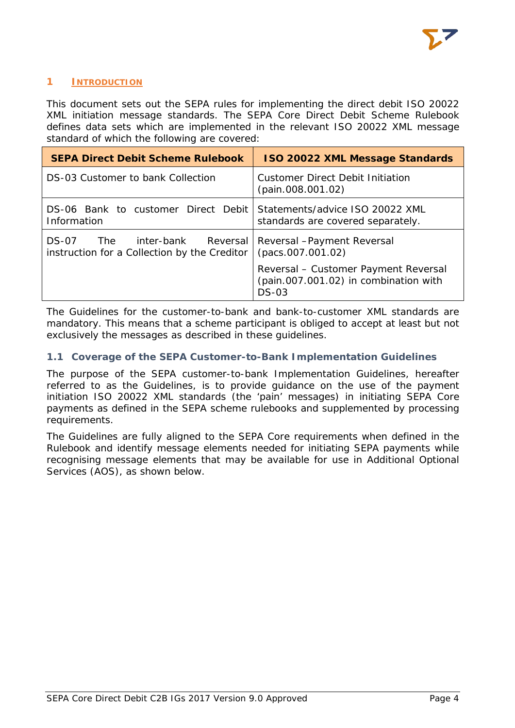

# <span id="page-4-0"></span>**1 INTRODUCTION**

This document sets out the SEPA rules for implementing the direct debit ISO 20022 XML initiation message standards. The SEPA Core Direct Debit Scheme Rulebook defines data sets which are implemented in the relevant ISO 20022 XML message standard of which the following are covered:

| <b>SEPA Direct Debit Scheme Rulebook</b>                                           | <b>ISO 20022 XML Message Standards</b>                                                   |
|------------------------------------------------------------------------------------|------------------------------------------------------------------------------------------|
| DS-03 Customer to bank Collection                                                  | Customer Direct Debit Initiation<br>(pain.008.001.02)                                    |
| DS-06 Bank to customer Direct Debit Statements/advice ISO 20022 XML<br>Information | standards are covered separately.                                                        |
| DS-07<br>inter-bank<br>The<br>instruction for a Collection by the Creditor         | Reversal   Reversal - Payment Reversal<br>(pacs.007.001.02)                              |
|                                                                                    | Reversal - Customer Payment Reversal<br>(pain.007.001.02) in combination with<br>$DS-03$ |

The Guidelines for the customer-to-bank and bank-to-customer XML standards are mandatory. This means that a scheme participant is obliged to accept at least but not exclusively the messages as described in these guidelines.

# <span id="page-4-1"></span>**1.1 Coverage of the SEPA Customer-to-Bank Implementation Guidelines**

The purpose of the SEPA customer-to-bank Implementation Guidelines, hereafter referred to as the Guidelines, is to provide guidance on the use of the payment initiation ISO 20022 XML standards (the 'pain' messages) in initiating SEPA Core payments as defined in the SEPA scheme rulebooks and supplemented by processing requirements.

The Guidelines are fully aligned to the SEPA Core requirements when defined in the Rulebook and identify message elements needed for initiating SEPA payments while recognising message elements that may be available for use in Additional Optional Services (AOS), as shown below.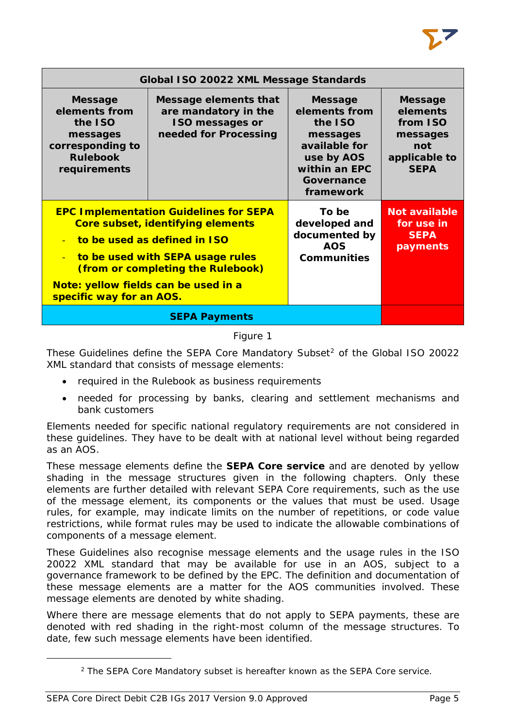|                                                                                                               | Global ISO 20022 XML Message Standards                                                                                                                                                      |                                                                                                                                   |                                                                                           |  |  |  |
|---------------------------------------------------------------------------------------------------------------|---------------------------------------------------------------------------------------------------------------------------------------------------------------------------------------------|-----------------------------------------------------------------------------------------------------------------------------------|-------------------------------------------------------------------------------------------|--|--|--|
| <b>Message</b><br>elements from<br>the ISO<br>messages<br>corresponding to<br><b>Rulebook</b><br>requirements | Message elements that<br>are mandatory in the<br><b>ISO messages or</b><br>needed for Processing                                                                                            | <b>Message</b><br>elements from<br>the ISO<br>messages<br>available for<br>use by AOS<br>within an EPC<br>Governance<br>framework | <b>Message</b><br>elements<br>from ISO<br>messages<br>not<br>applicable to<br><b>SEPA</b> |  |  |  |
| $\mathcal{L}_{\mathcal{C}}$<br>Note: yellow fields can be used in a<br>specific way for an AOS.               | <b>EPC Implementation Guidelines for SEPA</b><br>Core subset, identifying elements<br>to be used as defined in ISO<br>to be used with SEPA usage rules<br>(from or completing the Rulebook) | To be<br>developed and<br>documented by<br><b>AOS</b><br><b>Communities</b>                                                       | <b>Not available</b><br>for use in<br><b>SEPA</b><br>payments                             |  |  |  |
|                                                                                                               | <b>SEPA Payments</b>                                                                                                                                                                        |                                                                                                                                   |                                                                                           |  |  |  |

# Figure 1

These Guidelines define the SEPA Core Mandatory Subset<sup>[2](#page-5-0)</sup> of the Global ISO 20022 XML standard that consists of message elements:

- required in the Rulebook as business requirements
- needed for processing by banks, clearing and settlement mechanisms and bank customers

Elements needed for specific national regulatory requirements are not considered in these guidelines. They have to be dealt with at national level without being regarded as an AOS.

These message elements define the **SEPA Core service** and are denoted by yellow shading in the message structures given in the following chapters. Only these elements are further detailed with relevant SEPA Core requirements, such as the use of the message element, its components or the values that must be used. Usage rules, for example, may indicate limits on the number of repetitions, or code value restrictions, while format rules may be used to indicate the allowable combinations of components of a message element.

These Guidelines also recognise message elements and the usage rules in the ISO 20022 XML standard that may be available for use in an AOS, subject to a governance framework to be defined by the EPC. The definition and documentation of these message elements are a matter for the AOS communities involved. These message elements are denoted by white shading.

Where there are message elements that do not apply to SEPA payments, these are denoted with red shading in the right-most column of the message structures. To date, few such message elements have been identified.

<span id="page-5-0"></span>1

<sup>2</sup> The SEPA Core Mandatory subset is hereafter known as the SEPA Core service.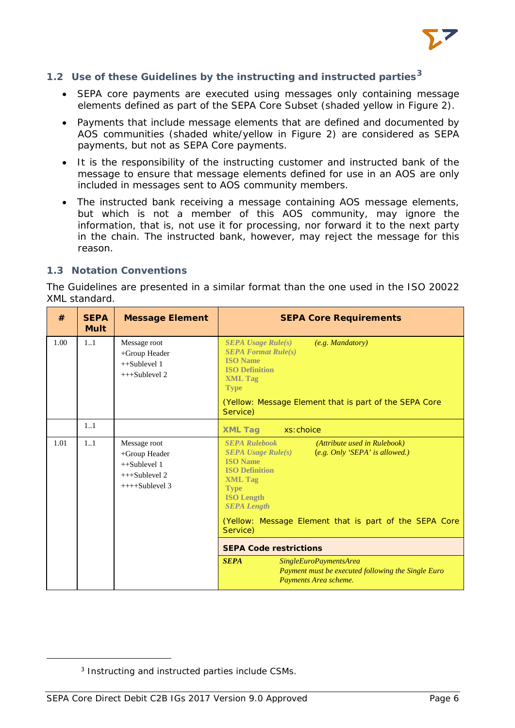

# <span id="page-6-0"></span>**1.2 Use of these Guidelines by the instructing and instructed parties[3](#page-6-2)**

- SEPA core payments are executed using messages only containing message elements defined as part of the SEPA Core Subset (shaded yellow in Figure 2).
- Payments that include message elements that are defined and documented by AOS communities (shaded white/yellow in Figure 2) are considered as SEPA payments, but not as SEPA Core payments.
- It is the responsibility of the instructing customer and instructed bank of the message to ensure that message elements defined for use in an AOS are only included in messages sent to AOS community members.
- The instructed bank receiving a message containing AOS message elements, but which is not a member of this AOS community, may ignore the information, that is, not use it for processing, nor forward it to the next party in the chain. The instructed bank, however, may reject the message for this reason.

#### <span id="page-6-1"></span>**1.3 Notation Conventions**

The Guidelines are presented in a similar format than the one used in the ISO 20022 XML standard.

| #    | <b>SEPA</b><br><b>Mult</b> | <b>Message Element</b>                                                                | <b>SEPA Core Requirements</b>                                                                                                                                                                                                                                                                                   |
|------|----------------------------|---------------------------------------------------------------------------------------|-----------------------------------------------------------------------------------------------------------------------------------------------------------------------------------------------------------------------------------------------------------------------------------------------------------------|
| 1.00 | 11                         | Message root<br>+Group Header<br>$++Sublevel 1$<br>$++Sublevel 2$                     | <b>SEPA Usage Rule(s)</b><br>(e.g. Mandatory)<br><b>SEPA Format Rule(s)</b><br><b>ISO</b> Name<br><b>ISO Definition</b><br><b>XML Tag</b><br><b>Type</b><br>(Yellow: Message Element that is part of the SEPA Core<br>Service)                                                                                  |
|      | 1.1                        |                                                                                       | <b>XML Tag</b><br>xs: choice                                                                                                                                                                                                                                                                                    |
| 1.01 | 11                         | Message root<br>+Group Header<br>$++Sublevel 1$<br>$+++Sublevel 2$<br>$+++Sublevel$ 3 | <b>SEPA Rulebook</b><br>(Attribute used in Rulebook)<br>(e.g. Only 'SEPA' is allowed.)<br>$SEPA$ Usage Rule $(s)$<br><b>ISO</b> Name<br><b>ISO Definition</b><br><b>XML Tag</b><br><b>Type</b><br><b>ISO Length</b><br><b>SEPA Length</b><br>(Yellow: Message Element that is part of the SEPA Core<br>Service) |
|      |                            |                                                                                       | <b>SEPA Code restrictions</b>                                                                                                                                                                                                                                                                                   |
|      |                            |                                                                                       | <b>SEPA</b><br>SingleEuroPaymentsArea<br>Payment must be executed following the Single Euro<br>Payments Area scheme.                                                                                                                                                                                            |

<span id="page-6-2"></span>1

<sup>3</sup> Instructing and instructed parties include CSMs.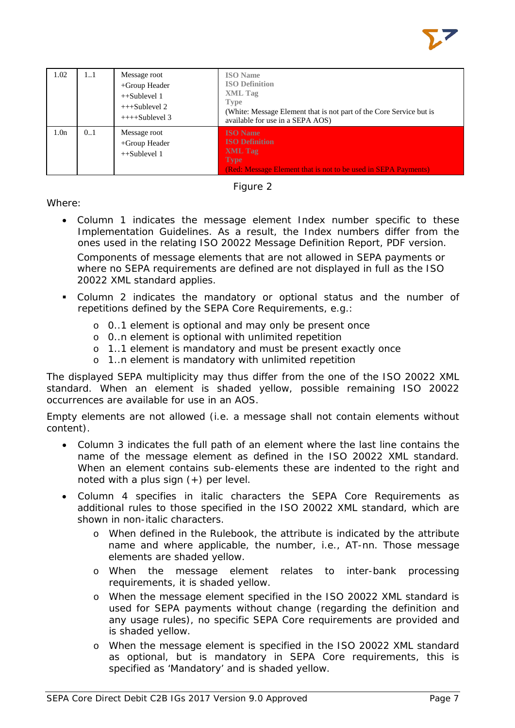

| 1.02             | 11  | Message root<br>+Group Header<br>$++Sublevel 1$<br>$+++Sublevel 2$<br>$+++Sublevel 3$ | <b>ISO</b> Name<br><b>ISO Definition</b><br><b>XML</b> Tag<br><b>Type</b><br>(White: Message Element that is not part of the Core Service but is<br>available for use in a SEPA AOS) |
|------------------|-----|---------------------------------------------------------------------------------------|--------------------------------------------------------------------------------------------------------------------------------------------------------------------------------------|
| 1.0 <sub>n</sub> | 0.1 | Message root<br>+Group Header<br>$++Sublevel 1$                                       | <b>ISO</b> Name<br><b>ISO Definition</b><br><b>XML</b> Tag<br><b>Type</b><br>(Red: Message Element that is not to be used in SEPA Payments)                                          |



Where:

- Column 1 indicates the message element Index number specific to these Implementation Guidelines. As a result, the Index numbers differ from the ones used in the relating ISO 20022 Message Definition Report, PDF version. Components of message elements that are not allowed in SEPA payments or where no SEPA requirements are defined are not displayed in full as the ISO 20022 XML standard applies.
- Column 2 indicates the mandatory or optional status and the number of repetitions defined by the SEPA Core Requirements, e.g.:
	- o 0..1 element is optional and may only be present once
	- o 0..n element is optional with unlimited repetition
	- o 1..1 element is mandatory and must be present exactly once
	- o 1..n element is mandatory with unlimited repetition

The displayed SEPA multiplicity may thus differ from the one of the ISO 20022 XML standard. When an element is shaded yellow, possible remaining ISO 20022 occurrences are available for use in an AOS.

Empty elements are not allowed (i.e. a message shall not contain elements without content).

- Column 3 indicates the full path of an element where the last line contains the name of the message element as defined in the ISO 20022 XML standard. When an element contains sub-elements these are indented to the right and noted with a plus sign  $(+)$  per level.
- Column 4 specifies in italic characters the SEPA Core Requirements as additional rules to those specified in the ISO 20022 XML standard, which are shown in non-italic characters.
	- o When defined in the Rulebook, the attribute is indicated by the attribute name and where applicable, the number, i.e., AT-nn. Those message elements are shaded yellow.
	- o When the message element relates to inter-bank processing requirements, it is shaded yellow.
	- o When the message element specified in the ISO 20022 XML standard is used for SEPA payments without change (regarding the definition and any usage rules), no specific SEPA Core requirements are provided and is shaded yellow.
	- o When the message element is specified in the ISO 20022 XML standard as optional, but is mandatory in SEPA Core requirements, this is specified as 'Mandatory' and is shaded yellow.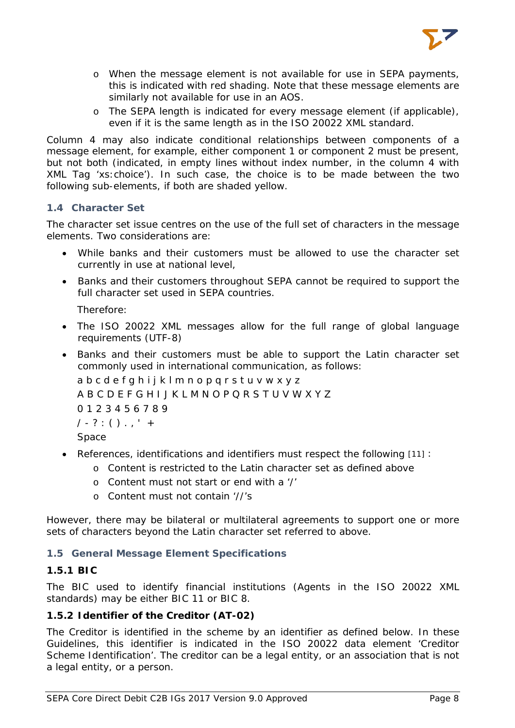

- o When the message element is not available for use in SEPA payments, this is indicated with red shading. Note that these message elements are similarly not available for use in an AOS.
- o The SEPA length is indicated for every message element (if applicable), even if it is the same length as in the ISO 20022 XML standard.

Column 4 may also indicate conditional relationships between components of a message element, for example, either component 1 or component 2 must be present, but not both (indicated, in empty lines without index number, in the column 4 with XML Tag 'xs:choice'). In such case, the choice is to be made between the two following sub-elements, if both are shaded yellow.

# <span id="page-8-0"></span>**1.4 Character Set**

The character set issue centres on the use of the full set of characters in the message elements. Two considerations are:

- While banks and their customers must be allowed to use the character set currently in use at national level,
- Banks and their customers throughout SEPA cannot be required to support the full character set used in SEPA countries.

Therefore:

- The ISO 20022 XML messages allow for the full range of global language requirements (UTF-8)
- Banks and their customers must be able to support the Latin character set commonly used in international communication, as follows:

a b c d e f g h i j k l m n o p q r s t u v w x y z A B C D E F G H I J K L M N O P Q R S T U V W X Y Z 0 1 2 3 4 5 6 7 8 9  $1 - ? : () . .' +$ Space

- References, identifications and identifiers must respect the following [11] :
	- o Content is restricted to the Latin character set as defined above
	- o Content must not start or end with a '/'
	- o Content must not contain '//'s

However, there may be bilateral or multilateral agreements to support one or more sets of characters beyond the Latin character set referred to above.

# <span id="page-8-1"></span>**1.5 General Message Element Specifications**

# <span id="page-8-2"></span>**1.5.1 BIC**

The BIC used to identify financial institutions (Agents in the ISO 20022 XML standards) may be either BIC 11 or BIC 8.

# <span id="page-8-3"></span>**1.5.2 Identifier of the Creditor (AT-02)**

The Creditor is identified in the scheme by an identifier as defined below. In these Guidelines, this identifier is indicated in the ISO 20022 data element 'Creditor Scheme Identification'. The creditor can be a legal entity, or an association that is not a legal entity, or a person.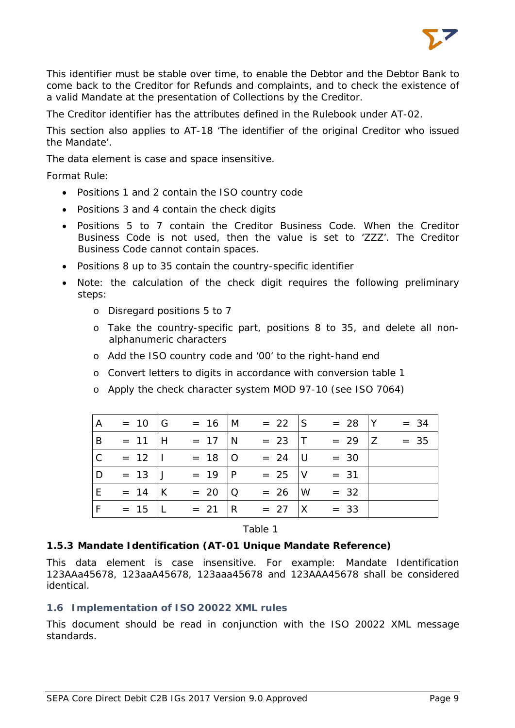

This identifier must be stable over time, to enable the Debtor and the Debtor Bank to come back to the Creditor for Refunds and complaints, and to check the existence of a valid Mandate at the presentation of Collections by the Creditor.

The Creditor identifier has the attributes defined in the Rulebook under AT-02.

This section also applies to AT-18 'The identifier of the original Creditor who issued the Mandate'.

The data element is case and space insensitive.

Format *Rule*:

- Positions 1 and 2 contain the ISO country code
- Positions 3 and 4 contain the check digits
- Positions 5 to 7 contain the Creditor Business Code. When the Creditor Business Code is not used, then the value is set to 'ZZZ'. The Creditor Business Code cannot contain spaces.
- Positions 8 up to 35 contain the country-specific identifier
- Note: the calculation of the check digit requires the following preliminary steps:
	- o Disregard positions 5 to 7
	- o Take the country-specific part, positions 8 to 35, and delete all nonalphanumeric characters
	- o Add the ISO country code and '00' to the right-hand end
	- o Convert letters to digits in accordance with conversion table 1
	- o Apply the check character system MOD 97-10 (see ISO 7064)

| $\overline{A}$ | $= 10$ G         | $= 16$ M           | $= 22$ S        | $= 28$  Y        | $= 34$ |
|----------------|------------------|--------------------|-----------------|------------------|--------|
| B              | $= 11$ H         | $= 17 \text{ N}$   | $= 23$ T        | $= 29$   Z       | $= 35$ |
| $\mathcal{C}$  | $= 12$           | $= 18$   O         | $= 24$ U        | $= 30$           |        |
| D              | $= 13$ J         | $= 19$  P          | $= 25$ V        | $= 31$           |        |
| E              | $= 14$ K         | $= 20  Q$          |                 | $= 26$  W $= 32$ |        |
| F              | $= 15 \text{ l}$ | $= 21 \, \text{R}$ | $= 27$ $\mid$ X | $= 33$           |        |

Table 1

#### <span id="page-9-0"></span>**1.5.3 Mandate Identification (AT-01 Unique Mandate Reference)**

This data element is case insensitive. For example: Mandate Identification 123AAa45678, 123aaA45678, 123aaa45678 and 123AAA45678 shall be considered identical.

#### <span id="page-9-1"></span>**1.6 Implementation of ISO 20022 XML rules**

This document should be read in conjunction with the ISO 20022 XML message standards.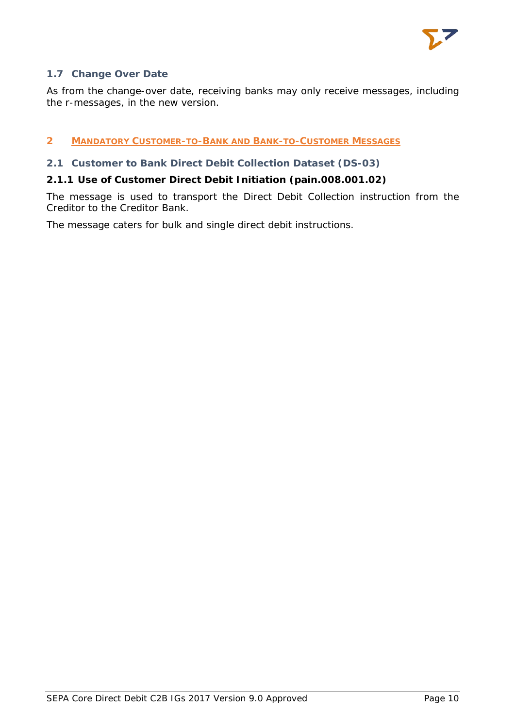

# <span id="page-10-0"></span>**1.7 Change Over Date**

As from the change-over date, receiving banks may only receive messages, including the r-messages, in the new version.

# <span id="page-10-1"></span>**2 MANDATORY CUSTOMER-TO-BANK AND BANK-TO-CUSTOMER MESSAGES**

# <span id="page-10-2"></span>**2.1 Customer to Bank Direct Debit Collection Dataset (DS-03)**

# <span id="page-10-3"></span>**2.1.1 Use of Customer Direct Debit Initiation (pain.008.001.02)**

The message is used to transport the Direct Debit Collection instruction from the Creditor to the Creditor Bank.

The message caters for bulk and single direct debit instructions.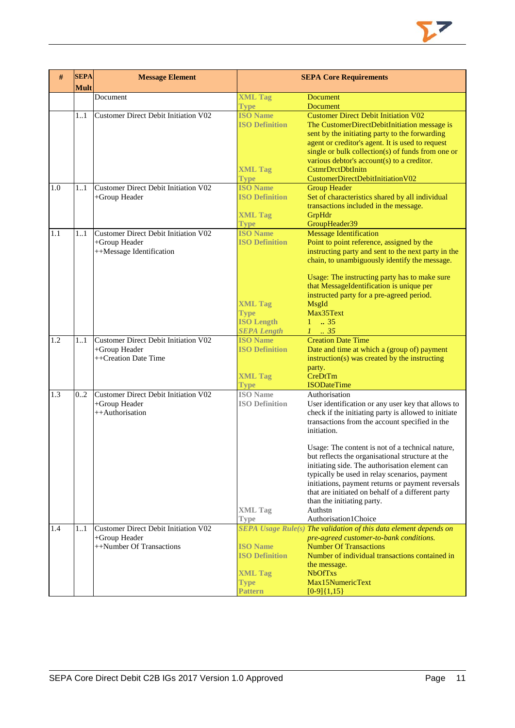

| #   | <b>SEPA</b><br><b>Mult</b> | <b>Message Element</b>                                                                   |                                                                           | <b>SEPA Core Requirements</b>                                                                                                                                                                                                                                                                                                                                          |
|-----|----------------------------|------------------------------------------------------------------------------------------|---------------------------------------------------------------------------|------------------------------------------------------------------------------------------------------------------------------------------------------------------------------------------------------------------------------------------------------------------------------------------------------------------------------------------------------------------------|
|     |                            | Document                                                                                 | <b>XML Tag</b>                                                            | <b>Document</b>                                                                                                                                                                                                                                                                                                                                                        |
|     |                            |                                                                                          | <b>Type</b>                                                               | <b>Document</b>                                                                                                                                                                                                                                                                                                                                                        |
|     | 11                         | <b>Customer Direct Debit Initiation V02</b>                                              | <b>ISO Name</b><br><b>ISO Definition</b><br><b>XML Tag</b><br><b>Type</b> | <b>Customer Direct Debit Initiation V02</b><br>The CustomerDirectDebitInitiation message is<br>sent by the initiating party to the forwarding<br>agent or creditor's agent. It is used to request<br>single or bulk collection(s) of funds from one or<br>various debtor's $account(s)$ to a creditor.<br><b>CstmrDrctDbtInitn</b><br>CustomerDirectDebitInitiationV02 |
| 1.0 | 11                         | <b>Customer Direct Debit Initiation V02</b>                                              | <b>ISO Name</b>                                                           | <b>Group Header</b>                                                                                                                                                                                                                                                                                                                                                    |
|     |                            | +Group Header                                                                            | <b>ISO Definition</b><br><b>XML Tag</b><br><b>Type</b>                    | Set of characteristics shared by all individual<br>transactions included in the message.<br>GrpHdr<br>GroupHeader39                                                                                                                                                                                                                                                    |
| 1.1 | 11                         | <b>Customer Direct Debit Initiation V02</b>                                              | <b>ISO Name</b>                                                           | <b>Message Identification</b>                                                                                                                                                                                                                                                                                                                                          |
|     |                            | +Group Header<br>++Message Identification                                                | <b>ISO Definition</b>                                                     | Point to point reference, assigned by the<br>instructing party and sent to the next party in the<br>chain, to unambiguously identify the message.                                                                                                                                                                                                                      |
|     |                            |                                                                                          | <b>XML Tag</b><br><b>Type</b><br><b>ISO Length</b><br><b>SEPA Length</b>  | Usage: The instructing party has to make sure<br>that MessageIdentification is unique per<br>instructed party for a pre-agreed period.<br>MsgId<br>Max35Text<br>$1 \t . 35$<br>$1-.35$                                                                                                                                                                                 |
| 1.2 | 11                         | <b>Customer Direct Debit Initiation V02</b>                                              | <b>ISO Name</b>                                                           | <b>Creation Date Time</b>                                                                                                                                                                                                                                                                                                                                              |
|     |                            | +Group Header<br>++Creation Date Time                                                    | <b>ISO Definition</b><br><b>XML Tag</b><br><b>Type</b>                    | Date and time at which a (group of) payment<br>$instruction(s)$ was created by the instructing<br>party.<br>CreDtTm<br><b>ISODateTime</b>                                                                                                                                                                                                                              |
| 1.3 | 0.2                        | <b>Customer Direct Debit Initiation V02</b>                                              | <b>ISO</b> Name                                                           | Authorisation                                                                                                                                                                                                                                                                                                                                                          |
|     |                            | +Group Header<br>++Authorisation                                                         | <b>ISO Definition</b>                                                     | User identification or any user key that allows to<br>check if the initiating party is allowed to initiate<br>transactions from the account specified in the<br>initiation.                                                                                                                                                                                            |
|     |                            |                                                                                          | <b>XML Tag</b>                                                            | Usage: The content is not of a technical nature,<br>but reflects the organisational structure at the<br>initiating side. The authorisation element can<br>typically be used in relay scenarios, payment<br>initiations, payment returns or payment reversals<br>that are initiated on behalf of a different party<br>than the initiating party.<br>Authstn             |
|     |                            |                                                                                          | <b>Type</b>                                                               | Authorisation1Choice                                                                                                                                                                                                                                                                                                                                                   |
| 1.4 | 11                         | <b>Customer Direct Debit Initiation V02</b><br>+Group Header<br>++Number Of Transactions | <b>ISO Name</b><br><b>ISO Definition</b>                                  | SEPA Usage Rule(s) The validation of this data element depends on<br>pre-agreed customer-to-bank conditions.<br><b>Number Of Transactions</b><br>Number of individual transactions contained in<br>the message.                                                                                                                                                        |
|     |                            |                                                                                          | <b>XML Tag</b><br><b>Type</b><br>Pattern                                  | <b>NbOfTxs</b><br>Max15NumericText<br>$[0-9]{1,15}$                                                                                                                                                                                                                                                                                                                    |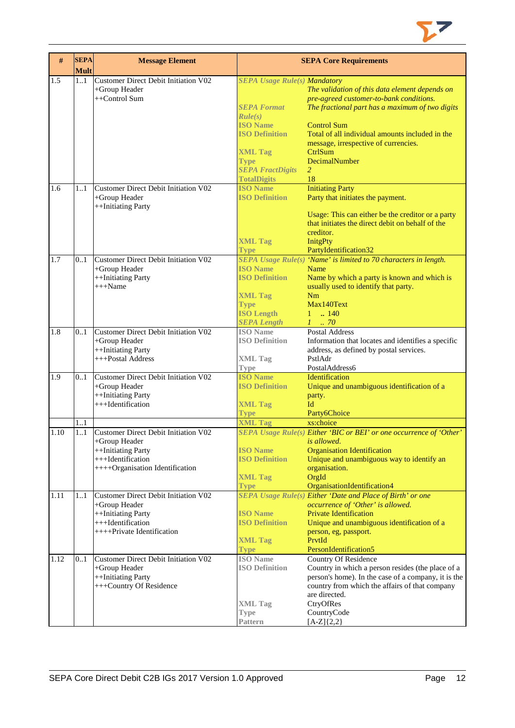

| $\#$ | <b>SEPA</b><br><b>Mult</b> | <b>Message Element</b>                      |                                     | <b>SEPA Core Requirements</b>                                       |
|------|----------------------------|---------------------------------------------|-------------------------------------|---------------------------------------------------------------------|
| 1.5  | 11                         | <b>Customer Direct Debit Initiation V02</b> | <b>SEPA Usage Rule(s) Mandatory</b> |                                                                     |
|      |                            | +Group Header                               |                                     | The validation of this data element depends on                      |
|      |                            | ++Control Sum                               |                                     | pre-agreed customer-to-bank conditions.                             |
|      |                            |                                             | <b>SEPA Format</b>                  | The fractional part has a maximum of two digits                     |
|      |                            |                                             | Rule(s)                             |                                                                     |
|      |                            |                                             | <b>ISO Name</b>                     | <b>Control Sum</b>                                                  |
|      |                            |                                             | <b>ISO Definition</b>               | Total of all individual amounts included in the                     |
|      |                            |                                             |                                     | message, irrespective of currencies.                                |
|      |                            |                                             | <b>XML Tag</b>                      | CtrlSum                                                             |
|      |                            |                                             | <b>Type</b>                         | DecimalNumber                                                       |
|      |                            |                                             | <b>SEPA FractDigits</b>             | 2                                                                   |
|      |                            |                                             | <b>TotalDigits</b>                  | 18                                                                  |
| 1.6  | 11                         | Customer Direct Debit Initiation V02        | <b>ISO Name</b>                     | <b>Initiating Party</b>                                             |
|      |                            | +Group Header                               | <b>ISO Definition</b>               | Party that initiates the payment.                                   |
|      |                            | ++Initiating Party                          |                                     |                                                                     |
|      |                            |                                             |                                     | Usage: This can either be the creditor or a party                   |
|      |                            |                                             |                                     | that initiates the direct debit on behalf of the                    |
|      |                            |                                             |                                     | creditor.                                                           |
|      |                            |                                             | <b>XML Tag</b>                      | <b>InitgPty</b>                                                     |
|      |                            |                                             | <b>Type</b>                         | PartyIdentification32                                               |
| 1.7  | 0.1                        | Customer Direct Debit Initiation V02        |                                     | SEPA Usage Rule(s) 'Name' is limited to 70 characters in length.    |
|      |                            | +Group Header                               | <b>ISO Name</b>                     | Name                                                                |
|      |                            | ++Initiating Party                          | <b>ISO Definition</b>               | Name by which a party is known and which is                         |
|      |                            | $+++Name$                                   |                                     | usually used to identify that party.                                |
|      |                            |                                             | <b>XML Tag</b>                      | Nm                                                                  |
|      |                            |                                             | <b>Type</b>                         | Max140Text                                                          |
|      |                            |                                             | <b>ISO Length</b>                   | $1 \t . 140$                                                        |
|      |                            |                                             |                                     |                                                                     |
|      |                            | Customer Direct Debit Initiation V02        | <b>SEPA Length</b>                  | $1 \thinspace \ldots \thinspace 70$                                 |
| 1.8  | 01                         |                                             | <b>ISO</b> Name                     | <b>Postal Address</b>                                               |
|      |                            | +Group Header                               | <b>ISO Definition</b>               | Information that locates and identifies a specific                  |
|      |                            | ++Initiating Party                          |                                     | address, as defined by postal services.                             |
|      |                            | +++Postal Address                           | <b>XML Tag</b>                      | PstlAdr                                                             |
|      |                            |                                             | <b>Type</b>                         | PostalAddress6                                                      |
| 1.9  | 0.1                        | <b>Customer Direct Debit Initiation V02</b> | <b>ISO Name</b>                     | Identification                                                      |
|      |                            | +Group Header                               | <b>ISO Definition</b>               | Unique and unambiguous identification of a                          |
|      |                            | ++Initiating Party                          |                                     | party.                                                              |
|      |                            | +++Identification                           | <b>XML Tag</b>                      | Id                                                                  |
|      |                            |                                             | <b>Type</b>                         | Party6Choice                                                        |
|      | 1.1                        |                                             | <b>XML Tag</b>                      | xs:choice                                                           |
| 1.10 | 1.1                        | Customer Direct Debit Initiation V02        |                                     | SEPA Usage Rule(s) Either 'BIC or BEI' or one occurrence of 'Other' |
|      |                            | $+$ Group Header                            |                                     | is allowed.                                                         |
|      |                            | ++Initiating Party                          | <b>ISO Name</b>                     | <b>Organisation Identification</b>                                  |
|      |                            | +++Identification                           | <b>ISO Definition</b>               | Unique and unambiguous way to identify an                           |
|      |                            | ++++Organisation Identification             |                                     | organisation.                                                       |
|      |                            |                                             | <b>XML Tag</b>                      | OrgId                                                               |
|      |                            |                                             | <b>Type</b>                         | OrganisationIdentification4                                         |
| 1.11 | 1.1                        | Customer Direct Debit Initiation V02        |                                     | <b>SEPA Usage Rule(s) Either 'Date and Place of Birth' or one</b>   |
|      |                            | +Group Header                               |                                     | occurrence of 'Other' is allowed.                                   |
|      |                            | ++Initiating Party                          | <b>ISO</b> Name                     | <b>Private Identification</b>                                       |
|      |                            | +++Identification                           | <b>ISO Definition</b>               | Unique and unambiguous identification of a                          |
|      |                            | ++++Private Identification                  |                                     | person, eg, passport.                                               |
|      |                            |                                             | <b>XML Tag</b>                      | PrvtId                                                              |
|      |                            |                                             | <b>Type</b>                         | PersonIdentification5                                               |
| 1.12 | 0.1                        | Customer Direct Debit Initiation V02        | <b>ISO</b> Name                     | Country Of Residence                                                |
|      |                            | +Group Header                               | <b>ISO Definition</b>               | Country in which a person resides (the place of a                   |
|      |                            | ++Initiating Party                          |                                     | person's home). In the case of a company, it is the                 |
|      |                            | +++Country Of Residence                     |                                     | country from which the affairs of that company                      |
|      |                            |                                             |                                     | are directed.                                                       |
|      |                            |                                             | <b>XML</b> Tag                      | CtryOfRes                                                           |
|      |                            |                                             | <b>Type</b>                         | CountryCode                                                         |
|      |                            |                                             | <b>Pattern</b>                      | $[A-Z]{2,2}$                                                        |
|      |                            |                                             |                                     |                                                                     |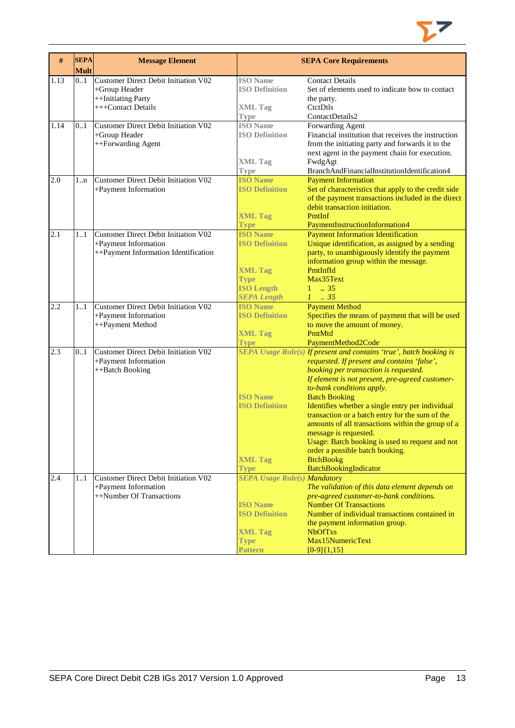

| #    | <b>SEPA</b><br><b>Mult</b> | <b>Message Element</b>                      |                                          | <b>SEPA Core Requirements</b>                                                                              |
|------|----------------------------|---------------------------------------------|------------------------------------------|------------------------------------------------------------------------------------------------------------|
| 1.13 | 0.1                        | <b>Customer Direct Debit Initiation V02</b> | <b>ISO</b> Name                          | <b>Contact Details</b>                                                                                     |
|      |                            | +Group Header                               | <b>ISO Definition</b>                    | Set of elements used to indicate how to contact                                                            |
|      |                            | ++Initiating Party                          |                                          | the party.                                                                                                 |
|      |                            | +++Contact Details                          | <b>XML Tag</b>                           | CtctDtls                                                                                                   |
|      |                            |                                             | Type                                     | ContactDetails2                                                                                            |
| 1.14 | 0.1                        | <b>Customer Direct Debit Initiation V02</b> | <b>ISO</b> Name                          | Forwarding Agent                                                                                           |
|      |                            | +Group Header                               | <b>ISO Definition</b>                    | Financial institution that receives the instruction                                                        |
|      |                            | ++Forwarding Agent                          |                                          | from the initiating party and forwards it to the                                                           |
|      |                            |                                             |                                          | next agent in the payment chain for execution.                                                             |
|      |                            |                                             | <b>XML Tag</b>                           | FwdgAgt                                                                                                    |
|      |                            | <b>Customer Direct Debit Initiation V02</b> | <b>Type</b><br><b>ISO Name</b>           | BranchAndFinancialInstitutionIdentification4                                                               |
| 2.0  | $1 \dots n$                |                                             | <b>ISO Definition</b>                    | <b>Payment Information</b>                                                                                 |
|      |                            | +Payment Information                        |                                          | Set of characteristics that apply to the credit side<br>of the payment transactions included in the direct |
|      |                            |                                             |                                          | debit transaction initiation.                                                                              |
|      |                            |                                             | <b>XML Tag</b>                           | PmtInf                                                                                                     |
|      |                            |                                             | <b>Type</b>                              | PaymentInstructionInformation4                                                                             |
| 2.1  | 11                         | <b>Customer Direct Debit Initiation V02</b> | <b>ISO Name</b>                          | <b>Payment Information Identification</b>                                                                  |
|      |                            | +Payment Information                        | <b>ISO Definition</b>                    | Unique identification, as assigned by a sending                                                            |
|      |                            | ++Payment Information Identification        |                                          | party, to unambiguously identify the payment                                                               |
|      |                            |                                             |                                          | information group within the message.                                                                      |
|      |                            |                                             | <b>XML Tag</b>                           | PmtInfId                                                                                                   |
|      |                            |                                             | <b>Type</b>                              | Max35Text                                                                                                  |
|      |                            |                                             | <b>ISO Length</b>                        | .35<br>$\mathbf{1}$                                                                                        |
|      |                            |                                             | <b>SEPA Length</b>                       | $1 \cdot .35$                                                                                              |
| 2.2  | 11                         | <b>Customer Direct Debit Initiation V02</b> | <b>ISO Name</b>                          | <b>Payment Method</b>                                                                                      |
|      |                            | +Payment Information                        | <b>ISO Definition</b>                    | Specifies the means of payment that will be used                                                           |
|      |                            | ++Payment Method                            |                                          | to move the amount of money.                                                                               |
|      |                            |                                             | <b>XML Tag</b>                           | PmtMtd                                                                                                     |
|      |                            |                                             | <b>Type</b>                              | PaymentMethod2Code                                                                                         |
| 2.3  | 01                         | <b>Customer Direct Debit Initiation V02</b> |                                          | SEPA Usage Rule(s) If present and contains 'true', batch booking is                                        |
|      |                            | +Payment Information                        |                                          | requested. If present and contains 'false',                                                                |
|      |                            | ++Batch Booking                             |                                          | booking per transaction is requested.                                                                      |
|      |                            |                                             |                                          | If element is not present, pre-agreed customer-                                                            |
|      |                            |                                             |                                          | to-bank conditions apply.                                                                                  |
|      |                            |                                             | <b>ISO Name</b><br><b>ISO Definition</b> | <b>Batch Booking</b>                                                                                       |
|      |                            |                                             |                                          | Identifies whether a single entry per individual<br>transaction or a batch entry for the sum of the        |
|      |                            |                                             |                                          | amounts of all transactions within the group of a                                                          |
|      |                            |                                             |                                          | message is requested.                                                                                      |
|      |                            |                                             |                                          | Usage: Batch booking is used to request and not                                                            |
|      |                            |                                             |                                          | order a possible batch booking.                                                                            |
|      |                            |                                             | <b>XML Tag</b>                           | <b>BtchBookg</b>                                                                                           |
|      |                            |                                             | <b>Type</b>                              | BatchBookingIndicator                                                                                      |
| 2.4  | 1.1                        | <b>Customer Direct Debit Initiation V02</b> | <b>SEPA Usage Rule(s) Mandatory</b>      |                                                                                                            |
|      |                            | +Payment Information                        |                                          | The validation of this data element depends on                                                             |
|      |                            | ++Number Of Transactions                    |                                          | pre-agreed customer-to-bank conditions.                                                                    |
|      |                            |                                             | <b>ISO Name</b>                          | <b>Number Of Transactions</b>                                                                              |
|      |                            |                                             | <b>ISO Definition</b>                    | Number of individual transactions contained in                                                             |
|      |                            |                                             |                                          | the payment information group.                                                                             |
|      |                            |                                             | <b>XML Tag</b>                           | <b>NbOfTxs</b>                                                                                             |
|      |                            |                                             | <b>Type</b>                              | Max15NumericText                                                                                           |
|      |                            |                                             | <b>Pattern</b>                           | $[0-9]\{1,15\}$                                                                                            |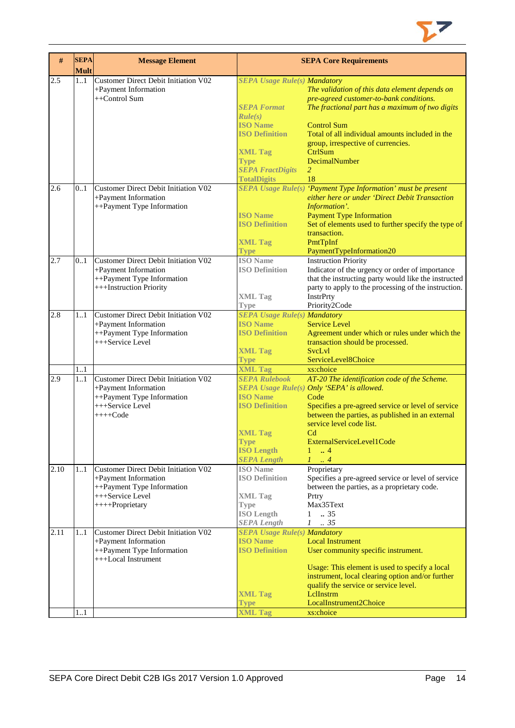

| #    | <b>SEPA</b><br><b>Mult</b> | <b>Message Element</b>                             |                                                        | <b>SEPA Core Requirements</b>                                                      |
|------|----------------------------|----------------------------------------------------|--------------------------------------------------------|------------------------------------------------------------------------------------|
| 2.5  | 11                         | <b>Customer Direct Debit Initiation V02</b>        | <b>SEPA Usage Rule(s) Mandatory</b>                    |                                                                                    |
|      |                            | +Payment Information                               |                                                        | The validation of this data element depends on                                     |
|      |                            | ++Control Sum                                      |                                                        | pre-agreed customer-to-bank conditions.                                            |
|      |                            |                                                    | <b>SEPA Format</b>                                     | The fractional part has a maximum of two digits                                    |
|      |                            |                                                    | Rule(s)                                                |                                                                                    |
|      |                            |                                                    | <b>ISO Name</b>                                        | <b>Control Sum</b>                                                                 |
|      |                            |                                                    | <b>ISO Definition</b>                                  | Total of all individual amounts included in the                                    |
|      |                            |                                                    |                                                        | group, irrespective of currencies.                                                 |
|      |                            |                                                    | <b>XML Tag</b>                                         | CtrlSum                                                                            |
|      |                            |                                                    | <b>Type</b>                                            | DecimalNumber                                                                      |
|      |                            |                                                    | <b>SEPA FractDigits</b>                                | 2                                                                                  |
|      |                            |                                                    | <b>TotalDigits</b>                                     | 18                                                                                 |
| 2.6  | 0.1                        | Customer Direct Debit Initiation V02               |                                                        | SEPA Usage Rule(s) 'Payment Type Information' must be present                      |
|      |                            | +Payment Information                               |                                                        | either here or under 'Direct Debit Transaction                                     |
|      |                            | ++Payment Type Information                         |                                                        | Information'.                                                                      |
|      |                            |                                                    | <b>ISO Name</b>                                        | <b>Payment Type Information</b>                                                    |
|      |                            |                                                    | <b>ISO Definition</b>                                  | Set of elements used to further specify the type of                                |
|      |                            |                                                    |                                                        | transaction.                                                                       |
|      |                            |                                                    | <b>XML Tag</b>                                         | PmtTpInf                                                                           |
|      |                            |                                                    | <b>Type</b>                                            | PaymentTypeInformation20                                                           |
| 2.7  | 0.1                        | <b>Customer Direct Debit Initiation V02</b>        | <b>ISO</b> Name                                        | <b>Instruction Priority</b>                                                        |
|      |                            | +Payment Information                               | <b>ISO Definition</b>                                  | Indicator of the urgency or order of importance                                    |
|      |                            | ++Payment Type Information                         |                                                        | that the instructing party would like the instructed                               |
|      |                            | +++Instruction Priority                            |                                                        | party to apply to the processing of the instruction.                               |
|      |                            |                                                    | <b>XML Tag</b>                                         | <b>InstrPrty</b>                                                                   |
|      |                            |                                                    | <b>Type</b>                                            | Priority2Code                                                                      |
| 2.8  | 11                         | Customer Direct Debit Initiation V02               | <b>SEPA Usage Rule(s) Mandatory</b><br><b>ISO Name</b> |                                                                                    |
|      |                            | +Payment Information<br>++Payment Type Information | <b>ISO Definition</b>                                  | <b>Service Level</b>                                                               |
|      |                            | +++Service Level                                   |                                                        | Agreement under which or rules under which the<br>transaction should be processed. |
|      |                            |                                                    | <b>XML Tag</b>                                         | <b>SvcLvl</b>                                                                      |
|      |                            |                                                    | <b>Type</b>                                            | ServiceLevel8Choice                                                                |
|      | 1.1                        |                                                    | <b>XML Tag</b>                                         | xs:choice                                                                          |
| 2.9  | 1.1                        | Customer Direct Debit Initiation V02               | <b>SEPA Rulebook</b>                                   | AT-20 The identification code of the Scheme.                                       |
|      |                            | +Payment Information                               |                                                        | SEPA Usage Rule(s) Only 'SEPA' is allowed.                                         |
|      |                            | ++Payment Type Information                         | <b>ISO Name</b>                                        | Code                                                                               |
|      |                            | +++Service Level                                   | <b>ISO Definition</b>                                  | Specifies a pre-agreed service or level of service                                 |
|      |                            | $+++Code$                                          |                                                        | between the parties, as published in an external                                   |
|      |                            |                                                    |                                                        | service level code list.                                                           |
|      |                            |                                                    | <b>XML Tag</b>                                         | C <sub>d</sub>                                                                     |
|      |                            |                                                    | <b>Type</b>                                            | ExternalServiceLevel1Code                                                          |
|      |                            |                                                    | <b>ISO Length</b>                                      | $\overline{4}$<br>1                                                                |
|      |                            |                                                    | <b>SEPA Length</b>                                     | $\mathcal{I}$<br>$\ldots$ 4                                                        |
| 2.10 | 11                         | Customer Direct Debit Initiation V02               | <b>ISO</b> Name                                        | Proprietary                                                                        |
|      |                            | +Payment Information                               | <b>ISO Definition</b>                                  | Specifies a pre-agreed service or level of service                                 |
|      |                            | ++Payment Type Information                         |                                                        | between the parties, as a proprietary code.                                        |
|      |                            | +++Service Level                                   | <b>XML Tag</b>                                         | Prtry                                                                              |
|      |                            | ++++Proprietary                                    | <b>Type</b>                                            | Max35Text                                                                          |
|      |                            |                                                    | <b>ISO Length</b>                                      | .35<br>$\mathbf{1}$                                                                |
|      |                            |                                                    | <b>SEPA Length</b>                                     | .35<br>$\mathcal{I}$                                                               |
| 2.11 | 11                         | Customer Direct Debit Initiation V02               | <b>SEPA Usage Rule(s) Mandatory</b>                    |                                                                                    |
|      |                            | +Payment Information                               | <b>ISO Name</b>                                        | <b>Local Instrument</b>                                                            |
|      |                            | ++Payment Type Information                         | <b>ISO Definition</b>                                  | User community specific instrument.                                                |
|      |                            | +++Local Instrument                                |                                                        |                                                                                    |
|      |                            |                                                    |                                                        | Usage: This element is used to specify a local                                     |
|      |                            |                                                    |                                                        | instrument, local clearing option and/or further                                   |
|      |                            |                                                    |                                                        | qualify the service or service level.                                              |
|      |                            |                                                    | <b>XML Tag</b>                                         | LelInstrm                                                                          |
|      | 11                         |                                                    | <b>Type</b><br><b>XML Tag</b>                          | LocalInstrument2Choice<br>xs:choice                                                |
|      |                            |                                                    |                                                        |                                                                                    |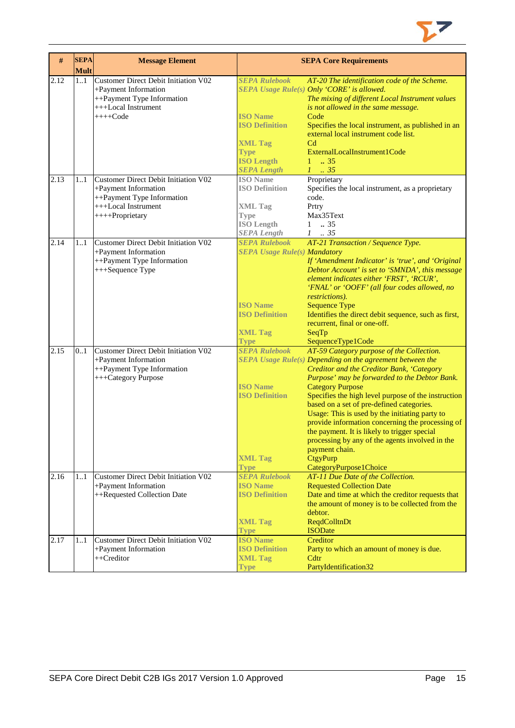

| #    | <b>SEPA</b><br><b>Mult</b> | <b>Message Element</b>                                                                                                                      |                                                                                                                                              | <b>SEPA Core Requirements</b>                                                                                                                                                                                                                                                                                                                                                                                                                                                                                                                                                                             |
|------|----------------------------|---------------------------------------------------------------------------------------------------------------------------------------------|----------------------------------------------------------------------------------------------------------------------------------------------|-----------------------------------------------------------------------------------------------------------------------------------------------------------------------------------------------------------------------------------------------------------------------------------------------------------------------------------------------------------------------------------------------------------------------------------------------------------------------------------------------------------------------------------------------------------------------------------------------------------|
| 2.12 | 11                         | <b>Customer Direct Debit Initiation V02</b><br>+Payment Information<br>++Payment Type Information<br>+++Local Instrument<br>$+++Code$       | <b>SEPA Rulebook</b><br><b>ISO Name</b><br><b>ISO Definition</b><br><b>XML Tag</b><br><b>Type</b><br><b>ISO Length</b><br><b>SEPA Length</b> | AT-20 The identification code of the Scheme.<br>SEPA Usage Rule(s) Only 'CORE' is allowed.<br>The mixing of different Local Instrument values<br>is not allowed in the same message.<br>Code<br>Specifies the local instrument, as published in an<br>external local instrument code list.<br>C <sub>d</sub><br>ExternalLocalInstrument1Code<br>$1 \t . 35$<br>$1 \cdot35$                                                                                                                                                                                                                                |
| 2.13 | 11                         | <b>Customer Direct Debit Initiation V02</b><br>+Payment Information<br>++Payment Type Information<br>+++Local Instrument<br>++++Proprietary | <b>ISO</b> Name<br><b>ISO Definition</b><br><b>XML Tag</b><br><b>Type</b><br><b>ISO Length</b><br><b>SEPA Length</b>                         | Proprietary<br>Specifies the local instrument, as a proprietary<br>code.<br>Prtry<br>Max35Text<br>$1 \t . 35$<br>$\mathcal{I}$<br>$\therefore$ 35                                                                                                                                                                                                                                                                                                                                                                                                                                                         |
| 2.14 | 11                         | <b>Customer Direct Debit Initiation V02</b><br>+Payment Information<br>++Payment Type Information<br>+++Sequence Type                       | <b>SEPA Rulebook</b><br><b>SEPA Usage Rule(s) Mandatory</b><br><b>ISO Name</b><br><b>ISO Definition</b><br><b>XML Tag</b><br><b>Type</b>     | AT-21 Transaction / Sequence Type.<br>If 'Amendment Indicator' is 'true', and 'Original<br>Debtor Account' is set to 'SMNDA', this message<br>element indicates either 'FRST', 'RCUR',<br>'FNAL' or 'OOFF' (all four codes allowed, no<br>restrictions).<br><b>Sequence Type</b><br>Identifies the direct debit sequence, such as first,<br>recurrent, final or one-off.<br>SeqTp<br>SequenceType1Code                                                                                                                                                                                                    |
| 2.15 | 0.1                        | Customer Direct Debit Initiation V02<br>+Payment Information<br>++Payment Type Information<br>+++Category Purpose                           | <b>SEPA Rulebook</b><br><b>ISO Name</b><br><b>ISO Definition</b><br><b>XML Tag</b><br><b>Type</b>                                            | AT-59 Category purpose of the Collection.<br>$SEPA$ Usage Rule $(s)$ Depending on the agreement between the<br>Creditor and the Creditor Bank, 'Category<br>Purpose' may be forwarded to the Debtor Bank.<br><b>Category Purpose</b><br>Specifies the high level purpose of the instruction<br>based on a set of pre-defined categories.<br>Usage: This is used by the initiating party to<br>provide information concerning the processing of<br>the payment. It is likely to trigger special<br>processing by any of the agents involved in the<br>payment chain.<br>CtgyPurp<br>CategoryPurpose1Choice |
| 2.16 | 11                         | Customer Direct Debit Initiation V02<br>+Payment Information<br>++Requested Collection Date                                                 | <b>SEPA Rulebook</b><br><b>ISO Name</b><br><b>ISO Definition</b><br><b>XML Tag</b><br><b>Type</b>                                            | AT-11 Due Date of the Collection.<br><b>Requested Collection Date</b><br>Date and time at which the creditor requests that<br>the amount of money is to be collected from the<br>debtor.<br>ReqdColltnDt<br><b>ISODate</b>                                                                                                                                                                                                                                                                                                                                                                                |
| 2.17 | 11                         | <b>Customer Direct Debit Initiation V02</b><br>+Payment Information<br>++Creditor                                                           | <b>ISO Name</b><br><b>ISO Definition</b><br><b>XML Tag</b><br><b>Type</b>                                                                    | Creditor<br>Party to which an amount of money is due.<br>Cdtr<br>PartyIdentification32                                                                                                                                                                                                                                                                                                                                                                                                                                                                                                                    |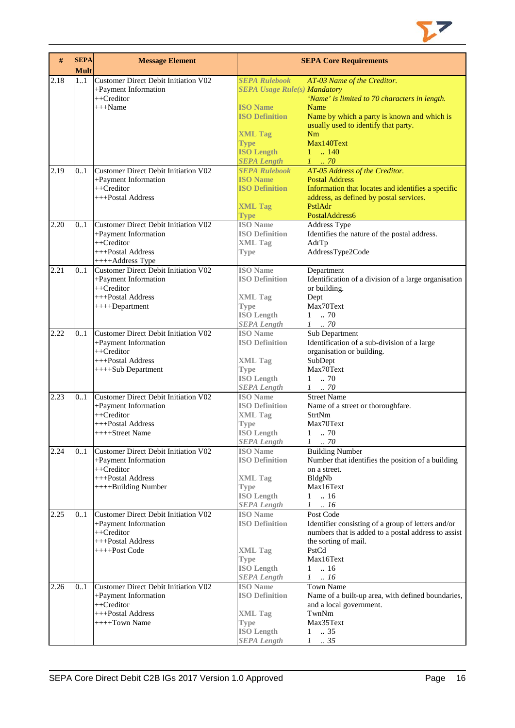

| $\#$ | <b>SEPA</b><br><b>Mult</b> | <b>Message Element</b>                                                                                                    |                                                                                                                                                                                     | <b>SEPA Core Requirements</b>                                                                                                                                                                                               |
|------|----------------------------|---------------------------------------------------------------------------------------------------------------------------|-------------------------------------------------------------------------------------------------------------------------------------------------------------------------------------|-----------------------------------------------------------------------------------------------------------------------------------------------------------------------------------------------------------------------------|
| 2.18 | 1.1                        | <b>Customer Direct Debit Initiation V02</b><br>+Payment Information<br>++Creditor<br>$+++Name$                            | <b>SEPA Rulebook</b><br><b>SEPA Usage Rule(s) Mandatory</b><br><b>ISO</b> Name<br><b>ISO Definition</b><br><b>XML Tag</b><br><b>Type</b><br><b>ISO Length</b><br><b>SEPA Length</b> | AT-03 Name of the Creditor.<br>'Name' is limited to 70 characters in length.<br>Name<br>Name by which a party is known and which is<br>usually used to identify that party.<br>Nm<br>Max140Text<br>$1 \t  140$<br>$1 \t 70$ |
| 2.19 | 0.1                        | Customer Direct Debit Initiation V02<br>+Payment Information<br>$++Creditor$<br>+++Postal Address                         | <b>SEPA Rulebook</b><br><b>ISO Name</b><br><b>ISO Definition</b><br><b>XML Tag</b><br><b>Type</b>                                                                                   | AT-05 Address of the Creditor.<br><b>Postal Address</b><br>Information that locates and identifies a specific<br>address, as defined by postal services.<br>PstlAdr<br>PostalAddress6                                       |
| 2.20 | 01                         | Customer Direct Debit Initiation V02<br>+Payment Information<br>$++Creditor$<br>+++Postal Address<br>++++Address Type     | <b>ISO</b> Name<br><b>ISO Definition</b><br><b>XML Tag</b><br><b>Type</b>                                                                                                           | Address Type<br>Identifies the nature of the postal address.<br>AdrTp<br>AddressType2Code                                                                                                                                   |
| 2.21 | 0.1                        | Customer Direct Debit Initiation V02<br>+Payment Information<br>++Creditor<br>+++Postal Address<br>++++Department         | <b>ISO</b> Name<br><b>ISO Definition</b><br><b>XML Tag</b><br><b>Type</b><br><b>ISO Length</b><br><b>SEPA Length</b>                                                                | Department<br>Identification of a division of a large organisation<br>or building.<br>Dept<br>Max70Text<br>70<br>$\mathbf{1}$<br>$1$ 70                                                                                     |
| 2.22 | 0.1                        | Customer Direct Debit Initiation V02<br>+Payment Information<br>++Creditor<br>+++Postal Address<br>++++Sub Department     | <b>ISO</b> Name<br><b>ISO Definition</b><br><b>XML Tag</b><br><b>Type</b><br><b>ISO Length</b><br><b>SEPA Length</b>                                                                | Sub Department<br>Identification of a sub-division of a large<br>organisation or building.<br>SubDept<br>Max70Text<br>70<br>1<br>$1 \t . 70$                                                                                |
| 2.23 | 0.1                        | <b>Customer Direct Debit Initiation V02</b><br>+Payment Information<br>++Creditor<br>+++Postal Address<br>++++Street Name | <b>ISO</b> Name<br><b>ISO Definition</b><br><b>XML Tag</b><br>Type<br><b>ISO Length</b><br><b>SEPA Length</b>                                                                       | <b>Street Name</b><br>Name of a street or thoroughfare.<br>StrtNm<br>Max70Text<br>$1 \t . 70$<br>1<br>$\therefore 70$                                                                                                       |
| 2.24 | 0.1                        | Customer Direct Debit Initiation V02<br>+Payment Information<br>++Creditor<br>+++Postal Address<br>++++Building Number    | <b>ISO</b> Name<br><b>ISO Definition</b><br><b>XML Tag</b><br><b>Type</b><br><b>ISO Length</b><br><b>SEPA Length</b>                                                                | <b>Building Number</b><br>Number that identifies the position of a building<br>on a street.<br>BldgNb<br>Max16Text<br>$1 \t . 16$<br>$1 \ldots 16$                                                                          |
| 2.25 | 0.1                        | Customer Direct Debit Initiation V02<br>+Payment Information<br>++Creditor<br>+++Postal Address<br>++++Post Code          | <b>ISO</b> Name<br><b>ISO Definition</b><br><b>XML Tag</b><br>Type<br><b>ISO Length</b><br><b>SEPA Length</b>                                                                       | Post Code<br>Identifier consisting of a group of letters and/or<br>numbers that is added to a postal address to assist<br>the sorting of mail.<br>PstCd<br>Max16Text<br>$1 \t . 16$<br>$1 \ldots 16$                        |
| 2.26 | 0.1                        | Customer Direct Debit Initiation V02<br>+Payment Information<br>++Creditor<br>+++Postal Address<br>++++Town Name          | <b>ISO</b> Name<br><b>ISO Definition</b><br><b>XML</b> Tag<br><b>Type</b><br><b>ISO Length</b><br><b>SEPA Length</b>                                                                | <b>Town Name</b><br>Name of a built-up area, with defined boundaries,<br>and a local government.<br>TwnNm<br>Max35Text<br>.35<br>$\mathbf{1}$<br>$1 \t . 35$                                                                |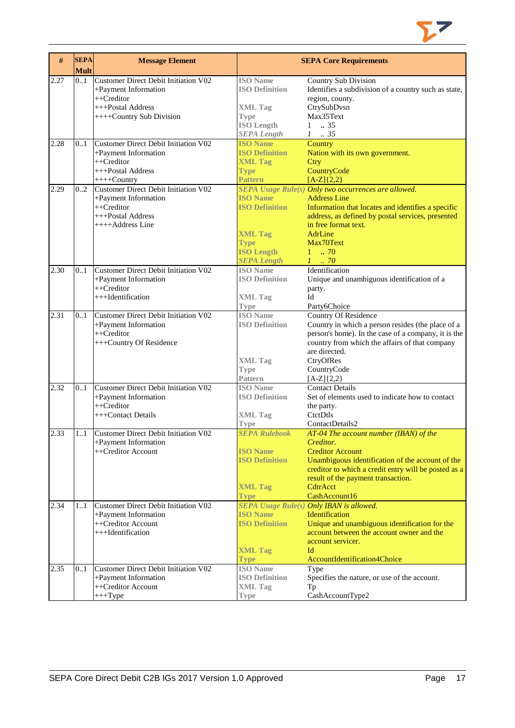

| #    | <b>SEPA</b><br><b>Mult</b> | <b>Message Element</b>                                                                                                      |                                                                                                                      | <b>SEPA Core Requirements</b>                                                                                                                                                                                                                                         |
|------|----------------------------|-----------------------------------------------------------------------------------------------------------------------------|----------------------------------------------------------------------------------------------------------------------|-----------------------------------------------------------------------------------------------------------------------------------------------------------------------------------------------------------------------------------------------------------------------|
| 2.27 | 01                         | Customer Direct Debit Initiation V02<br>+Payment Information<br>++Creditor<br>+++Postal Address<br>++++Country Sub Division | <b>ISO</b> Name<br><b>ISO Definition</b><br><b>XML Tag</b><br><b>Type</b><br><b>ISO Length</b>                       | Country Sub Division<br>Identifies a subdivision of a country such as state,<br>region, county.<br>CtrySubDvsn<br>Max35Text<br>$1 \t . 35$                                                                                                                            |
| 2.28 | 0.1                        | Customer Direct Debit Initiation V02<br>+Payment Information                                                                | <b>SEPA Length</b><br><b>ISO Name</b><br><b>ISO Definition</b>                                                       | $1-.35$<br>Country<br>Nation with its own government.                                                                                                                                                                                                                 |
|      |                            | $++Creditor$<br>+++Postal Address<br>$+++$ Country                                                                          | <b>XML Tag</b><br><b>Type</b><br><b>Pattern</b>                                                                      | Ctry<br>CountryCode<br>$[A-Z]{2,2}$                                                                                                                                                                                                                                   |
| 2.29 | 0.2                        | Customer Direct Debit Initiation V02<br>+Payment Information<br>++Creditor<br>+++Postal Address<br>++++Address Line         | <b>ISO Name</b><br><b>ISO Definition</b><br><b>XML Tag</b><br><b>Type</b><br><b>ISO Length</b><br><b>SEPA Length</b> | SEPA Usage Rule(s) Only two occurrences are allowed.<br><b>Address Line</b><br>Information that locates and identifies a specific<br>address, as defined by postal services, presented<br>in free format text.<br>AdrLine<br>Max70Text<br>$1 \t . 70$<br>$1 \dots 70$ |
| 2.30 | 0.1                        | <b>Customer Direct Debit Initiation V02</b><br>+Payment Information<br>++Creditor<br>+++Identification                      | <b>ISO Name</b><br><b>ISO Definition</b><br><b>XML Tag</b><br><b>Type</b>                                            | Identification<br>Unique and unambiguous identification of a<br>party.<br>Id<br>Party6Choice                                                                                                                                                                          |
| 2.31 | 0.1                        | Customer Direct Debit Initiation V02<br>+Payment Information<br>++Creditor<br>+++Country Of Residence                       | <b>ISO Name</b><br><b>ISO Definition</b><br><b>XML Tag</b><br><b>Type</b><br>Pattern                                 | <b>Country Of Residence</b><br>Country in which a person resides (the place of a<br>person's home). In the case of a company, it is the<br>country from which the affairs of that company<br>are directed.<br>CtryOfRes<br>CountryCode<br>$[A-Z]{2,2}$                |
| 2.32 | 0.1                        | Customer Direct Debit Initiation V02<br>+Payment Information<br>$++Creditor$<br>+++Contact Details                          | <b>ISO</b> Name<br><b>ISO Definition</b><br><b>XML Tag</b><br>Type                                                   | <b>Contact Details</b><br>Set of elements used to indicate how to contact<br>the party.<br>CtctDtls<br>ContactDetails2                                                                                                                                                |
| 2.33 | 11                         | <b>Customer Direct Debit Initiation V02</b><br>+Payment Information<br>++Creditor Account                                   | <b>SEPA Rulebook</b><br><b>ISO Name</b><br><b>ISO Definition</b><br><b>XML Tag</b><br><b>Type</b>                    | AT-04 The account number (IBAN) of the<br>Creditor.<br><b>Creditor Account</b><br>Unambiguous identification of the account of the<br>creditor to which a credit entry will be posted as a<br>result of the payment transaction.<br>CdtrAcct<br>CashAccount16         |
| 2.34 | 11                         | Customer Direct Debit Initiation V02<br>+Payment Information<br>++Creditor Account<br>+++Identification                     | <b>ISO Name</b><br><b>ISO Definition</b><br><b>XML Tag</b><br><b>Type</b>                                            | SEPA Usage Rule(s) Only IBAN is allowed.<br><b>Identification</b><br>Unique and unambiguous identification for the<br>account between the account owner and the<br>account servicer.<br>ЫI<br>AccountIdentification4Choice                                            |
| 2.35 | 0.1                        | Customer Direct Debit Initiation V02<br>+Payment Information<br>++Creditor Account<br>$+++Type$                             | <b>ISO</b> Name<br><b>ISO Definition</b><br><b>XML Tag</b><br>Type                                                   | Type<br>Specifies the nature, or use of the account.<br>Tp<br>CashAccountType2                                                                                                                                                                                        |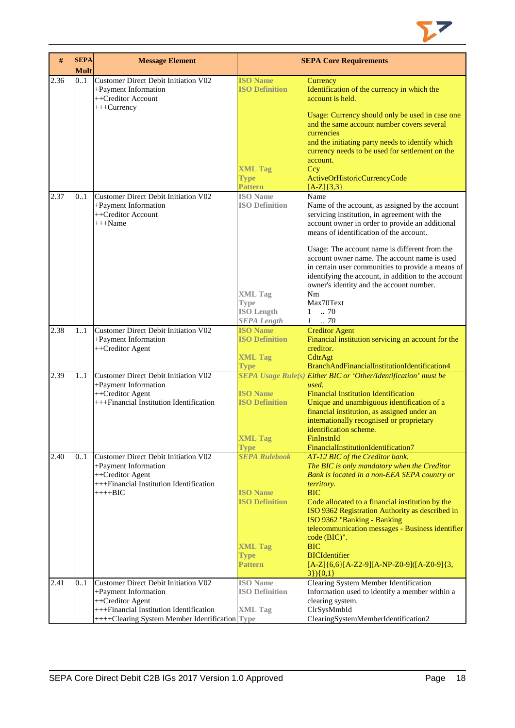

| #    | <b>SEPA</b><br><b>Mult</b> | <b>Message Element</b>                                                                                                                  |                                                                          | <b>SEPA Core Requirements</b>                                                                                                                                                                                                                                                                          |
|------|----------------------------|-----------------------------------------------------------------------------------------------------------------------------------------|--------------------------------------------------------------------------|--------------------------------------------------------------------------------------------------------------------------------------------------------------------------------------------------------------------------------------------------------------------------------------------------------|
| 2.36 | 0.1                        | <b>Customer Direct Debit Initiation V02</b><br>+Payment Information<br>++Creditor Account<br>+++Currency                                | <b>ISO Name</b><br><b>ISO Definition</b>                                 | Currency<br>Identification of the currency in which the<br>account is held.<br>Usage: Currency should only be used in case one<br>and the same account number covers several<br>currencies                                                                                                             |
|      |                            |                                                                                                                                         | <b>XML Tag</b><br><b>Type</b><br><b>Pattern</b>                          | and the initiating party needs to identify which<br>currency needs to be used for settlement on the<br>account.<br>Ccy<br>ActiveOrHistoricCurrencyCode<br>$[A-Z](3,3)$                                                                                                                                 |
| 2.37 | 0.1                        | Customer Direct Debit Initiation V02<br>+Payment Information<br>++Creditor Account<br>$+++Name$                                         | <b>ISO</b> Name<br><b>ISO Definition</b>                                 | Name<br>Name of the account, as assigned by the account<br>servicing institution, in agreement with the<br>account owner in order to provide an additional<br>means of identification of the account.<br>Usage: The account name is different from the<br>account owner name. The account name is used |
|      |                            |                                                                                                                                         | <b>XML Tag</b><br><b>Type</b><br><b>ISO Length</b><br><b>SEPA Length</b> | in certain user communities to provide a means of<br>identifying the account, in addition to the account<br>owner's identity and the account number.<br>Nm<br>Max70Text<br>$1-.70$<br>$1 \t . 70$                                                                                                      |
| 2.38 | 1.1                        | Customer Direct Debit Initiation V02<br>+Payment Information                                                                            | <b>ISO Name</b><br><b>ISO Definition</b>                                 | <b>Creditor Agent</b><br>Financial institution servicing an account for the                                                                                                                                                                                                                            |
|      |                            | ++Creditor Agent                                                                                                                        | <b>XML Tag</b><br><b>Type</b>                                            | creditor.<br>CdtrAgt<br>BranchAndFinancialInstitutionIdentification4                                                                                                                                                                                                                                   |
| 2.39 | 1.1                        | Customer Direct Debit Initiation V02<br>+Payment Information<br>++Creditor Agent<br>+++Financial Institution Identification             | <b>ISO Name</b><br><b>ISO Definition</b>                                 | SEPA Usage Rule(s) Either BIC or 'Other/Identification' must be<br>used.<br><b>Financial Institution Identification</b><br>Unique and unambiguous identification of a<br>financial institution, as assigned under an<br>internationally recognised or proprietary                                      |
|      |                            |                                                                                                                                         | <b>XML Tag</b><br><b>Type</b>                                            | identification scheme.<br>FinInstnId<br>FinancialInstitutionIdentification7                                                                                                                                                                                                                            |
| 2.40 | 01                         | Customer Direct Debit Initiation V02<br>+Payment Information<br>++Creditor Agent<br>+++Financial Institution Identification<br>$+++BIC$ | <b>SEPA Rulebook</b><br><b>ISO Name</b>                                  | AT-12 BIC of the Creditor bank.<br>The BIC is only mandatory when the Creditor<br>Bank is located in a non-EEA SEPA country or<br>territory.<br><b>BIC</b>                                                                                                                                             |
|      |                            |                                                                                                                                         | <b>ISO Definition</b>                                                    | Code allocated to a financial institution by the<br>ISO 9362 Registration Authority as described in<br>ISO 9362 "Banking - Banking<br>telecommunication messages - Business identifier<br>$code(BIC)$ ".                                                                                               |
|      |                            |                                                                                                                                         | <b>XML Tag</b><br><b>Type</b><br>Pattern                                 | <b>BIC</b><br><b>BICIdentifier</b><br>$[A-Z]$ {6,6}[A-Z2-9][A-NP-Z0-9]([A-Z0-9]{3,<br>$3\}$ { 0,1 }                                                                                                                                                                                                    |
| 2.41 | 0.1                        | Customer Direct Debit Initiation V02<br>+Payment Information                                                                            | <b>ISO</b> Name<br><b>ISO Definition</b>                                 | Clearing System Member Identification<br>Information used to identify a member within a                                                                                                                                                                                                                |
|      |                            | ++Creditor Agent<br>+++Financial Institution Identification<br>++++Clearing System Member Identification Type                           | <b>XML</b> Tag                                                           | clearing system.<br>ClrSysMmbId<br>ClearingSystemMemberIdentification2                                                                                                                                                                                                                                 |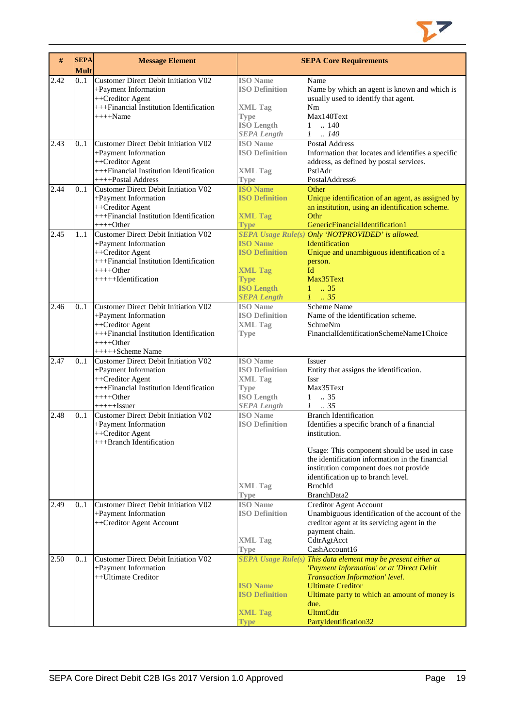

| #    | <b>SEPA</b><br><b>Mult</b> | <b>Message Element</b>                                                                                                                                             |                                                                                                                      | <b>SEPA Core Requirements</b>                                                                                                                                                                                                                                                                                   |
|------|----------------------------|--------------------------------------------------------------------------------------------------------------------------------------------------------------------|----------------------------------------------------------------------------------------------------------------------|-----------------------------------------------------------------------------------------------------------------------------------------------------------------------------------------------------------------------------------------------------------------------------------------------------------------|
| 2.42 | 01                         | Customer Direct Debit Initiation V02<br>+Payment Information<br>++Creditor Agent<br>+++Financial Institution Identification<br>$+++$ Name                          | <b>ISO</b> Name<br><b>ISO Definition</b><br><b>XML Tag</b><br><b>Type</b><br><b>ISO Length</b><br><b>SEPA Length</b> | Name<br>Name by which an agent is known and which is<br>usually used to identify that agent.<br>Nm<br>Max140Text<br>.140<br>1<br>$1-.140$                                                                                                                                                                       |
| 2.43 | 0.1                        | Customer Direct Debit Initiation V02<br>+Payment Information<br>++Creditor Agent<br>+++Financial Institution Identification<br>++++Postal Address                  | <b>ISO</b> Name<br><b>ISO Definition</b><br><b>XML Tag</b><br>Type                                                   | <b>Postal Address</b><br>Information that locates and identifies a specific<br>address, as defined by postal services.<br>PstlAdr<br>PostalAddress6                                                                                                                                                             |
| 2.44 | 0.1                        | Customer Direct Debit Initiation V02<br>+Payment Information<br>++Creditor Agent<br>+++Financial Institution Identification<br>$++++Other$                         | <b>ISO Name</b><br><b>ISO Definition</b><br><b>XML Tag</b><br><b>Type</b>                                            | Other<br>Unique identification of an agent, as assigned by<br>an institution, using an identification scheme.<br>Othr<br>GenericFinancialIdentification1                                                                                                                                                        |
| 2.45 | 11                         | Customer Direct Debit Initiation V02<br>+Payment Information<br>++Creditor Agent<br>+++Financial Institution Identification<br>$+++Other$<br>+++++Hdentification   | <b>ISO Name</b><br><b>ISO Definition</b><br><b>XML Tag</b><br><b>Type</b><br><b>ISO Length</b><br><b>SEPA Length</b> | SEPA Usage Rule(s) Only 'NOTPROVIDED' is allowed.<br>Identification<br>Unique and unambiguous identification of a<br>person.<br>Id<br>Max35Text<br>$1 \t . 35$<br>$1-.35$                                                                                                                                       |
| 2.46 | 0.1                        | Customer Direct Debit Initiation V02<br>+Payment Information<br>++Creditor Agent<br>+++Financial Institution Identification<br>$+++Other$<br>+++++Scheme Name      | <b>ISO</b> Name<br><b>ISO Definition</b><br><b>XML Tag</b><br><b>Type</b>                                            | Scheme Name<br>Name of the identification scheme.<br>SchmeNm<br>FinancialIdentificationSchemeName1Choice                                                                                                                                                                                                        |
| 2.47 | 0.1                        | <b>Customer Direct Debit Initiation V02</b><br>+Payment Information<br>++Creditor Agent<br>+++Financial Institution Identification<br>$+++O$ ther<br>$++++-Issuer$ | <b>ISO</b> Name<br><b>ISO Definition</b><br><b>XML Tag</b><br>Type<br><b>ISO Length</b><br><b>SEPA</b> Length        | Issuer<br>Entity that assigns the identification.<br><b>Issr</b><br>Max35Text<br>1<br>$\ldots$ 35<br>.35<br>$\mathcal{I}$                                                                                                                                                                                       |
| 2.48 | 0.1                        | <b>Customer Direct Debit Initiation V02</b><br>+Payment Information<br>++Creditor Agent<br>+++Branch Identification                                                | <b>ISO</b> Name<br><b>ISO Definition</b><br><b>XML Tag</b><br><b>Type</b>                                            | <b>Branch Identification</b><br>Identifies a specific branch of a financial<br>institution.<br>Usage: This component should be used in case<br>the identification information in the financial<br>institution component does not provide<br>identification up to branch level.<br><b>BrnchId</b><br>BranchData2 |
| 2.49 | 0.1                        | Customer Direct Debit Initiation V02<br>+Payment Information<br>++Creditor Agent Account                                                                           | <b>ISO</b> Name<br><b>ISO Definition</b><br><b>XML Tag</b><br><b>Type</b>                                            | <b>Creditor Agent Account</b><br>Unambiguous identification of the account of the<br>creditor agent at its servicing agent in the<br>payment chain.<br>CdtrAgtAcct<br>CashAccount16                                                                                                                             |
| 2.50 | 0.1                        | Customer Direct Debit Initiation V02<br>+Payment Information<br>++Ultimate Creditor                                                                                | <b>ISO Name</b><br><b>ISO Definition</b><br><b>XML Tag</b><br><b>Type</b>                                            | SEPA Usage Rule(s) This data element may be present either at<br>'Payment Information' or at 'Direct Debit<br>Transaction Information' level.<br><b>Ultimate Creditor</b><br>Ultimate party to which an amount of money is<br>due.<br><b>UltmtCdtr</b><br>PartyIdentification32                                 |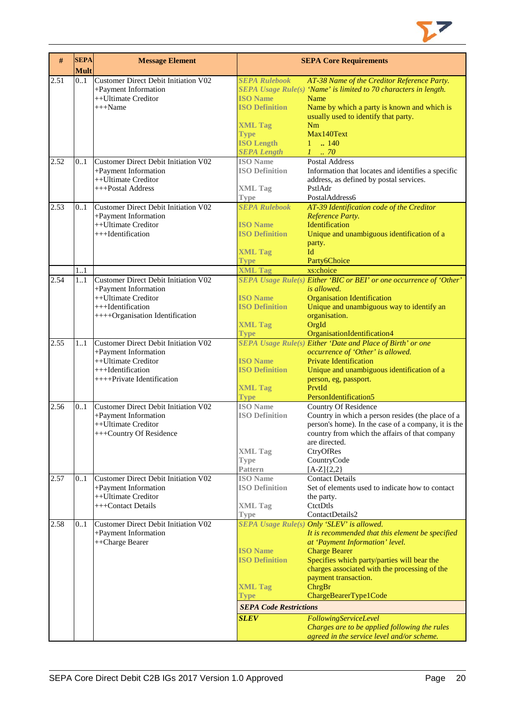

| #    | <b>SEPA</b><br><b>Mult</b> | <b>Message Element</b>                                                                     |                                                        | <b>SEPA Core Requirements</b>                                                                                           |
|------|----------------------------|--------------------------------------------------------------------------------------------|--------------------------------------------------------|-------------------------------------------------------------------------------------------------------------------------|
| 2.51 | 0.1                        | <b>Customer Direct Debit Initiation V02</b><br>+Payment Information<br>++Ultimate Creditor | <b>SEPA Rulebook</b><br><b>ISO Name</b>                | AT-38 Name of the Creditor Reference Party.<br>SEPA Usage Rule(s) 'Name' is limited to 70 characters in length.<br>Name |
|      |                            | $+++Name$                                                                                  | <b>ISO Definition</b>                                  | Name by which a party is known and which is<br>usually used to identify that party.                                     |
|      |                            |                                                                                            | <b>XML Tag</b>                                         | Nm<br>Max140Text                                                                                                        |
|      |                            |                                                                                            | <b>Type</b><br><b>ISO Length</b><br><b>SEPA Length</b> | $1 \t{.} 140$<br>$1 \cdot .70$                                                                                          |
| 2.52 | 0.1                        | Customer Direct Debit Initiation V02                                                       | <b>ISO</b> Name                                        | Postal Address                                                                                                          |
|      |                            | +Payment Information<br>++Ultimate Creditor                                                | <b>ISO Definition</b>                                  | Information that locates and identifies a specific<br>address, as defined by postal services.                           |
|      |                            | +++Postal Address                                                                          | <b>XML Tag</b><br><b>Type</b>                          | PstlAdr<br>PostalAddress6                                                                                               |
| 2.53 | 0.1                        | Customer Direct Debit Initiation V02                                                       | <b>SEPA Rulebook</b>                                   | AT-39 Identification code of the Creditor                                                                               |
|      |                            | +Payment Information                                                                       |                                                        | Reference Party.                                                                                                        |
|      |                            | ++Ultimate Creditor                                                                        | <b>ISO Name</b>                                        | Identification                                                                                                          |
|      |                            | +++Identification                                                                          | <b>ISO Definition</b>                                  | Unique and unambiguous identification of a                                                                              |
|      |                            |                                                                                            | <b>XML Tag</b>                                         | party.<br>Id                                                                                                            |
|      |                            |                                                                                            | <b>Type</b>                                            | Party6Choice                                                                                                            |
|      | 1.1                        |                                                                                            | <b>XML Tag</b>                                         | xs:choice                                                                                                               |
| 2.54 | 11                         | Customer Direct Debit Initiation V02                                                       |                                                        | SEPA Usage Rule(s) Either 'BIC or BEI' or one occurrence of 'Other'                                                     |
|      |                            | +Payment Information<br>++Ultimate Creditor                                                | <b>ISO</b> Name                                        | is allowed.<br><b>Organisation Identification</b>                                                                       |
|      |                            | +++Identification                                                                          | <b>ISO Definition</b>                                  | Unique and unambiguous way to identify an                                                                               |
|      |                            | ++++Organisation Identification                                                            |                                                        | organisation.                                                                                                           |
|      |                            |                                                                                            | <b>XML Tag</b>                                         | OrgId                                                                                                                   |
|      |                            |                                                                                            | <b>Type</b>                                            | OrganisationIdentification4                                                                                             |
| 2.55 | 11                         | Customer Direct Debit Initiation V02                                                       |                                                        | SEPA Usage Rule(s) Either 'Date and Place of Birth' or one                                                              |
|      |                            | +Payment Information<br>++Ultimate Creditor                                                | <b>ISO</b> Name                                        | occurrence of 'Other' is allowed.<br><b>Private Identification</b>                                                      |
|      |                            | +++Identification                                                                          | <b>ISO Definition</b>                                  | Unique and unambiguous identification of a                                                                              |
|      |                            | $++++$ Private Identification                                                              |                                                        | person, eg, passport.                                                                                                   |
|      |                            |                                                                                            | <b>XML Tag</b>                                         | PrvtId                                                                                                                  |
|      |                            | Customer Direct Debit Initiation V02                                                       | <b>Type</b><br><b>ISO</b> Name                         | PersonIdentification5                                                                                                   |
| 2.56 | 0.1                        | +Payment Information                                                                       | <b>ISO Definition</b>                                  | Country Of Residence<br>Country in which a person resides (the place of a                                               |
|      |                            | ++Ultimate Creditor                                                                        |                                                        | person's home). In the case of a company, it is the                                                                     |
|      |                            | +++Country Of Residence                                                                    |                                                        | country from which the affairs of that company                                                                          |
|      |                            |                                                                                            |                                                        | are directed.                                                                                                           |
|      |                            |                                                                                            | <b>XML Tag</b>                                         | CtryOfRes                                                                                                               |
|      |                            |                                                                                            | Type<br><b>Pattern</b>                                 | CountryCode<br>$[A-Z]\{2,2\}$                                                                                           |
| 2.57 | 0.1                        | Customer Direct Debit Initiation V02                                                       | <b>ISO</b> Name                                        | <b>Contact Details</b>                                                                                                  |
|      |                            | +Payment Information                                                                       | <b>ISO Definition</b>                                  | Set of elements used to indicate how to contact                                                                         |
|      |                            | ++Ultimate Creditor                                                                        |                                                        | the party.                                                                                                              |
|      |                            | +++Contact Details                                                                         | <b>XML Tag</b>                                         | CtctDtls                                                                                                                |
| 2.58 | 01                         | <b>Customer Direct Debit Initiation V02</b>                                                | <b>Type</b>                                            | ContactDetails2<br>SEPA Usage Rule(s) Only 'SLEV' is allowed.                                                           |
|      |                            | +Payment Information                                                                       |                                                        | It is recommended that this element be specified                                                                        |
|      |                            | ++Charge Bearer                                                                            |                                                        | at 'Payment Information' level.                                                                                         |
|      |                            |                                                                                            | <b>ISO</b> Name                                        | <b>Charge Bearer</b>                                                                                                    |
|      |                            |                                                                                            | <b>ISO Definition</b>                                  | Specifies which party/parties will bear the<br>charges associated with the processing of the                            |
|      |                            |                                                                                            |                                                        | payment transaction.                                                                                                    |
|      |                            |                                                                                            | <b>XML Tag</b><br>Type                                 | ChrgBr<br>ChargeBearerType1Code                                                                                         |
|      |                            |                                                                                            | <b>SEPA Code Restrictions</b>                          |                                                                                                                         |
|      |                            |                                                                                            | <b>SLEV</b>                                            | FollowingServiceLevel                                                                                                   |
|      |                            |                                                                                            |                                                        | Charges are to be applied following the rules                                                                           |
|      |                            |                                                                                            |                                                        | agreed in the service level and/or scheme.                                                                              |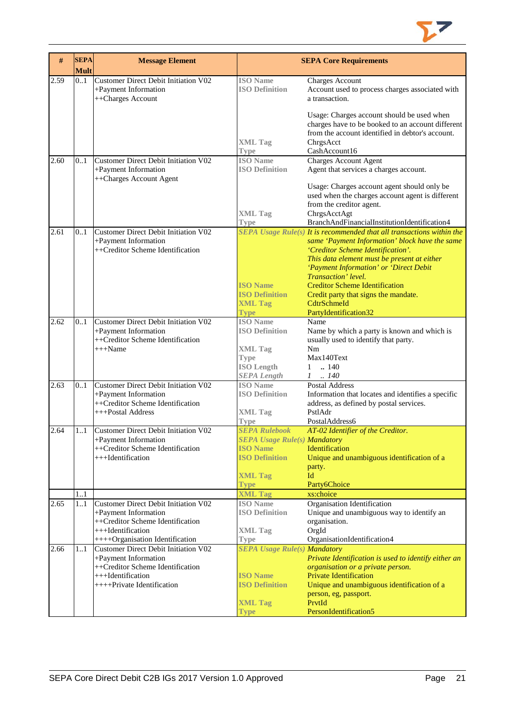

| #    | <b>SEPA</b><br><b>Mult</b> | <b>Message Element</b>                                                            |                                          | <b>SEPA Core Requirements</b>                                                                                                                                                     |
|------|----------------------------|-----------------------------------------------------------------------------------|------------------------------------------|-----------------------------------------------------------------------------------------------------------------------------------------------------------------------------------|
| 2.59 | 0.1                        | Customer Direct Debit Initiation V02<br>+Payment Information<br>++Charges Account | <b>ISO</b> Name<br><b>ISO Definition</b> | Charges Account<br>Account used to process charges associated with<br>a transaction.                                                                                              |
|      |                            |                                                                                   | <b>XML Tag</b>                           | Usage: Charges account should be used when<br>charges have to be booked to an account different<br>from the account identified in debtor's account.<br>ChrgsAcct<br>CashAccount16 |
| 2.60 | 0.1                        | Customer Direct Debit Initiation V02                                              | Type<br><b>ISO</b> Name                  | Charges Account Agent                                                                                                                                                             |
|      |                            | +Payment Information<br>++Charges Account Agent                                   | <b>ISO Definition</b>                    | Agent that services a charges account.                                                                                                                                            |
|      |                            |                                                                                   |                                          | Usage: Charges account agent should only be<br>used when the charges account agent is different<br>from the creditor agent.                                                       |
|      |                            |                                                                                   | <b>XML Tag</b>                           | ChrgsAcctAgt                                                                                                                                                                      |
| 2.61 | 0.1                        | Customer Direct Debit Initiation V02                                              | <b>Type</b>                              | BranchAndFinancialInstitutionIdentification4<br><b>SEPA</b> Usage Rule(s) It is recommended that all transactions within the                                                      |
|      |                            | +Payment Information                                                              |                                          | same 'Payment Information' block have the same                                                                                                                                    |
|      |                            | ++Creditor Scheme Identification                                                  |                                          | 'Creditor Scheme Identification'.                                                                                                                                                 |
|      |                            |                                                                                   |                                          | This data element must be present at either                                                                                                                                       |
|      |                            |                                                                                   |                                          | 'Payment Information' or 'Direct Debit                                                                                                                                            |
|      |                            |                                                                                   | <b>ISO Name</b>                          | Transaction' level.<br><b>Creditor Scheme Identification</b>                                                                                                                      |
|      |                            |                                                                                   | <b>ISO Definition</b>                    | Credit party that signs the mandate.                                                                                                                                              |
|      |                            |                                                                                   | <b>XML Tag</b>                           | CdtrSchmeId                                                                                                                                                                       |
|      |                            |                                                                                   | <b>Type</b>                              | PartyIdentification32                                                                                                                                                             |
| 2.62 | 0.1                        | Customer Direct Debit Initiation V02                                              | <b>ISO</b> Name<br><b>ISO Definition</b> | Name                                                                                                                                                                              |
|      |                            | +Payment Information<br>++Creditor Scheme Identification                          |                                          | Name by which a party is known and which is<br>usually used to identify that party.                                                                                               |
|      |                            | $+++Name$                                                                         | <b>XML Tag</b>                           | Nm                                                                                                                                                                                |
|      |                            |                                                                                   | <b>Type</b>                              | Max140Text                                                                                                                                                                        |
|      |                            |                                                                                   | <b>ISO Length</b>                        | $\ln 140$<br>$\mathbf{1}$                                                                                                                                                         |
| 2.63 | 0.1                        | Customer Direct Debit Initiation V02                                              | <b>SEPA Length</b><br><b>ISO</b> Name    | $1 \t . 140$<br><b>Postal Address</b>                                                                                                                                             |
|      |                            | +Payment Information                                                              | <b>ISO Definition</b>                    | Information that locates and identifies a specific                                                                                                                                |
|      |                            | ++Creditor Scheme Identification                                                  |                                          | address, as defined by postal services.                                                                                                                                           |
|      |                            | +++Postal Address                                                                 | <b>XML Tag</b>                           | PstlAdr                                                                                                                                                                           |
| 2.64 | 11                         | Customer Direct Debit Initiation V02                                              | <b>Type</b><br><b>SEPA Rulebook</b>      | PostalAddress6<br>AT-02 Identifier of the Creditor.                                                                                                                               |
|      |                            | +Payment Information                                                              | <b>SEPA Usage Rule(s) Mandatory</b>      |                                                                                                                                                                                   |
|      |                            | ++Creditor Scheme Identification                                                  | <b>ISO</b> Name                          | Identification                                                                                                                                                                    |
|      |                            | +++Identification                                                                 | <b>ISO Definition</b>                    | Unique and unambiguous identification of a                                                                                                                                        |
|      |                            |                                                                                   |                                          | party.                                                                                                                                                                            |
|      |                            |                                                                                   | <b>XML Tag</b><br><b>Type</b>            | Id<br>Party6Choice                                                                                                                                                                |
|      | 1.1                        |                                                                                   | <b>XML Tag</b>                           | xs:choice                                                                                                                                                                         |
| 2.65 | 1.1                        | Customer Direct Debit Initiation V02                                              | <b>ISO</b> Name                          | Organisation Identification                                                                                                                                                       |
|      |                            | +Payment Information                                                              | <b>ISO Definition</b>                    | Unique and unambiguous way to identify an                                                                                                                                         |
|      |                            | ++Creditor Scheme Identification<br>+++Identification                             | <b>XML Tag</b>                           | organisation.<br>OrgId                                                                                                                                                            |
|      |                            | ++++Organisation Identification                                                   | <b>Type</b>                              | OrganisationIdentification4                                                                                                                                                       |
| 2.66 | 11                         | Customer Direct Debit Initiation V02                                              | <b>SEPA Usage Rule(s) Mandatory</b>      |                                                                                                                                                                                   |
|      |                            | +Payment Information                                                              |                                          | Private Identification is used to identify either an                                                                                                                              |
|      |                            | ++Creditor Scheme Identification<br>+++Identification                             | <b>ISO Name</b>                          | organisation or a private person.                                                                                                                                                 |
|      |                            | ++++Private Identification                                                        | <b>ISO Definition</b>                    | <b>Private Identification</b><br>Unique and unambiguous identification of a                                                                                                       |
|      |                            |                                                                                   |                                          | person, eg, passport.                                                                                                                                                             |
|      |                            |                                                                                   | <b>XML Tag</b>                           | PrvtId                                                                                                                                                                            |
|      |                            |                                                                                   | Type                                     | PersonIdentification5                                                                                                                                                             |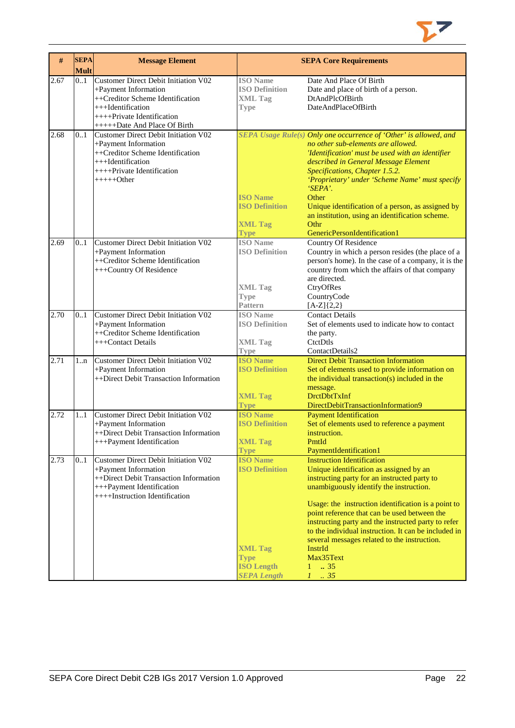

| #    | <b>SEPA</b><br><b>Mult</b> | <b>Message Element</b>                                                                                                                                                                 |                                                                                                                      | <b>SEPA Core Requirements</b>                                                                                                                                                                                                                                                                                                                                                                                                                                                                                            |
|------|----------------------------|----------------------------------------------------------------------------------------------------------------------------------------------------------------------------------------|----------------------------------------------------------------------------------------------------------------------|--------------------------------------------------------------------------------------------------------------------------------------------------------------------------------------------------------------------------------------------------------------------------------------------------------------------------------------------------------------------------------------------------------------------------------------------------------------------------------------------------------------------------|
| 2.67 | 0.1                        | Customer Direct Debit Initiation V02<br>+Payment Information<br>++Creditor Scheme Identification<br>+++Identification<br>$++++$ Private Identification<br>+++++Date And Place Of Birth | <b>ISO</b> Name<br><b>ISO Definition</b><br><b>XML Tag</b><br><b>Type</b>                                            | Date And Place Of Birth<br>Date and place of birth of a person.<br>DtAndPlcOfBirth<br>DateAndPlaceOfBirth                                                                                                                                                                                                                                                                                                                                                                                                                |
| 2.68 | 0.1                        | Customer Direct Debit Initiation V02<br>+Payment Information<br>++Creditor Scheme Identification<br>+++Identification<br>++++Private Identification<br>$+++++Other$                    | <b>ISO Name</b><br><b>ISO Definition</b><br><b>XML Tag</b><br><b>Type</b>                                            | SEPA Usage Rule(s) Only one occurrence of 'Other' is allowed, and<br>no other sub-elements are allowed.<br>'Identification' must be used with an identifier<br>described in General Message Element<br>Specifications, Chapter 1.5.2.<br>'Proprietary' under 'Scheme Name' must specify<br>'SEPA'.<br>Other<br>Unique identification of a person, as assigned by<br>an institution, using an identification scheme.<br>Othr<br>GenericPersonIdentification1                                                              |
| 2.69 | 0.1                        | Customer Direct Debit Initiation V02<br>+Payment Information<br>++Creditor Scheme Identification<br>+++Country Of Residence                                                            | <b>ISO</b> Name<br><b>ISO Definition</b><br><b>XML Tag</b><br><b>Type</b><br><b>Pattern</b>                          | <b>Country Of Residence</b><br>Country in which a person resides (the place of a<br>person's home). In the case of a company, it is the<br>country from which the affairs of that company<br>are directed.<br>CtryOfRes<br>CountryCode<br>$[A-Z]\{2,2\}$                                                                                                                                                                                                                                                                 |
| 2.70 | 0.1                        | Customer Direct Debit Initiation V02<br>+Payment Information<br>++Creditor Scheme Identification<br>+++Contact Details                                                                 | <b>ISO</b> Name<br><b>ISO Definition</b><br><b>XML Tag</b><br><b>Type</b>                                            | <b>Contact Details</b><br>Set of elements used to indicate how to contact<br>the party.<br>CtctDtls<br>ContactDetails2                                                                                                                                                                                                                                                                                                                                                                                                   |
| 2.71 | 1n                         | <b>Customer Direct Debit Initiation V02</b><br>+Payment Information<br>++Direct Debit Transaction Information                                                                          | <b>ISO Name</b><br><b>ISO Definition</b><br><b>XML Tag</b><br><b>Type</b>                                            | <b>Direct Debit Transaction Information</b><br>Set of elements used to provide information on<br>the individual transaction(s) included in the<br>message.<br><b>DrctDbtTxInf</b><br>DirectDebitTransactionInformation9                                                                                                                                                                                                                                                                                                  |
| 2.72 | 1.1                        | Customer Direct Debit Initiation V02<br>+Payment Information<br>++Direct Debit Transaction Information<br>+++Payment Identification                                                    | <b>ISO Name</b><br><b>ISO Definition</b><br><b>XML Tag</b><br><b>Type</b>                                            | <b>Payment Identification</b><br>Set of elements used to reference a payment<br>instruction.<br>PmtId<br>PaymentIdentification1                                                                                                                                                                                                                                                                                                                                                                                          |
| 2.73 | 0.1                        | Customer Direct Debit Initiation V02<br>+Payment Information<br>++Direct Debit Transaction Information<br>+++Payment Identification<br>++++Instruction Identification                  | <b>ISO Name</b><br><b>ISO Definition</b><br><b>XML Tag</b><br><b>Type</b><br><b>ISO Length</b><br><b>SEPA Length</b> | <b>Instruction Identification</b><br>Unique identification as assigned by an<br>instructing party for an instructed party to<br>unambiguously identify the instruction.<br>Usage: the instruction identification is a point to<br>point reference that can be used between the<br>instructing party and the instructed party to refer<br>to the individual instruction. It can be included in<br>several messages related to the instruction.<br>InstrId<br>Max35Text<br>$1 \t . 35$<br>$\overline{35}$<br>$\mathcal{I}$ |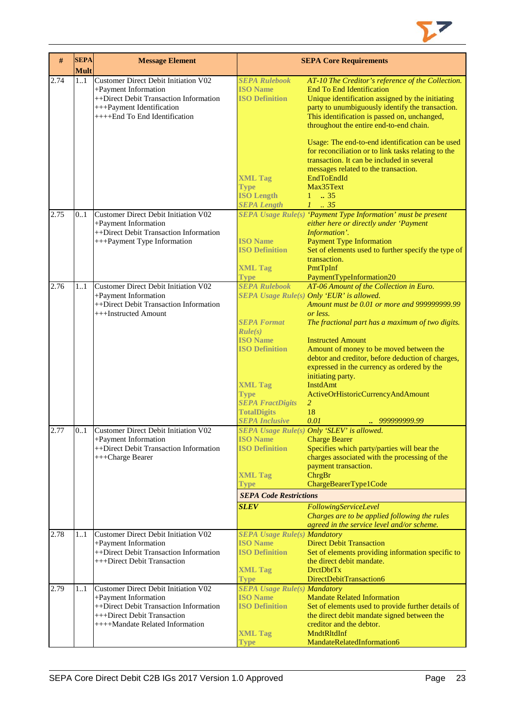

| #    | <b>SEPA</b><br><b>Mult</b> | <b>Message Element</b>                                                                                                                                                          |                                                                                                                                 | <b>SEPA Core Requirements</b>                                                                                                                                                                                                                                                            |
|------|----------------------------|---------------------------------------------------------------------------------------------------------------------------------------------------------------------------------|---------------------------------------------------------------------------------------------------------------------------------|------------------------------------------------------------------------------------------------------------------------------------------------------------------------------------------------------------------------------------------------------------------------------------------|
| 2.74 | 11                         | <b>Customer Direct Debit Initiation V02</b><br>+Payment Information<br>++Direct Debit Transaction Information<br>+++Payment Identification<br>++++End To End Identification     | <b>SEPA Rulebook</b><br><b>ISO Name</b><br><b>ISO Definition</b>                                                                | AT-10 The Creditor's reference of the Collection.<br><b>End To End Identification</b><br>Unique identification assigned by the initiating<br>party to unumbiguously identify the transaction.<br>This identification is passed on, unchanged,<br>throughout the entire end-to-end chain. |
|      |                            |                                                                                                                                                                                 | <b>XML Tag</b><br><b>Type</b><br><b>ISO Length</b><br><b>SEPA Length</b>                                                        | Usage: The end-to-end identification can be used<br>for reconciliation or to link tasks relating to the<br>transaction. It can be included in several<br>messages related to the transaction.<br>EndToEndId<br>Max35Text<br>$1 \t . 35$<br>$1 \t35$                                      |
| 2.75 | 0.1                        | <b>Customer Direct Debit Initiation V02</b><br>+Payment Information<br>++Direct Debit Transaction Information                                                                   |                                                                                                                                 | SEPA Usage Rule(s) 'Payment Type Information' must be present<br>either here or directly under 'Payment<br>Information'.                                                                                                                                                                 |
|      |                            | +++Payment Type Information                                                                                                                                                     | <b>ISO Name</b><br><b>ISO Definition</b><br><b>XML Tag</b><br><b>Type</b>                                                       | <b>Payment Type Information</b><br>Set of elements used to further specify the type of<br>transaction.<br>PmtTpInf<br>PaymentTypeInformation20                                                                                                                                           |
| 2.76 | 11                         | Customer Direct Debit Initiation V02<br>+Payment Information<br>++Direct Debit Transaction Information<br>+++Instructed Amount                                                  | <b>SEPA Rulebook</b><br><b>SEPA Format</b>                                                                                      | AT-06 Amount of the Collection in Euro.<br>SEPA Usage Rule(s) Only 'EUR' is allowed.<br>Amount must be 0.01 or more and 999999999.99<br>or less.<br>The fractional part has a maximum of two digits.                                                                                     |
|      |                            |                                                                                                                                                                                 | Rule(s)<br><b>ISO Name</b><br><b>ISO Definition</b><br><b>XML Tag</b><br><b>Type</b><br><b>SEPA FractDigits</b>                 | <b>Instructed Amount</b><br>Amount of money to be moved between the<br>debtor and creditor, before deduction of charges,<br>expressed in the currency as ordered by the<br>initiating party.<br><b>InstdAmt</b><br>ActiveOrHistoricCurrencyAndAmount<br>$\overline{2}$                   |
|      |                            |                                                                                                                                                                                 | <b>TotalDigits</b><br><b>SEPA Inclusive</b>                                                                                     | 18<br>0.01<br>999999999.99<br>à,                                                                                                                                                                                                                                                         |
| 2.77 | 0.1                        | <b>Customer Direct Debit Initiation V02</b><br>+Payment Information<br>++Direct Debit Transaction Information<br>+++Charge Bearer                                               | <b>ISO Name</b> Charge Bearer<br><b>ISO Definition</b><br><b>XML Tag</b><br>Type                                                | SEPA Usage Rule(s) Only 'SLEV' is allowed.<br>Specifies which party/parties will bear the<br>charges associated with the processing of the<br>payment transaction.<br>ChrgBr<br>ChargeBearerType1Code                                                                                    |
|      |                            |                                                                                                                                                                                 | <b>SEPA Code Restrictions</b><br><b>SLEV</b>                                                                                    | FollowingServiceLevel                                                                                                                                                                                                                                                                    |
|      |                            |                                                                                                                                                                                 |                                                                                                                                 | Charges are to be applied following the rules<br>agreed in the service level and/or scheme.                                                                                                                                                                                              |
| 2.78 | 11                         | Customer Direct Debit Initiation V02<br>+Payment Information<br>++Direct Debit Transaction Information<br>+++Direct Debit Transaction                                           | <b>SEPA Usage Rule(s) Mandatory</b><br><b>ISO Name</b><br><b>ISO Definition</b><br><b>XML Tag</b>                               | <b>Direct Debit Transaction</b><br>Set of elements providing information specific to<br>the direct debit mandate.<br><b>DrctDbtTx</b>                                                                                                                                                    |
| 2.79 | 11                         | <b>Customer Direct Debit Initiation V02</b><br>+Payment Information<br>++Direct Debit Transaction Information<br>+++Direct Debit Transaction<br>++++Mandate Related Information | <b>Type</b><br><b>SEPA Usage Rule(s) Mandatory</b><br><b>ISO Name</b><br><b>ISO Definition</b><br><b>XML Tag</b><br><b>Type</b> | DirectDebitTransaction6<br><b>Mandate Related Information</b><br>Set of elements used to provide further details of<br>the direct debit mandate signed between the<br>creditor and the debtor.<br>MndtRltdInf<br>MandateRelatedInformation6                                              |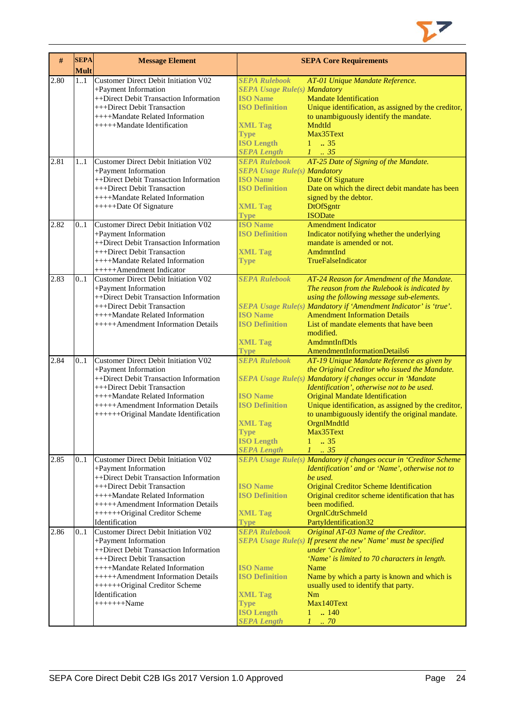

| #    | <b>SEPA</b><br><b>Mult</b> | <b>Message Element</b>                      |                                     | <b>SEPA Core Requirements</b>                                     |
|------|----------------------------|---------------------------------------------|-------------------------------------|-------------------------------------------------------------------|
| 2.80 | 11                         | <b>Customer Direct Debit Initiation V02</b> | <b>SEPA Rulebook</b>                | AT-01 Unique Mandate Reference.                                   |
|      |                            | +Payment Information                        | <b>SEPA Usage Rule(s) Mandatory</b> |                                                                   |
|      |                            | ++Direct Debit Transaction Information      | <b>ISO Name</b>                     | <b>Mandate Identification</b>                                     |
|      |                            | +++Direct Debit Transaction                 | <b>ISO Definition</b>               | Unique identification, as assigned by the creditor,               |
|      |                            | ++++Mandate Related Information             |                                     |                                                                   |
|      |                            |                                             |                                     | to unambiguously identify the mandate.                            |
|      |                            | +++++Mandate Identification                 | <b>XML Tag</b>                      | MndtId                                                            |
|      |                            |                                             | <b>Type</b>                         | Max35Text                                                         |
|      |                            |                                             | <b>ISO Length</b>                   | $1 \t . 35$                                                       |
|      |                            |                                             | <b>SEPA Length</b>                  | $1 \t 35$                                                         |
| 2.81 | 11                         | Customer Direct Debit Initiation V02        | <b>SEPA Rulebook</b>                | AT-25 Date of Signing of the Mandate.                             |
|      |                            | +Payment Information                        | <b>SEPA Usage Rule(s) Mandatory</b> |                                                                   |
|      |                            | ++Direct Debit Transaction Information      | <b>ISO Name</b>                     | Date Of Signature                                                 |
|      |                            | +++Direct Debit Transaction                 | <b>ISO Definition</b>               | Date on which the direct debit mandate has been                   |
|      |                            | ++++Mandate Related Information             |                                     | signed by the debtor.                                             |
|      |                            | ++++++Date Of Signature                     | <b>XML Tag</b>                      | <b>DtOfSgntr</b>                                                  |
|      |                            |                                             | <b>Type</b>                         | <b>ISODate</b>                                                    |
| 2.82 | 0.1                        | <b>Customer Direct Debit Initiation V02</b> | <b>ISO Name</b>                     | <b>Amendment Indicator</b>                                        |
|      |                            | +Payment Information                        | <b>ISO Definition</b>               | Indicator notifying whether the underlying                        |
|      |                            | ++Direct Debit Transaction Information      |                                     | mandate is amended or not.                                        |
|      |                            | +++Direct Debit Transaction                 | <b>XML Tag</b>                      | AmdmntInd                                                         |
|      |                            | ++++Mandate Related Information             | <b>Type</b>                         | TrueFalseIndicator                                                |
|      |                            | +++++Amendment Indicator                    |                                     |                                                                   |
| 2.83 | 0.1                        | <b>Customer Direct Debit Initiation V02</b> | <b>SEPA Rulebook</b>                | AT-24 Reason for Amendment of the Mandate.                        |
|      |                            | +Payment Information                        |                                     | The reason from the Rulebook is indicated by                      |
|      |                            | ++Direct Debit Transaction Information      |                                     | using the following message sub-elements.                         |
|      |                            | +++Direct Debit Transaction                 |                                     | SEPA Usage Rule(s) Mandatory if 'Amendment Indicator' is 'true'.  |
|      |                            | ++++Mandate Related Information             | <b>ISO Name</b>                     | <b>Amendment Information Details</b>                              |
|      |                            | +++++Amendment Information Details          | <b>ISO Definition</b>               | List of mandate elements that have been                           |
|      |                            |                                             |                                     | modified.                                                         |
|      |                            |                                             | <b>XML Tag</b>                      | AmdmntInfDtls                                                     |
|      |                            |                                             | <b>Type</b>                         | AmendmentInformationDetails6                                      |
| 2.84 | 0.1                        | <b>Customer Direct Debit Initiation V02</b> | <b>SEPA Rulebook</b>                | AT-19 Unique Mandate Reference as given by                        |
|      |                            | +Payment Information                        |                                     | the Original Creditor who issued the Mandate.                     |
|      |                            | ++Direct Debit Transaction Information      |                                     | SEPA Usage Rule(s) Mandatory if changes occur in 'Mandate         |
|      |                            | +++Direct Debit Transaction                 |                                     | Identification', otherwise not to be used.                        |
|      |                            | ++++Mandate Related Information             | <b>ISO Name</b>                     | <b>Original Mandate Identification</b>                            |
|      |                            | +++++Amendment Information Details          | <b>ISO Definition</b>               | Unique identification, as assigned by the creditor,               |
|      |                            | ++++++Original Mandate Identification       |                                     | to unambiguously identify the original mandate.                   |
|      |                            |                                             | <b>XML Tag</b>                      | OrgnlMndtId                                                       |
|      |                            |                                             | <b>Type</b>                         | Max35Text                                                         |
|      |                            |                                             | <b>ISO Length</b>                   | - 35                                                              |
|      |                            |                                             | <b>SEPA Length</b>                  | $1 \t . 35$                                                       |
| 2.85 | 0.1                        | Customer Direct Debit Initiation V02        |                                     | SEPA Usage Rule(s) Mandatory if changes occur in 'Creditor Scheme |
|      |                            | +Payment Information                        |                                     | Identification' and or 'Name', otherwise not to                   |
|      |                            | ++Direct Debit Transaction Information      |                                     | be used.                                                          |
|      |                            | +++Direct Debit Transaction                 | <b>ISO Name</b>                     | <b>Original Creditor Scheme Identification</b>                    |
|      |                            | ++++Mandate Related Information             | <b>ISO Definition</b>               | Original creditor scheme identification that has                  |
|      |                            | +++++Amendment Information Details          |                                     | been modified.                                                    |
|      |                            | +++++++Original Creditor Scheme             | <b>XML Tag</b>                      | OrgnlCdtrSchmeId                                                  |
|      |                            | Identification                              | <b>Type</b>                         | PartyIdentification32                                             |
| 2.86 | 0.1                        | <b>Customer Direct Debit Initiation V02</b> | <b>SEPA Rulebook</b>                | Original AT-03 Name of the Creditor.                              |
|      |                            | +Payment Information                        |                                     | SEPA Usage Rule(s) If present the new' Name' must be specified    |
|      |                            | ++Direct Debit Transaction Information      |                                     | under 'Creditor'.                                                 |
|      |                            | +++Direct Debit Transaction                 |                                     | 'Name' is limited to 70 characters in length.                     |
|      |                            | ++++Mandate Related Information             | <b>ISO Name</b>                     | Name                                                              |
|      |                            | +++++Amendment Information Details          | <b>ISO Definition</b>               | Name by which a party is known and which is                       |
|      |                            | +++++++Original Creditor Scheme             |                                     | usually used to identify that party.                              |
|      |                            | Identification                              | <b>XML Tag</b>                      | Nm                                                                |
|      |                            | $+++++Name$                                 | <b>Type</b>                         | Max140Text                                                        |
|      |                            |                                             | <b>ISO Length</b>                   | .140<br>1                                                         |
|      |                            |                                             | <b>SEPA Length</b>                  | 1<br>$\cdot$ 70                                                   |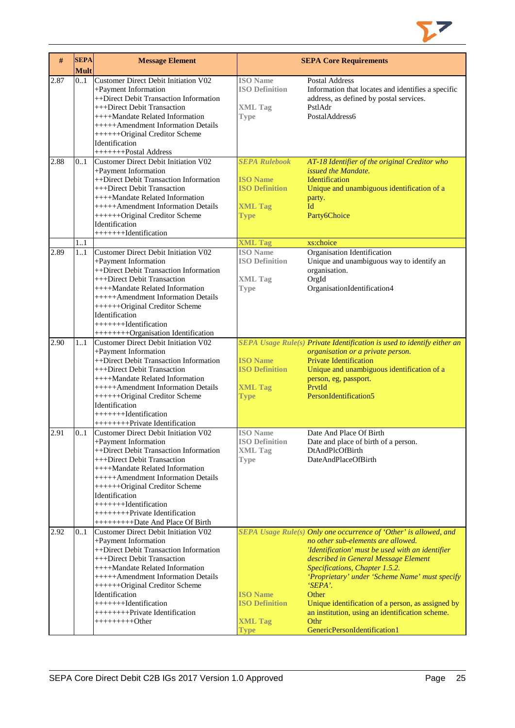

| #    | <b>SEPA</b><br><b>Mult</b> | <b>Message Element</b>                                                                                                                                                                                                                                                                                                                                                       |                                                                                                   | <b>SEPA Core Requirements</b>                                                                                                                                                                                                                                                                                                                                                                                                                               |
|------|----------------------------|------------------------------------------------------------------------------------------------------------------------------------------------------------------------------------------------------------------------------------------------------------------------------------------------------------------------------------------------------------------------------|---------------------------------------------------------------------------------------------------|-------------------------------------------------------------------------------------------------------------------------------------------------------------------------------------------------------------------------------------------------------------------------------------------------------------------------------------------------------------------------------------------------------------------------------------------------------------|
| 2.87 | 0.1                        | Customer Direct Debit Initiation V02<br>+Payment Information<br>++Direct Debit Transaction Information<br>+++Direct Debit Transaction<br>++++Mandate Related Information<br>+++++Amendment Information Details<br>+++++++Original Creditor Scheme<br>Identification<br>++++++++Postal Address                                                                                | <b>ISO</b> Name<br><b>ISO Definition</b><br><b>XML Tag</b><br><b>Type</b>                         | <b>Postal Address</b><br>Information that locates and identifies a specific<br>address, as defined by postal services.<br>PstlAdr<br>PostalAddress6                                                                                                                                                                                                                                                                                                         |
| 2.88 | 0.1                        | <b>Customer Direct Debit Initiation V02</b><br>+Payment Information<br>++Direct Debit Transaction Information<br>+++Direct Debit Transaction<br>++++Mandate Related Information<br>+++++Amendment Information Details<br>+++++++Original Creditor Scheme<br>Identification<br>++++++++Identification                                                                         | <b>SEPA Rulebook</b><br><b>ISO</b> Name<br><b>ISO Definition</b><br><b>XML Tag</b><br><b>Type</b> | AT-18 Identifier of the original Creditor who<br>issued the Mandate.<br><b>Identification</b><br>Unique and unambiguous identification of a<br>party.<br>Id<br>Party6Choice                                                                                                                                                                                                                                                                                 |
| 2.89 | 1.1<br>11                  | Customer Direct Debit Initiation V02<br>+Payment Information<br>++Direct Debit Transaction Information<br>+++Direct Debit Transaction<br>++++Mandate Related Information<br>+++++Amendment Information Details<br>++++++Original Creditor Scheme<br>Identification<br>++++++++Identification<br>++++++++Organisation Identification                                          | <b>XML Tag</b><br><b>ISO</b> Name<br><b>ISO Definition</b><br><b>XML Tag</b><br><b>Type</b>       | xs:choice<br>Organisation Identification<br>Unique and unambiguous way to identify an<br>organisation.<br>OrgId<br>OrganisationIdentification4                                                                                                                                                                                                                                                                                                              |
| 2.90 | 11                         | Customer Direct Debit Initiation V02<br>+Payment Information<br>++Direct Debit Transaction Information<br>+++Direct Debit Transaction<br>++++Mandate Related Information<br>+++++Amendment Information Details<br>+++++++Original Creditor Scheme<br>Identification<br>$+++++Identification$<br>+++++++++Private Identification                                              | <b>ISO Name</b><br><b>ISO Definition</b><br><b>XML Tag</b><br><b>Type</b>                         | SEPA Usage Rule(s) Private Identification is used to identify either an<br>organisation or a private person.<br><b>Private Identification</b><br>Unique and unambiguous identification of a<br>person, eg, passport.<br>PrytId<br>PersonIdentification5                                                                                                                                                                                                     |
| 2.91 | 0.1                        | <b>Customer Direct Debit Initiation V02</b><br>+Payment Information<br>++Direct Debit Transaction Information<br>+++Direct Debit Transaction<br>++++Mandate Related Information<br>+++++Amendment Information Details<br>+++++++Original Creditor Scheme<br>Identification<br>$+++++Identification$<br>+++++++++Private Identification<br>+++++++++++Date And Place Of Birth | <b>ISO</b> Name<br><b>ISO Definition</b><br><b>XML Tag</b><br><b>Type</b>                         | Date And Place Of Birth<br>Date and place of birth of a person.<br><b>DtAndPlcOfBirth</b><br>DateAndPlaceOfBirth                                                                                                                                                                                                                                                                                                                                            |
| 2.92 | 0.1                        | Customer Direct Debit Initiation V02<br>+Payment Information<br>++Direct Debit Transaction Information<br>+++Direct Debit Transaction<br>++++Mandate Related Information<br>+++++Amendment Information Details<br>++++++Original Creditor Scheme<br>Identification<br>$+++++Id$ entification<br>+++++++++Private Identification<br>$+++++++Other$                            | <b>ISO Name</b><br><b>ISO Definition</b><br><b>XML Tag</b><br><b>Type</b>                         | SEPA Usage Rule(s) Only one occurrence of 'Other' is allowed, and<br>no other sub-elements are allowed.<br>'Identification' must be used with an identifier<br>described in General Message Element<br>Specifications, Chapter 1.5.2.<br>'Proprietary' under 'Scheme Name' must specify<br>'SEPA'.<br>Other<br>Unique identification of a person, as assigned by<br>an institution, using an identification scheme.<br>Othr<br>GenericPersonIdentification1 |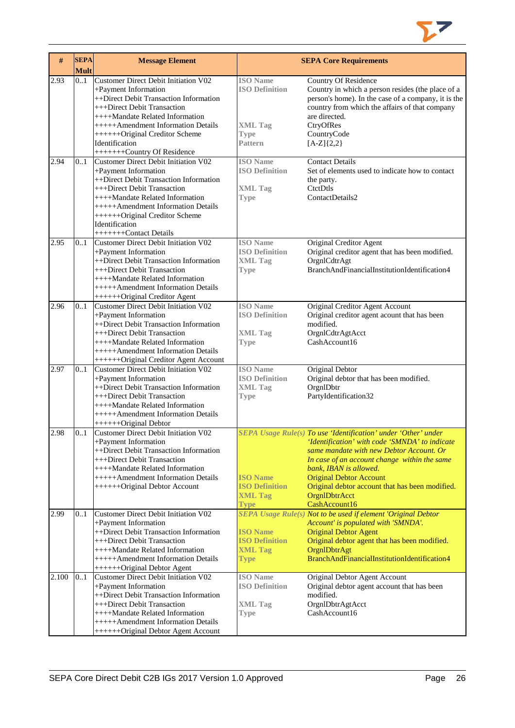

| $\#$  | <b>SEPA</b><br><b>Mult</b> | <b>Message Element</b>                                                                                                                                                                                                                                                                               |                                                                                      | <b>SEPA Core Requirements</b>                                                                                                                                                                                                                                                                                                                                 |
|-------|----------------------------|------------------------------------------------------------------------------------------------------------------------------------------------------------------------------------------------------------------------------------------------------------------------------------------------------|--------------------------------------------------------------------------------------|---------------------------------------------------------------------------------------------------------------------------------------------------------------------------------------------------------------------------------------------------------------------------------------------------------------------------------------------------------------|
| 2.93  | 0.1                        | Customer Direct Debit Initiation V02<br>+Payment Information<br>++Direct Debit Transaction Information<br>+++Direct Debit Transaction<br>++++Mandate Related Information<br>+++++Amendment Information Details<br>+++++++Original Creditor Scheme<br>Identification<br>++++++++Country Of Residence  | <b>ISO</b> Name<br><b>ISO Definition</b><br><b>XML Tag</b><br><b>Type</b><br>Pattern | Country Of Residence<br>Country in which a person resides (the place of a<br>person's home). In the case of a company, it is the<br>country from which the affairs of that company<br>are directed.<br>CtryOfRes<br>CountryCode<br>$[A-Z]\{2,2\}$                                                                                                             |
| 2.94  | 0.1                        | <b>Customer Direct Debit Initiation V02</b><br>+Payment Information<br>++Direct Debit Transaction Information<br>+++Direct Debit Transaction<br>++++Mandate Related Information<br>+++++Amendment Information Details<br>+++++++Original Creditor Scheme<br>Identification<br>+++++++Contact Details | <b>ISO</b> Name<br><b>ISO Definition</b><br><b>XML Tag</b><br><b>Type</b>            | <b>Contact Details</b><br>Set of elements used to indicate how to contact<br>the party.<br>CtctDtls<br>ContactDetails2                                                                                                                                                                                                                                        |
| 2.95  | 0.1                        | Customer Direct Debit Initiation V02<br>+Payment Information<br>++Direct Debit Transaction Information<br>+++Direct Debit Transaction<br>++++Mandate Related Information<br>+++++Amendment Information Details<br>+++++++Original Creditor Agent                                                     | <b>ISO</b> Name<br><b>ISO Definition</b><br><b>XML Tag</b><br><b>Type</b>            | <b>Original Creditor Agent</b><br>Original creditor agent that has been modified.<br>OrgnlCdtrAgt<br>BranchAndFinancialInstitutionIdentification4                                                                                                                                                                                                             |
| 2.96  | 0.1                        | Customer Direct Debit Initiation V02<br>+Payment Information<br>++Direct Debit Transaction Information<br>+++Direct Debit Transaction<br>++++Mandate Related Information<br>+++++Amendment Information Details<br>++++++Original Creditor Agent Account                                              | <b>ISO</b> Name<br><b>ISO Definition</b><br><b>XML Tag</b><br><b>Type</b>            | Original Creditor Agent Account<br>Original creditor agent acount that has been<br>modified.<br>OrgnlCdtrAgtAcct<br>CashAccount16                                                                                                                                                                                                                             |
| 2.97  | 0.1                        | Customer Direct Debit Initiation V02<br>+Payment Information<br>++Direct Debit Transaction Information<br>+++Direct Debit Transaction<br>++++Mandate Related Information<br>+++++Amendment Information Details<br>+++++++Original Debtor                                                             | <b>ISO</b> Name<br><b>ISO Definition</b><br><b>XML Tag</b><br><b>Type</b>            | Original Debtor<br>Original debtor that has been modified.<br>OrgnIDbtr<br>PartyIdentification32                                                                                                                                                                                                                                                              |
| 2.98  | 0.1                        | Customer Direct Debit Initiation V02<br>+Payment Information<br>++Direct Debit Transaction Information<br>+++Direct Debit Transaction<br>++++Mandate Related Information<br>+++++Amendment Information Details<br>+++++++Original Debtor Account                                                     | <b>ISO Name</b><br><b>ISO Definition</b><br><b>XML Tag</b><br><b>Type</b>            | SEPA Usage Rule(s) To use 'Identification' under 'Other' under<br>'Identification' with code 'SMNDA' to indicate<br>same mandate with new Debtor Account. Or<br>In case of an account change within the same<br>bank, IBAN is allowed.<br><b>Original Debtor Account</b><br>Original debtor account that has been modified.<br>OrgnIDbtrAcct<br>CashAccount16 |
| 2.99  | 0.1                        | Customer Direct Debit Initiation V02<br>+Payment Information<br>++Direct Debit Transaction Information<br>+++Direct Debit Transaction<br>++++Mandate Related Information<br>+++++Amendment Information Details<br>+++++++Original Debtor Agent                                                       | <b>ISO Name</b><br><b>ISO Definition</b><br><b>XML Tag</b><br><b>Type</b>            | SEPA Usage Rule(s) Not to be used if element 'Original Debtor<br>Account' is populated with 'SMNDA'.<br><b>Original Debtor Agent</b><br>Original debtor agent that has been modified.<br>OrgnIDbtrAgt<br>BranchAndFinancialInstitutionIdentification4                                                                                                         |
| 2.100 | 0.1                        | Customer Direct Debit Initiation V02<br>+Payment Information<br>++Direct Debit Transaction Information<br>+++Direct Debit Transaction<br>++++Mandate Related Information<br>+++++Amendment Information Details<br>++++++Original Debtor Agent Account                                                | <b>ISO</b> Name<br><b>ISO Definition</b><br><b>XML Tag</b><br><b>Type</b>            | Original Debtor Agent Account<br>Original debtor agent account that has been<br>modified.<br>OrgnlDbtrAgtAcct<br>CashAccount16                                                                                                                                                                                                                                |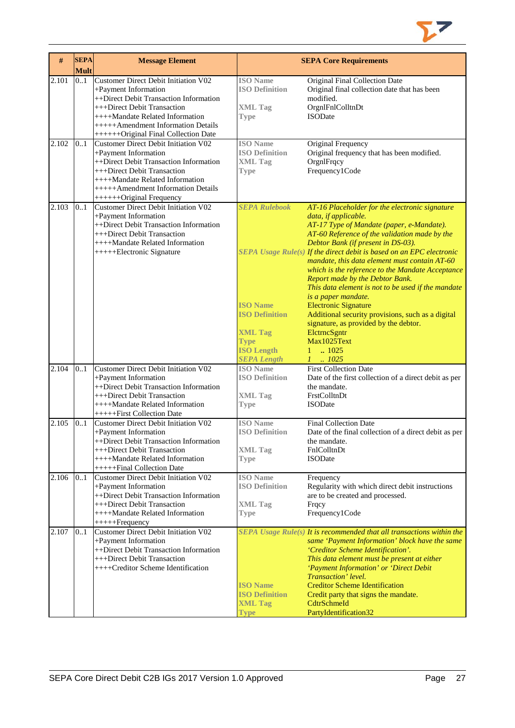

| #     | <b>SEPA</b><br><b>Mult</b> | <b>Message Element</b>                                                                                                                                                                                                                                 |                                                                                                                                              | <b>SEPA Core Requirements</b>                                                                                                                                                                                                                                                                                                                                                                                                                                                                                                                                                                                                                                                                    |
|-------|----------------------------|--------------------------------------------------------------------------------------------------------------------------------------------------------------------------------------------------------------------------------------------------------|----------------------------------------------------------------------------------------------------------------------------------------------|--------------------------------------------------------------------------------------------------------------------------------------------------------------------------------------------------------------------------------------------------------------------------------------------------------------------------------------------------------------------------------------------------------------------------------------------------------------------------------------------------------------------------------------------------------------------------------------------------------------------------------------------------------------------------------------------------|
| 2.101 | 0.1                        | Customer Direct Debit Initiation V02<br>+Payment Information<br>++Direct Debit Transaction Information<br>+++Direct Debit Transaction<br>++++Mandate Related Information<br>+++++Amendment Information Details<br>++++++Original Final Collection Date | <b>ISO</b> Name<br><b>ISO Definition</b><br><b>XML Tag</b><br><b>Type</b>                                                                    | Original Final Collection Date<br>Original final collection date that has been<br>modified.<br>OrgnlFnlColltnDt<br><b>ISODate</b>                                                                                                                                                                                                                                                                                                                                                                                                                                                                                                                                                                |
| 2.102 | 0.1                        | Customer Direct Debit Initiation V02<br>+Payment Information<br>++Direct Debit Transaction Information<br>+++Direct Debit Transaction<br>++++Mandate Related Information<br>+++++Amendment Information Details<br>+++++++Original Frequency            | <b>ISO</b> Name<br><b>ISO Definition</b><br><b>XML Tag</b><br><b>Type</b>                                                                    | Original Frequency<br>Original frequency that has been modified.<br>OrgnlFrqcy<br>Frequency1Code                                                                                                                                                                                                                                                                                                                                                                                                                                                                                                                                                                                                 |
| 2.103 | 0.1                        | Customer Direct Debit Initiation V02<br>+Payment Information<br>++Direct Debit Transaction Information<br>+++Direct Debit Transaction<br>++++Mandate Related Information<br>+++++Electronic Signature                                                  | <b>SEPA Rulebook</b><br><b>ISO Name</b><br><b>ISO Definition</b><br><b>XML Tag</b><br><b>Type</b><br><b>ISO Length</b><br><b>SEPA Length</b> | AT-16 Placeholder for the electronic signature<br>data, if applicable.<br>AT-17 Type of Mandate (paper, e-Mandate).<br>AT-60 Reference of the validation made by the<br>Debtor Bank (if present in DS-03).<br>SEPA Usage Rule(s) If the direct debit is based on an EPC electronic<br>mandate, this data element must contain AT-60<br>which is the reference to the Mandate Acceptance<br>Report made by the Debtor Bank.<br>This data element is not to be used if the mandate<br>is a paper mandate.<br><b>Electronic Signature</b><br>Additional security provisions, such as a digital<br>signature, as provided by the debtor.<br>ElctrncSgntr<br>Max1025Text<br>.1025<br>1<br>.1025<br>1. |
| 2.104 | 0.1                        | Customer Direct Debit Initiation V02<br>+Payment Information<br>++Direct Debit Transaction Information<br>+++Direct Debit Transaction<br>++++Mandate Related Information<br>++++++First Collection Date                                                | <b>ISO</b> Name<br><b>ISO Definition</b><br><b>XML Tag</b><br><b>Type</b>                                                                    | <b>First Collection Date</b><br>Date of the first collection of a direct debit as per<br>the mandate.<br>FrstColltnDt<br><b>ISODate</b>                                                                                                                                                                                                                                                                                                                                                                                                                                                                                                                                                          |
| 2.105 | 0.1                        | <b>Customer Direct Debit Initiation V02</b><br>+Payment Information<br>++Direct Debit Transaction Information<br>+++Direct Debit Transaction<br>++++Mandate Related Information<br>++++++Final Collection Date                                         | <b>ISO</b> Name<br><b>ISO Definition</b><br><b>XML Tag</b><br><b>Type</b>                                                                    | <b>Final Collection Date</b><br>Date of the final collection of a direct debit as per<br>the mandate.<br>FnlColltnDt<br><b>ISODate</b>                                                                                                                                                                                                                                                                                                                                                                                                                                                                                                                                                           |
| 2.106 | 0.1                        | <b>Customer Direct Debit Initiation V02</b><br>+Payment Information<br>++Direct Debit Transaction Information<br>+++Direct Debit Transaction<br>++++Mandate Related Information<br>++++++Frequency                                                     | <b>ISO</b> Name<br><b>ISO Definition</b><br><b>XML Tag</b><br>Type                                                                           | Frequency<br>Regularity with which direct debit instructions<br>are to be created and processed.<br>Frqcy<br>Frequency1Code                                                                                                                                                                                                                                                                                                                                                                                                                                                                                                                                                                      |
| 2.107 | 0.1                        | <b>Customer Direct Debit Initiation V02</b><br>+Payment Information<br>++Direct Debit Transaction Information<br>+++Direct Debit Transaction<br>++++Creditor Scheme Identification                                                                     | <b>ISO Name</b><br><b>ISO Definition</b><br><b>XML Tag</b><br><b>Type</b>                                                                    | SEPA Usage Rule(s) It is recommended that all transactions within the<br>same 'Payment Information' block have the same<br>'Creditor Scheme Identification'.<br>This data element must be present at either<br>'Payment Information' or 'Direct Debit<br>Transaction' level.<br><b>Creditor Scheme Identification</b><br>Credit party that signs the mandate.<br>CdtrSchmeId<br>PartyIdentification32                                                                                                                                                                                                                                                                                            |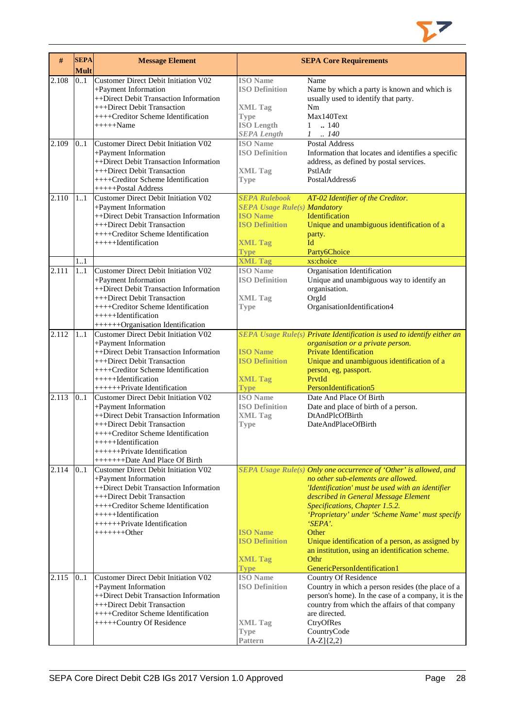

| #     | <b>SEPA</b><br><b>Mult</b> | <b>Message Element</b>                                          |                                     | <b>SEPA Core Requirements</b>                                           |
|-------|----------------------------|-----------------------------------------------------------------|-------------------------------------|-------------------------------------------------------------------------|
| 2.108 | 0.1                        | <b>Customer Direct Debit Initiation V02</b>                     | <b>ISO</b> Name                     | Name                                                                    |
|       |                            | +Payment Information                                            | <b>ISO Definition</b>               | Name by which a party is known and which is                             |
|       |                            | ++Direct Debit Transaction Information                          |                                     | usually used to identify that party.                                    |
|       |                            | +++Direct Debit Transaction                                     | <b>XML Tag</b>                      | Nm                                                                      |
|       |                            | ++++Creditor Scheme Identification                              | <b>Type</b>                         | Max140Text                                                              |
|       |                            | $++++\text{-}\text{Name}$                                       | <b>ISO Length</b>                   | .140<br>$\mathbf{1}$                                                    |
|       |                            |                                                                 | <b>SEPA Length</b>                  | $1 \quad .140$                                                          |
| 2.109 | 0.1                        | Customer Direct Debit Initiation V02                            | <b>ISO</b> Name                     | <b>Postal Address</b>                                                   |
|       |                            | +Payment Information                                            | <b>ISO Definition</b>               | Information that locates and identifies a specific                      |
|       |                            | ++Direct Debit Transaction Information                          |                                     | address, as defined by postal services.                                 |
|       |                            | +++Direct Debit Transaction                                     | <b>XML Tag</b>                      | PstlAdr                                                                 |
|       |                            | ++++Creditor Scheme Identification                              | <b>Type</b>                         | PostalAddress6                                                          |
|       |                            | +++++Postal Address                                             |                                     |                                                                         |
| 2.110 | 11                         | Customer Direct Debit Initiation V02                            | <b>SEPA Rulebook</b>                | AT-02 Identifier of the Creditor.                                       |
|       |                            | +Payment Information                                            | <b>SEPA Usage Rule(s) Mandatory</b> |                                                                         |
|       |                            | ++Direct Debit Transaction Information                          | <b>ISO Name</b>                     | Identification                                                          |
|       |                            | +++Direct Debit Transaction                                     | <b>ISO Definition</b>               | Unique and unambiguous identification of a                              |
|       |                            | ++++Creditor Scheme Identification                              |                                     | party.                                                                  |
|       |                            | +++++Hdentification                                             | <b>XML Tag</b>                      | Id                                                                      |
|       |                            |                                                                 | <b>Type</b>                         | Party6Choice                                                            |
|       | 1.1                        |                                                                 | <b>XML Tag</b>                      | xs:choice                                                               |
| 2.111 | 1.1                        | <b>Customer Direct Debit Initiation V02</b>                     | <b>ISO</b> Name                     | Organisation Identification                                             |
|       |                            | +Payment Information                                            | <b>ISO Definition</b>               | Unique and unambiguous way to identify an                               |
|       |                            | ++Direct Debit Transaction Information                          |                                     | organisation.                                                           |
|       |                            | +++Direct Debit Transaction                                     | <b>XML Tag</b>                      | OrgId                                                                   |
|       |                            | ++++Creditor Scheme Identification<br>$+++++Id$ entification    | <b>Type</b>                         | OrganisationIdentification4                                             |
|       |                            | ++++++Organisation Identification                               |                                     |                                                                         |
| 2.112 | 11                         | <b>Customer Direct Debit Initiation V02</b>                     |                                     | SEPA Usage Rule(s) Private Identification is used to identify either an |
|       |                            | +Payment Information                                            |                                     | organisation or a private person.                                       |
|       |                            | ++Direct Debit Transaction Information                          | <b>ISO Name</b>                     | <b>Private Identification</b>                                           |
|       |                            | +++Direct Debit Transaction                                     | <b>ISO Definition</b>               | Unique and unambiguous identification of a                              |
|       |                            | ++++Creditor Scheme Identification                              |                                     | person, eg, passport.                                                   |
|       |                            | $+++++Identification$                                           | <b>XML Tag</b>                      | PrvtId                                                                  |
|       |                            | +++++++Private Identification                                   | <b>Type</b>                         | PersonIdentification5                                                   |
| 2.113 | 0.1                        | <b>Customer Direct Debit Initiation V02</b>                     | <b>ISO Name</b>                     | Date And Place Of Birth                                                 |
|       |                            | +Payment Information                                            | <b>ISO Definition</b>               | Date and place of birth of a person.                                    |
|       |                            | ++Direct Debit Transaction Information                          | <b>XML Tag</b>                      | DtAndPlcOfBirth                                                         |
|       |                            | +++Direct Debit Transaction                                     | <b>Type</b>                         | DateAndPlaceOfBirth                                                     |
|       |                            | ++++Creditor Scheme Identification                              |                                     |                                                                         |
|       |                            | +++++Identification                                             |                                     |                                                                         |
|       |                            | +++++++Private Identification                                   |                                     |                                                                         |
|       |                            | ++++++++Date And Place Of Birth                                 |                                     |                                                                         |
| 2.114 | 0.1                        | Customer Direct Debit Initiation V02                            |                                     | SEPA Usage Rule(s) Only one occurrence of 'Other' is allowed, and       |
|       |                            | +Payment Information                                            |                                     | no other sub-elements are allowed.                                      |
|       |                            | ++Direct Debit Transaction Information                          |                                     | 'Identification' must be used with an identifier                        |
|       |                            | +++Direct Debit Transaction                                     |                                     | described in General Message Element                                    |
|       |                            | $+++$ Creditor Scheme Identification                            |                                     | Specifications, Chapter 1.5.2.                                          |
|       |                            | $+++++$ <b>I</b> dentification<br>+++++++Private Identification |                                     | 'Proprietary' under 'Scheme Name' must specify<br><i>'SEPA'.</i>        |
|       |                            | $+++++Other$                                                    | <b>ISO Name</b>                     | Other                                                                   |
|       |                            |                                                                 | <b>ISO Definition</b>               | Unique identification of a person, as assigned by                       |
|       |                            |                                                                 |                                     | an institution, using an identification scheme.                         |
|       |                            |                                                                 | <b>XML Tag</b>                      | Othr                                                                    |
|       |                            |                                                                 | <b>Type</b>                         | GenericPersonIdentification1                                            |
| 2.115 | 0.1                        | Customer Direct Debit Initiation V02                            | <b>ISO</b> Name                     | <b>Country Of Residence</b>                                             |
|       |                            | +Payment Information                                            | <b>ISO Definition</b>               | Country in which a person resides (the place of a                       |
|       |                            | ++Direct Debit Transaction Information                          |                                     | person's home). In the case of a company, it is the                     |
|       |                            | +++Direct Debit Transaction                                     |                                     | country from which the affairs of that company                          |
|       |                            | ++++Creditor Scheme Identification                              |                                     | are directed.                                                           |
|       |                            | +++++Country Of Residence                                       | <b>XML Tag</b>                      | CtryOfRes                                                               |
|       |                            |                                                                 | <b>Type</b>                         | CountryCode                                                             |
|       |                            |                                                                 | Pattern                             | $[A-Z]\{2,2\}$                                                          |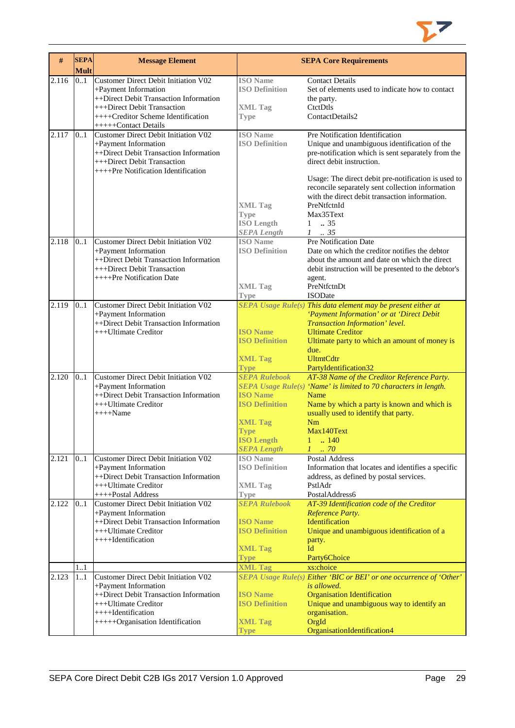

| #     | <b>SEPA</b><br><b>Mult</b> | <b>Message Element</b>                                                                                                                                                              |                                                                  | <b>SEPA Core Requirements</b>                                                                                                                                                                                                     |
|-------|----------------------------|-------------------------------------------------------------------------------------------------------------------------------------------------------------------------------------|------------------------------------------------------------------|-----------------------------------------------------------------------------------------------------------------------------------------------------------------------------------------------------------------------------------|
| 2.116 | 0.1                        | <b>Customer Direct Debit Initiation V02</b><br>+Payment Information<br>++Direct Debit Transaction Information                                                                       | <b>ISO</b> Name<br><b>ISO Definition</b>                         | <b>Contact Details</b><br>Set of elements used to indicate how to contact<br>the party.                                                                                                                                           |
|       |                            | +++Direct Debit Transaction<br>$+++C$ reditor Scheme Identification<br>+++++Contact Details                                                                                         | <b>XML Tag</b><br><b>Type</b>                                    | CtctDtls<br>ContactDetails2                                                                                                                                                                                                       |
| 2.117 | 0.1                        | <b>Customer Direct Debit Initiation V02</b><br>+Payment Information<br>++Direct Debit Transaction Information<br>+++Direct Debit Transaction<br>++++Pre Notification Identification | <b>ISO</b> Name<br><b>ISO Definition</b>                         | Pre Notification Identification<br>Unique and unambiguous identification of the<br>pre-notification which is sent separately from the<br>direct debit instruction.                                                                |
|       |                            |                                                                                                                                                                                     | <b>XML Tag</b><br><b>Type</b>                                    | Usage: The direct debit pre-notification is used to<br>reconcile separately sent collection information<br>with the direct debit transaction information.<br>PreNtfctnId<br>Max35Text                                             |
|       |                            |                                                                                                                                                                                     | <b>ISO Length</b><br><b>SEPA Length</b>                          | $1 \t . 35$<br>$1-.35$                                                                                                                                                                                                            |
| 2.118 | 0.1                        | <b>Customer Direct Debit Initiation V02</b><br>+Payment Information<br>++Direct Debit Transaction Information<br>+++Direct Debit Transaction<br>++++Pre Notification Date           | <b>ISO</b> Name<br><b>ISO Definition</b>                         | <b>Pre Notification Date</b><br>Date on which the creditor notifies the debtor<br>about the amount and date on which the direct<br>debit instruction will be presented to the debtor's                                            |
|       |                            |                                                                                                                                                                                     | <b>XML Tag</b><br><b>Type</b>                                    | agent.<br>PreNtfctnDt<br><b>ISODate</b>                                                                                                                                                                                           |
| 2.119 | 0.1                        | Customer Direct Debit Initiation V02<br>+Payment Information<br>++Direct Debit Transaction Information<br>+++Ultimate Creditor                                                      | <b>ISO Name</b><br><b>ISO Definition</b>                         | <b>SEPA</b> Usage Rule(s) This data element may be present either at<br>'Payment Information' or at 'Direct Debit<br>Transaction Information' level.<br><b>Ultimate Creditor</b><br>Ultimate party to which an amount of money is |
|       |                            |                                                                                                                                                                                     | <b>XML Tag</b><br><b>Type</b>                                    | due.<br><b>UltmtCdtr</b><br>PartyIdentification32                                                                                                                                                                                 |
| 2.120 | 0.1                        | <b>Customer Direct Debit Initiation V02</b><br>+Payment Information<br>++Direct Debit Transaction Information<br>+++Ultimate Creditor<br>$+++$ Name                                 | <b>SEPA Rulebook</b><br><b>ISO Name</b><br><b>ISO Definition</b> | AT-38 Name of the Creditor Reference Party.<br>SEPA Usage Rule(s) 'Name' is limited to 70 characters in length.<br>Name<br>Name by which a party is known and which is<br>usually used to identify that party.                    |
|       |                            |                                                                                                                                                                                     | <b>XML Tag</b><br>Type<br><b>ISO Length</b>                      | Nm<br>Max140Text<br>.140                                                                                                                                                                                                          |
|       |                            |                                                                                                                                                                                     | <b>SEPA Length</b>                                               | $1 \cdot .70$                                                                                                                                                                                                                     |
| 2.121 | 0.1                        | <b>Customer Direct Debit Initiation V02</b><br>+Payment Information<br>++Direct Debit Transaction Information                                                                       | <b>ISO</b> Name<br><b>ISO Definition</b>                         | Postal Address<br>Information that locates and identifies a specific<br>address, as defined by postal services.                                                                                                                   |
|       |                            | +++Ultimate Creditor<br>++++Postal Address                                                                                                                                          | <b>XML Tag</b><br><b>Type</b>                                    | PstlAdr<br>PostalAddress6                                                                                                                                                                                                         |
| 2.122 | 0.1                        | <b>Customer Direct Debit Initiation V02</b><br>+Payment Information                                                                                                                 | <b>SEPA Rulebook</b>                                             | AT-39 Identification code of the Creditor<br>Reference Party.                                                                                                                                                                     |
|       |                            | ++Direct Debit Transaction Information<br>+++Ultimate Creditor<br>++++Identification                                                                                                | <b>ISO Name</b><br><b>ISO Definition</b>                         | Identification<br>Unique and unambiguous identification of a<br>party.                                                                                                                                                            |
|       |                            |                                                                                                                                                                                     | <b>XML Tag</b><br><b>Type</b>                                    | Id<br>Party6Choice                                                                                                                                                                                                                |
|       | 1.1                        |                                                                                                                                                                                     | <b>XML Tag</b>                                                   | xs:choice                                                                                                                                                                                                                         |
| 2.123 | 1.1                        | <b>Customer Direct Debit Initiation V02</b><br>+Payment Information                                                                                                                 |                                                                  | SEPA Usage Rule(s) Either 'BIC or BEI' or one occurrence of 'Other'<br>is allowed.                                                                                                                                                |
|       |                            | ++Direct Debit Transaction Information<br>+++Ultimate Creditor<br>++++Identification                                                                                                | <b>ISO Name</b><br><b>ISO Definition</b>                         | <b>Organisation Identification</b><br>Unique and unambiguous way to identify an<br>organisation.                                                                                                                                  |
|       |                            | +++++Organisation Identification                                                                                                                                                    | <b>XML Tag</b><br><b>Type</b>                                    | OrgId<br>OrganisationIdentification4                                                                                                                                                                                              |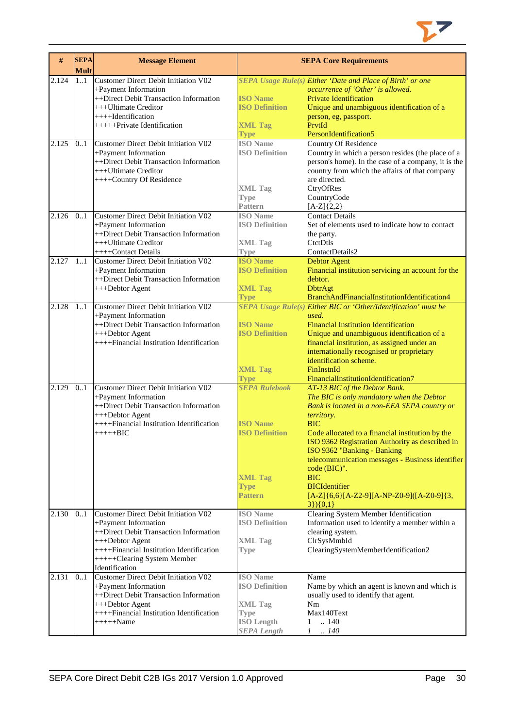

| #     | <b>SEPA</b><br><b>Mult</b> | <b>Message Element</b>                      |                       | <b>SEPA Core Requirements</b>                                   |
|-------|----------------------------|---------------------------------------------|-----------------------|-----------------------------------------------------------------|
| 2.124 | 1.1                        | <b>Customer Direct Debit Initiation V02</b> |                       | SEPA Usage Rule(s) Either 'Date and Place of Birth' or one      |
|       |                            | +Payment Information                        |                       | occurrence of 'Other' is allowed.                               |
|       |                            | ++Direct Debit Transaction Information      | <b>ISO Name</b>       | Private Identification                                          |
|       |                            | +++Ultimate Creditor                        | <b>ISO Definition</b> | Unique and unambiguous identification of a                      |
|       |                            | ++++Identification                          |                       | person, eg, passport.                                           |
|       |                            | +++++Private Identification                 | <b>XML Tag</b>        | PrvtId                                                          |
|       |                            |                                             | <b>Type</b>           | PersonIdentification5                                           |
| 2.125 | 0.1                        | Customer Direct Debit Initiation V02        | <b>ISO</b> Name       | <b>Country Of Residence</b>                                     |
|       |                            | +Payment Information                        | <b>ISO Definition</b> | Country in which a person resides (the place of a               |
|       |                            | ++Direct Debit Transaction Information      |                       | person's home). In the case of a company, it is the             |
|       |                            | +++Ultimate Creditor                        |                       | country from which the affairs of that company                  |
|       |                            | ++++Country Of Residence                    |                       | are directed.                                                   |
|       |                            |                                             | <b>XML Tag</b>        | CtryOfRes                                                       |
|       |                            |                                             | <b>Type</b>           | CountryCode                                                     |
|       |                            |                                             | <b>Pattern</b>        | $[A-Z]\{2,2\}$                                                  |
| 2.126 | 0.1                        | Customer Direct Debit Initiation V02        | <b>ISO</b> Name       | <b>Contact Details</b>                                          |
|       |                            | +Payment Information                        | <b>ISO Definition</b> | Set of elements used to indicate how to contact                 |
|       |                            | ++Direct Debit Transaction Information      |                       | the party.                                                      |
|       |                            | +++Ultimate Creditor                        | <b>XML Tag</b>        | CtctDtls                                                        |
|       |                            | ++++Contact Details                         | <b>Type</b>           | ContactDetails2                                                 |
| 2.127 | 1.1                        | <b>Customer Direct Debit Initiation V02</b> | <b>ISO Name</b>       | <b>Debtor Agent</b>                                             |
|       |                            | +Payment Information                        | <b>ISO Definition</b> | Financial institution servicing an account for the              |
|       |                            | ++Direct Debit Transaction Information      |                       | debtor.                                                         |
|       |                            | +++Debtor Agent                             | <b>XML Tag</b>        | DbtrAgt                                                         |
|       |                            |                                             | <b>Type</b>           | BranchAndFinancialInstitutionIdentification4                    |
| 2.128 | 1.1                        | Customer Direct Debit Initiation V02        |                       | SEPA Usage Rule(s) Either BIC or 'Other/Identification' must be |
|       |                            | +Payment Information                        |                       | used.                                                           |
|       |                            | ++Direct Debit Transaction Information      | <b>ISO Name</b>       | <b>Financial Institution Identification</b>                     |
|       |                            | +++Debtor Agent                             | <b>ISO Definition</b> | Unique and unambiguous identification of a                      |
|       |                            | ++++Financial Institution Identification    |                       | financial institution, as assigned under an                     |
|       |                            |                                             |                       | internationally recognised or proprietary                       |
|       |                            |                                             |                       | identification scheme.                                          |
|       |                            |                                             | <b>XML Tag</b>        | FinInstnId                                                      |
|       |                            |                                             | Type                  | FinancialInstitutionIdentification7                             |
| 2.129 | 0.1                        | <b>Customer Direct Debit Initiation V02</b> | <b>SEPA Rulebook</b>  | AT-13 BIC of the Debtor Bank.                                   |
|       |                            | +Payment Information                        |                       | The BIC is only mandatory when the Debtor                       |
|       |                            | ++Direct Debit Transaction Information      |                       | Bank is located in a non-EEA SEPA country or                    |
|       |                            | +++Debtor Agent                             |                       | territory.                                                      |
|       |                            | ++++Financial Institution Identification    | <b>ISO Name</b>       | <b>BIC</b>                                                      |
|       |                            | $+++++BIC$                                  | <b>ISO Definition</b> | Code allocated to a financial institution by the                |
|       |                            |                                             |                       | ISO 9362 Registration Authority as described in                 |
|       |                            |                                             |                       | ISO 9362 "Banking - Banking                                     |
|       |                            |                                             |                       | telecommunication messages - Business identifier                |
|       |                            |                                             |                       | code (BIC)".                                                    |
|       |                            |                                             | <b>XML Tag</b>        | <b>BIC</b>                                                      |
|       |                            |                                             | <b>Type</b>           | <b>BICIdentifier</b>                                            |
|       |                            |                                             | <b>Pattern</b>        | $[A-Z]$ {6,6}[A-Z2-9][A-NP-Z0-9]([A-Z0-9]{3,                    |
|       |                            |                                             |                       | $3\}$ }{0,1}                                                    |
| 2.130 | 0.1                        | Customer Direct Debit Initiation V02        | <b>ISO</b> Name       | Clearing System Member Identification                           |
|       |                            | +Payment Information                        | <b>ISO Definition</b> | Information used to identify a member within a                  |
|       |                            | ++Direct Debit Transaction Information      |                       | clearing system.                                                |
|       |                            | +++Debtor Agent                             | <b>XML</b> Tag        | ClrSysMmbId                                                     |
|       |                            | ++++Financial Institution Identification    | <b>Type</b>           | ClearingSystemMemberIdentification2                             |
|       |                            | +++++Clearing System Member                 |                       |                                                                 |
|       |                            | Identification                              |                       |                                                                 |
| 2.131 | 01                         | Customer Direct Debit Initiation V02        | <b>ISO</b> Name       | Name                                                            |
|       |                            | +Payment Information                        | <b>ISO Definition</b> | Name by which an agent is known and which is                    |
|       |                            | ++Direct Debit Transaction Information      |                       | usually used to identify that agent.                            |
|       |                            | +++Debtor Agent                             | <b>XML</b> Tag        | Nm                                                              |
|       |                            | ++++Financial Institution Identification    | <b>Type</b>           | Max140Text                                                      |
|       |                            | $+++++Name$                                 | <b>ISO</b> Length     | .140<br>1                                                       |
|       |                            |                                             | <b>SEPA</b> Length    | $1 \quad . \quad 140$                                           |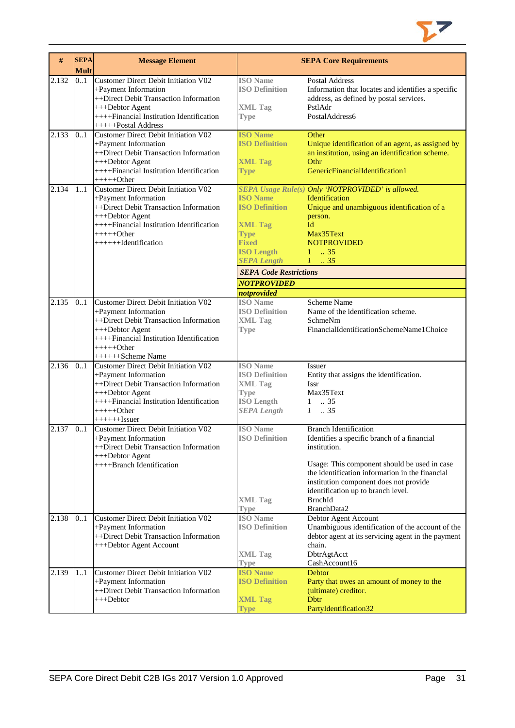

| #     | <b>SEPA</b><br><b>Mult</b> | <b>Message Element</b>                                                                                                                                                                                            |                                                                                                                                                                       | <b>SEPA Core Requirements</b>                                                                                                                                                                                                                                                                                   |
|-------|----------------------------|-------------------------------------------------------------------------------------------------------------------------------------------------------------------------------------------------------------------|-----------------------------------------------------------------------------------------------------------------------------------------------------------------------|-----------------------------------------------------------------------------------------------------------------------------------------------------------------------------------------------------------------------------------------------------------------------------------------------------------------|
| 2.132 | 0.1                        | Customer Direct Debit Initiation V02<br>+Payment Information<br>++Direct Debit Transaction Information<br>+++Debtor Agent<br>++++Financial Institution Identification<br>+++++Postal Address                      | <b>ISO</b> Name<br><b>ISO Definition</b><br><b>XML Tag</b><br><b>Type</b>                                                                                             | <b>Postal Address</b><br>Information that locates and identifies a specific<br>address, as defined by postal services.<br>PstlAdr<br>PostalAddress6                                                                                                                                                             |
| 2.133 | 0.1                        | <b>Customer Direct Debit Initiation V02</b><br>+Payment Information<br>++Direct Debit Transaction Information<br>+++Debtor Agent<br>++++Financial Institution Identification<br>+++++Other                        | <b>ISO Name</b><br><b>ISO Definition</b><br><b>XML Tag</b><br><b>Type</b>                                                                                             | Other<br>Unique identification of an agent, as assigned by<br>an institution, using an identification scheme.<br>Othr<br>GenericFinancialIdentification1                                                                                                                                                        |
| 2.134 | 11                         | Customer Direct Debit Initiation V02<br>+Payment Information<br>++Direct Debit Transaction Information<br>+++Debtor Agent<br>++++Financial Institution Identification<br>$+++++Other$<br>+++++++Identification    | <b>ISO Name</b><br><b>ISO Definition</b><br><b>XML Tag</b><br><b>Type</b><br><b>Fixed</b><br><b>ISO Length</b><br><b>SEPA Length</b><br><b>SEPA Code Restrictions</b> | SEPA Usage Rule(s) Only 'NOTPROVIDED' is allowed.<br>Identification<br>Unique and unambiguous identification of a<br>person.<br>Id<br>Max35Text<br><b>NOTPROVIDED</b><br>$1 \t . 35$<br>$1 \t35$                                                                                                                |
|       |                            |                                                                                                                                                                                                                   | <b>NOTPROVIDED</b><br>notprovided                                                                                                                                     |                                                                                                                                                                                                                                                                                                                 |
| 2.135 | 0.1                        | <b>Customer Direct Debit Initiation V02</b><br>+Payment Information<br>++Direct Debit Transaction Information<br>+++Debtor Agent<br>++++Financial Institution Identification<br>$+++++Other$<br>++++++Scheme Name | <b>ISO</b> Name<br><b>ISO Definition</b><br><b>XML Tag</b><br><b>Type</b>                                                                                             | Scheme Name<br>Name of the identification scheme.<br>SchmeNm<br>FinancialIdentificationSchemeName1Choice                                                                                                                                                                                                        |
| 2.136 | 0.1                        | Customer Direct Debit Initiation V02<br>+Payment Information<br>++Direct Debit Transaction Information<br>+++Debtor Agent<br>++++Financial Institution Identification<br>+++++Other<br>$+++++Issuer$              | <b>ISO</b> Name<br><b>ISO Definition</b><br><b>XML Tag</b><br><b>Type</b><br><b>ISO Length</b><br><b>SEPA Length</b>                                                  | Issuer<br>Entity that assigns the identification.<br><b>Issr</b><br>Max35Text<br>$1-.35$<br>$1 \t . 35$                                                                                                                                                                                                         |
| 2.137 | 0.1                        | <b>Customer Direct Debit Initiation V02</b><br>+Payment Information<br>++Direct Debit Transaction Information<br>+++Debtor Agent<br>++++Branch Identification                                                     | <b>ISO</b> Name<br><b>ISO Definition</b><br><b>XML Tag</b><br><b>Type</b>                                                                                             | <b>Branch Identification</b><br>Identifies a specific branch of a financial<br>institution.<br>Usage: This component should be used in case<br>the identification information in the financial<br>institution component does not provide<br>identification up to branch level.<br><b>BrnchId</b><br>BranchData2 |
| 2.138 | 0.1                        | Customer Direct Debit Initiation V02<br>+Payment Information<br>++Direct Debit Transaction Information<br>+++Debtor Agent Account                                                                                 | <b>ISO</b> Name<br><b>ISO Definition</b><br><b>XML Tag</b><br><b>Type</b>                                                                                             | Debtor Agent Account<br>Unambiguous identification of the account of the<br>debtor agent at its servicing agent in the payment<br>chain.<br>DbtrAgtAcct<br>CashAccount16                                                                                                                                        |
| 2.139 | 11                         | Customer Direct Debit Initiation V02<br>+Payment Information<br>++Direct Debit Transaction Information<br>+++Debtor                                                                                               | <b>ISO Name</b><br><b>ISO Definition</b><br><b>XML Tag</b><br><b>Type</b>                                                                                             | Debtor<br>Party that owes an amount of money to the<br>(ultimate) creditor.<br><b>D</b> btr<br>PartyIdentification32                                                                                                                                                                                            |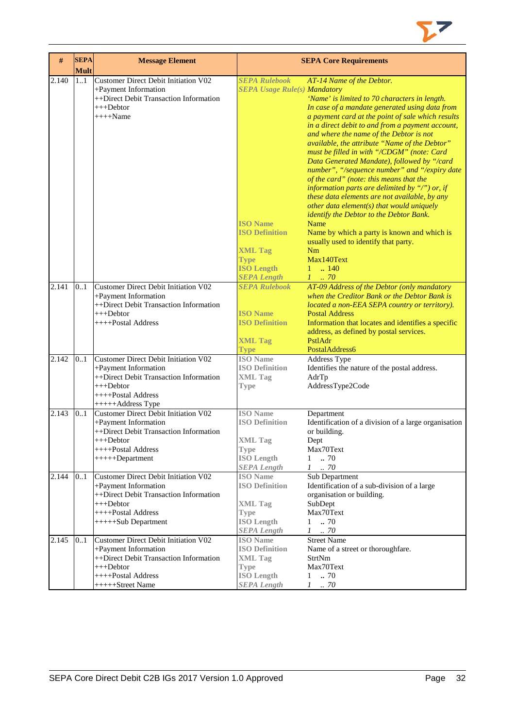| #     | <b>SEPA</b><br><b>Mult</b> | <b>Message Element</b>                                                                                                                                                |                                                                                                                                                                                     | <b>SEPA Core Requirements</b>                                                                                                                                                                                                                                                                                                                                                                                                                                                                                                                                                                                                                                                                                                                                                                                                                                           |
|-------|----------------------------|-----------------------------------------------------------------------------------------------------------------------------------------------------------------------|-------------------------------------------------------------------------------------------------------------------------------------------------------------------------------------|-------------------------------------------------------------------------------------------------------------------------------------------------------------------------------------------------------------------------------------------------------------------------------------------------------------------------------------------------------------------------------------------------------------------------------------------------------------------------------------------------------------------------------------------------------------------------------------------------------------------------------------------------------------------------------------------------------------------------------------------------------------------------------------------------------------------------------------------------------------------------|
| 2.140 | 1.1                        | <b>Customer Direct Debit Initiation V02</b><br>+Payment Information<br>++Direct Debit Transaction Information<br>$+++Dektor$<br>$+++$ Name                            | <b>SEPA Rulebook</b><br><b>SEPA Usage Rule(s) Mandatory</b><br><b>ISO</b> Name<br><b>ISO Definition</b><br><b>XML Tag</b><br><b>Type</b><br><b>ISO Length</b><br><b>SEPA Length</b> | AT-14 Name of the Debtor.<br>'Name' is limited to 70 characters in length.<br>In case of a mandate generated using data from<br>a payment card at the point of sale which results<br>in a direct debit to and from a payment account,<br>and where the name of the Debtor is not<br>available, the attribute "Name of the Debtor"<br>must be filled in with "/CDGM" (note: Card<br>Data Generated Mandate), followed by "/card<br>number", "/sequence number" and "/expiry date<br>of the card" (note: this means that the<br>information parts are delimited by "/") or, if<br>these data elements are not available, by any<br>other data element(s) that would uniquely<br>identify the Debtor to the Debtor Bank.<br>Name<br>Name by which a party is known and which is<br>usually used to identify that party.<br>Nm<br>Max140Text<br>$1 \t  140$<br>$1 \dots 70$ |
| 2.141 | 0.1                        | <b>Customer Direct Debit Initiation V02</b><br>+Payment Information<br>++Direct Debit Transaction Information<br>$+++$ Debtor<br>++++Postal Address                   | <b>SEPA Rulebook</b><br><b>ISO Name</b><br><b>ISO Definition</b><br><b>XML Tag</b><br><b>Type</b>                                                                                   | AT-09 Address of the Debtor (only mandatory<br>when the Creditor Bank or the Debtor Bank is<br>located a non-EEA SEPA country or territory).<br><b>Postal Address</b><br>Information that locates and identifies a specific<br>address, as defined by postal services.<br>PstlAdr<br>PostalAddress6                                                                                                                                                                                                                                                                                                                                                                                                                                                                                                                                                                     |
| 2.142 | 0.1                        | Customer Direct Debit Initiation V02<br>+Payment Information<br>++Direct Debit Transaction Information<br>$+++$ Debtor<br>++++Postal Address<br>+++++Address Type     | <b>ISO</b> Name<br><b>ISO Definition</b><br><b>XML Tag</b><br><b>Type</b>                                                                                                           | Address Type<br>Identifies the nature of the postal address.<br>AdrTp<br>AddressType2Code                                                                                                                                                                                                                                                                                                                                                                                                                                                                                                                                                                                                                                                                                                                                                                               |
| 2.143 | 0.1                        | <b>Customer Direct Debit Initiation V02</b><br>+Payment Information<br>++Direct Debit Transaction Information<br>+++Debtor<br>++++Postal Address<br>$+++++Department$ | <b>ISO</b> Name<br><b>ISO Definition</b><br><b>XML Tag</b><br><b>Type</b><br><b>ISO Length</b><br><b>SEPA Length</b>                                                                | Department<br>Identification of a division of a large organisation<br>or building.<br>Dept<br>Max70Text<br>.70<br>$\mathbf{1}$<br>$1 \t . 70$                                                                                                                                                                                                                                                                                                                                                                                                                                                                                                                                                                                                                                                                                                                           |
| 2.144 | 0.1                        | Customer Direct Debit Initiation V02<br>+Payment Information<br>++Direct Debit Transaction Information<br>$+++$ Debtor<br>++++Postal Address<br>+++++Sub Department   | <b>ISO</b> Name<br><b>ISO Definition</b><br><b>XML Tag</b><br><b>Type</b><br><b>ISO</b> Length<br><b>SEPA Length</b>                                                                | Sub Department<br>Identification of a sub-division of a large<br>organisation or building.<br>SubDept<br>Max70Text<br>$1 \t . 70$<br>$1 \t . 70$                                                                                                                                                                                                                                                                                                                                                                                                                                                                                                                                                                                                                                                                                                                        |
| 2.145 | 0.1                        | Customer Direct Debit Initiation V02<br>+Payment Information<br>++Direct Debit Transaction Information<br>$+++$ Debtor<br>$++++$ Postal Address<br>+++++Street Name   | <b>ISO</b> Name<br><b>ISO Definition</b><br><b>XML Tag</b><br><b>Type</b><br><b>ISO Length</b><br><b>SEPA Length</b>                                                                | <b>Street Name</b><br>Name of a street or thoroughfare.<br>StrtNm<br>Max70Text<br>70<br>$\mathbf{1}$<br>$1 \quad .70$                                                                                                                                                                                                                                                                                                                                                                                                                                                                                                                                                                                                                                                                                                                                                   |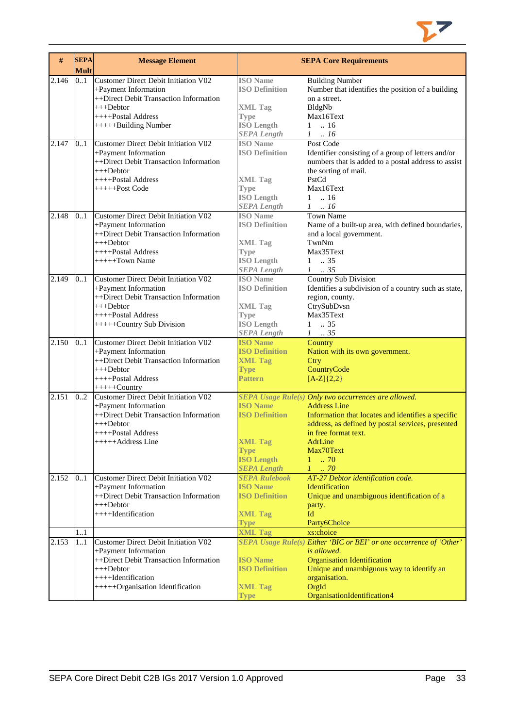

| #     | <b>SEPA</b><br><b>Mult</b> | <b>Message Element</b>                                                                                                                                                           |                                                                                                                      | <b>SEPA Core Requirements</b>                                                                                                                                                                                                                                          |
|-------|----------------------------|----------------------------------------------------------------------------------------------------------------------------------------------------------------------------------|----------------------------------------------------------------------------------------------------------------------|------------------------------------------------------------------------------------------------------------------------------------------------------------------------------------------------------------------------------------------------------------------------|
| 2.146 | 0.1                        | Customer Direct Debit Initiation V02<br>+Payment Information<br>++Direct Debit Transaction Information<br>$+++Dektor$<br>++++Postal Address<br>+++++Building Number              | <b>ISO</b> Name<br><b>ISO Definition</b><br><b>XML Tag</b><br><b>Type</b><br><b>ISO</b> Length<br><b>SEPA Length</b> | <b>Building Number</b><br>Number that identifies the position of a building<br>on a street.<br>BldgNb<br>Max16Text<br>$1 \t  16$<br>$1 \t . 16$                                                                                                                        |
| 2.147 | 0.1                        | Customer Direct Debit Initiation V02<br>+Payment Information<br>++Direct Debit Transaction Information<br>$+++Dektor$<br>++++Postal Address<br>$+++++Post Code$                  | <b>ISO</b> Name<br><b>ISO Definition</b><br><b>XML Tag</b><br><b>Type</b><br><b>ISO Length</b><br><b>SEPA Length</b> | Post Code<br>Identifier consisting of a group of letters and/or<br>numbers that is added to a postal address to assist<br>the sorting of mail.<br>PstCd<br>Max16Text<br>$1 \t . 16$<br>$1 \ldots 16$                                                                   |
| 2.148 | 0.1                        | Customer Direct Debit Initiation V02<br>+Payment Information<br>++Direct Debit Transaction Information<br>$+++$ Debtor<br>$++++$ Postal Address<br>$+++++Town Name$              | <b>ISO</b> Name<br><b>ISO Definition</b><br><b>XML Tag</b><br><b>Type</b><br><b>ISO</b> Length<br><b>SEPA Length</b> | <b>Town Name</b><br>Name of a built-up area, with defined boundaries,<br>and a local government.<br>TwnNm<br>Max35Text<br>$1 \t . 35$<br>$1 \quad35$                                                                                                                   |
| 2.149 | 0.1                        | Customer Direct Debit Initiation V02<br>+Payment Information<br>++Direct Debit Transaction Information<br>$+++$ Debtor<br>++++Postal Address<br>+++++Country Sub Division        | <b>ISO</b> Name<br><b>ISO Definition</b><br><b>XML Tag</b><br><b>Type</b><br><b>ISO Length</b><br><b>SEPA Length</b> | Country Sub Division<br>Identifies a subdivision of a country such as state,<br>region, county.<br>CtrySubDvsn<br>Max35Text<br>$1 \t . 35$<br>$1 \t . 35$                                                                                                              |
| 2.150 | 0.1                        | Customer Direct Debit Initiation V02<br>+Payment Information<br>++Direct Debit Transaction Information<br>$+++$ Debtor<br>++++Postal Address<br>$++++$ Country                   | <b>ISO Name</b><br><b>ISO Definition</b><br><b>XML Tag</b><br><b>Type</b><br><b>Pattern</b>                          | Country<br>Nation with its own government.<br>Ctry<br>CountryCode<br>$[A-Z](2,2)$                                                                                                                                                                                      |
| 2.151 | 0.2                        | Customer Direct Debit Initiation V02<br>+Payment Information<br>++Direct Debit Transaction Information<br>$+++$ Debtor<br>++++Postal Address<br>+++++Address Line                | <b>ISO Name</b><br><b>ISO Definition</b><br><b>XML Tag</b><br><b>Type</b><br><b>ISO Length</b><br><b>SEPA Length</b> | SEPA Usage Rule(s) Only two occurrences are allowed.<br><b>Address Line</b><br>Information that locates and identifies a specific<br>address, as defined by postal services, presented<br>in free format text.<br>AdrLine<br>Max70Text<br>$1 \t . 70$<br>$1 \ldots 70$ |
| 2.152 | 0.1                        | Customer Direct Debit Initiation V02<br>+Payment Information<br>++Direct Debit Transaction Information<br>$+++$ Debtor<br>++++Identification                                     | <b>SEPA Rulebook</b><br><b>ISO Name</b><br><b>ISO Definition</b><br><b>XML Tag</b><br><b>Type</b>                    | AT-27 Debtor identification code.<br>Identification<br>Unique and unambiguous identification of a<br>party.<br>Id<br>Party6Choice                                                                                                                                      |
|       | 1.1                        |                                                                                                                                                                                  | <b>XML Tag</b>                                                                                                       | xs:choice                                                                                                                                                                                                                                                              |
| 2.153 | 11                         | Customer Direct Debit Initiation V02<br>+Payment Information<br>++Direct Debit Transaction Information<br>$+++$ Debtor<br>++++Identification<br>+++++Organisation Identification | <b>ISO Name</b><br><b>ISO Definition</b><br><b>XML Tag</b><br><b>Type</b>                                            | SEPA Usage Rule(s) Either 'BIC or BEI' or one occurrence of 'Other'<br><i>is allowed.</i><br><b>Organisation Identification</b><br>Unique and unambiguous way to identify an<br>organisation.<br>OrgId<br>OrganisationIdentification4                                  |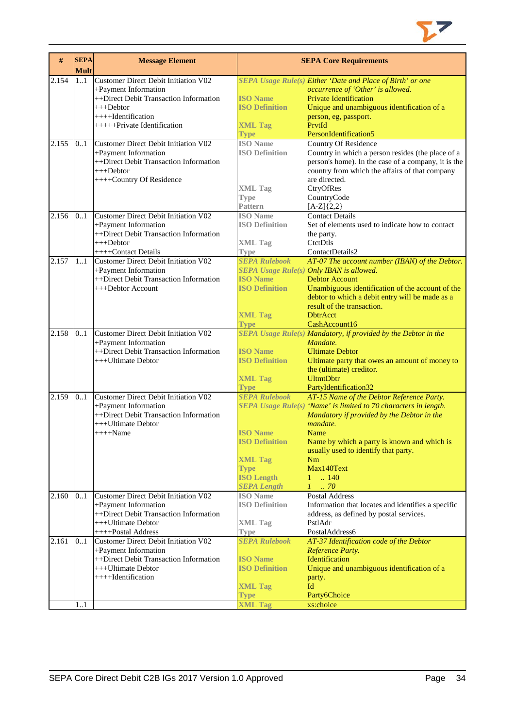

| #     | <b>SEPA</b><br><b>Mult</b> | <b>Message Element</b>                                         |                                  | <b>SEPA Core Requirements</b>                                              |
|-------|----------------------------|----------------------------------------------------------------|----------------------------------|----------------------------------------------------------------------------|
| 2.154 | 1.1                        | Customer Direct Debit Initiation V02                           |                                  | SEPA Usage Rule(s) Either 'Date and Place of Birth' or one                 |
|       |                            | +Payment Information                                           |                                  | occurrence of 'Other' is allowed.                                          |
|       |                            | ++Direct Debit Transaction Information                         | <b>ISO</b> Name                  | <b>Private Identification</b>                                              |
|       |                            | $++$ Debtor                                                    | <b>ISO Definition</b>            | Unique and unambiguous identification of a                                 |
|       |                            | ++++Identification                                             |                                  | person, eg, passport.                                                      |
|       |                            | +++++Private Identification                                    | <b>XML Tag</b>                   | PrvtId                                                                     |
|       |                            |                                                                | <b>Type</b>                      | PersonIdentification5                                                      |
| 2.155 | 0.1                        | Customer Direct Debit Initiation V02                           | <b>ISO</b> Name                  | <b>Country Of Residence</b>                                                |
|       |                            | +Payment Information                                           | <b>ISO Definition</b>            | Country in which a person resides (the place of a                          |
|       |                            | ++Direct Debit Transaction Information                         |                                  | person's home). In the case of a company, it is the                        |
|       |                            | $+++Dektor$                                                    |                                  | country from which the affairs of that company                             |
|       |                            | ++++Country Of Residence                                       |                                  | are directed.                                                              |
|       |                            |                                                                | <b>XML Tag</b>                   | CtryOfRes                                                                  |
|       |                            |                                                                | <b>Type</b><br><b>Pattern</b>    | CountryCode<br>$[A-Z]{2,2}$                                                |
| 2.156 | 0.1                        | Customer Direct Debit Initiation V02                           | <b>ISO</b> Name                  | <b>Contact Details</b>                                                     |
|       |                            | +Payment Information                                           | <b>ISO Definition</b>            | Set of elements used to indicate how to contact                            |
|       |                            | ++Direct Debit Transaction Information                         |                                  | the party.                                                                 |
|       |                            | $+++$ Debtor                                                   | <b>XML Tag</b>                   | CtctDtls                                                                   |
|       |                            | ++++Contact Details                                            | <b>Type</b>                      | ContactDetails2                                                            |
| 2.157 | 1.1                        | <b>Customer Direct Debit Initiation V02</b>                    | <b>SEPA Rulebook</b>             | AT-07 The account number (IBAN) of the Debtor.                             |
|       |                            | +Payment Information                                           |                                  | SEPA Usage Rule(s) Only IBAN is allowed.                                   |
|       |                            | ++Direct Debit Transaction Information                         | <b>ISO</b> Name                  | <b>Debtor Account</b>                                                      |
|       |                            | +++Debtor Account                                              | <b>ISO Definition</b>            | Unambiguous identification of the account of the                           |
|       |                            |                                                                |                                  | debtor to which a debit entry will be made as a                            |
|       |                            |                                                                |                                  | result of the transaction.                                                 |
|       |                            |                                                                | <b>XML Tag</b>                   | <b>DbtrAcct</b>                                                            |
|       |                            |                                                                | <b>Type</b>                      | CashAccount16                                                              |
| 2.158 | 0.1                        | <b>Customer Direct Debit Initiation V02</b>                    |                                  | SEPA Usage Rule(s) Mandatory, if provided by the Debtor in the<br>Mandate. |
|       |                            | +Payment Information<br>++Direct Debit Transaction Information | <b>ISO Name</b>                  | <b>Ultimate Debtor</b>                                                     |
|       |                            | +++Ultimate Debtor                                             | <b>ISO Definition</b>            | Ultimate party that owes an amount of money to                             |
|       |                            |                                                                |                                  | the (ultimate) creditor.                                                   |
|       |                            |                                                                | <b>XML Tag</b>                   | <b>UltmtDbtr</b>                                                           |
|       |                            |                                                                | <b>Type</b>                      | PartyIdentification32                                                      |
| 2.159 | 0.1                        | <b>Customer Direct Debit Initiation V02</b>                    | <b>SEPA Rulebook</b>             | AT-15 Name of the Debtor Reference Party.                                  |
|       |                            | +Payment Information                                           |                                  | SEPA Usage Rule(s) 'Name' is limited to 70 characters in length.           |
|       |                            | ++Direct Debit Transaction Information                         |                                  | Mandatory if provided by the Debtor in the                                 |
|       |                            | +++Ultimate Debtor                                             |                                  | mandate.                                                                   |
|       |                            | $+++$ Name                                                     | <b>ISO</b> Name                  | Name                                                                       |
|       |                            |                                                                | <b>ISO Definition</b>            | Name by which a party is known and which is                                |
|       |                            |                                                                |                                  | usually used to identify that party.                                       |
|       |                            |                                                                | <b>XML Tag</b>                   | Nm<br>Max140Text                                                           |
|       |                            |                                                                | <b>Type</b><br><b>ISO Length</b> | $1 \quad . \quad 140$                                                      |
|       |                            |                                                                | <b>SEPA Length</b>               | $1 \dots 70$                                                               |
| 2.160 | 0.1                        | Customer Direct Debit Initiation V02                           | <b>ISO</b> Name                  | <b>Postal Address</b>                                                      |
|       |                            | +Payment Information                                           | <b>ISO Definition</b>            | Information that locates and identifies a specific                         |
|       |                            | ++Direct Debit Transaction Information                         |                                  | address, as defined by postal services.                                    |
|       |                            | +++Ultimate Debtor                                             | <b>XML Tag</b>                   | PstlAdr                                                                    |
|       |                            | ++++Postal Address                                             | <b>Type</b>                      | PostalAddress6                                                             |
| 2.161 | 0.1                        | <b>Customer Direct Debit Initiation V02</b>                    | <b>SEPA Rulebook</b>             | AT-37 Identification code of the Debtor                                    |
|       |                            | +Payment Information                                           |                                  | Reference Party.                                                           |
|       |                            | ++Direct Debit Transaction Information                         | <b>ISO Name</b>                  | Identification                                                             |
|       |                            | +++Ultimate Debtor                                             | <b>ISO Definition</b>            | Unique and unambiguous identification of a                                 |
|       |                            | ++++Identification                                             |                                  | party.<br>Id                                                               |
|       |                            |                                                                | <b>XML Tag</b><br><b>Type</b>    | Party6Choice                                                               |
|       | 1.1                        |                                                                | <b>XML Tag</b>                   | xs:choice                                                                  |
|       |                            |                                                                |                                  |                                                                            |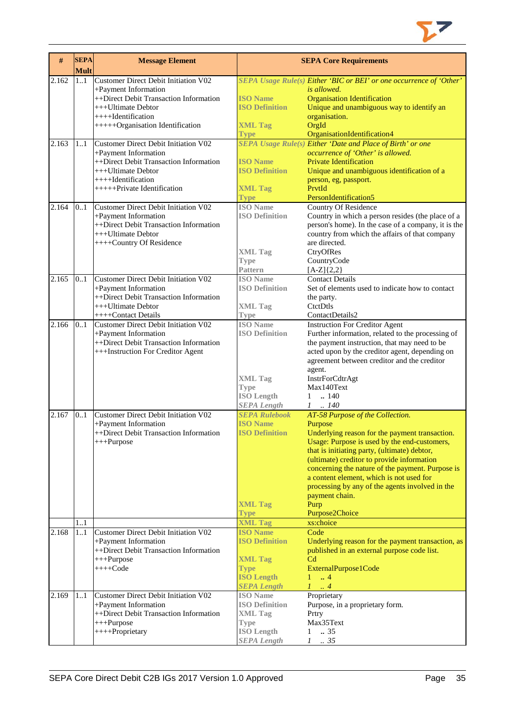

| #     | <b>SEPA</b><br><b>Mult</b> | <b>Message Element</b>                                                                                                                                                                 |                                                                                                                      | <b>SEPA Core Requirements</b>                                                                                                                                                                                                                                                                                                                                                                                                              |
|-------|----------------------------|----------------------------------------------------------------------------------------------------------------------------------------------------------------------------------------|----------------------------------------------------------------------------------------------------------------------|--------------------------------------------------------------------------------------------------------------------------------------------------------------------------------------------------------------------------------------------------------------------------------------------------------------------------------------------------------------------------------------------------------------------------------------------|
| 2.162 | 11                         | Customer Direct Debit Initiation V02<br>+Payment Information<br>++Direct Debit Transaction Information<br>+++Ultimate Debtor<br>++++Identification<br>+++++Organisation Identification | <b>ISO</b> Name<br><b>ISO Definition</b><br><b>XML Tag</b><br>Type                                                   | SEPA Usage Rule(s) Either 'BIC or BEI' or one occurrence of 'Other'<br>is allowed.<br><b>Organisation Identification</b><br>Unique and unambiguous way to identify an<br>organisation.<br>OrgId<br>OrganisationIdentification4                                                                                                                                                                                                             |
| 2.163 | 11                         | Customer Direct Debit Initiation V02<br>+Payment Information<br>++Direct Debit Transaction Information<br>+++Ultimate Debtor<br>++++Identification<br>++++++Private Identification     | <b>ISO Name</b><br><b>ISO Definition</b><br><b>XML Tag</b><br><b>Type</b>                                            | <b>SEPA Usage Rule(s) Either 'Date and Place of Birth' or one</b><br>occurrence of 'Other' is allowed.<br><b>Private Identification</b><br>Unique and unambiguous identification of a<br>person, eg, passport.<br>PrvtId<br>PersonIdentification5                                                                                                                                                                                          |
| 2.164 | 0.1                        | Customer Direct Debit Initiation V02<br>+Payment Information<br>++Direct Debit Transaction Information<br>+++Ultimate Debtor<br>++++Country Of Residence                               | <b>ISO</b> Name<br><b>ISO Definition</b><br><b>XML Tag</b><br><b>Type</b><br><b>Pattern</b>                          | Country Of Residence<br>Country in which a person resides (the place of a<br>person's home). In the case of a company, it is the<br>country from which the affairs of that company<br>are directed.<br>CtryOfRes<br>CountryCode<br>$[A-Z]\{2,2\}$                                                                                                                                                                                          |
| 2.165 | 0.1                        | Customer Direct Debit Initiation V02<br>+Payment Information<br>++Direct Debit Transaction Information<br>+++Ultimate Debtor<br>++++Contact Details                                    | <b>ISO</b> Name<br><b>ISO Definition</b><br><b>XML Tag</b><br><b>Type</b>                                            | <b>Contact Details</b><br>Set of elements used to indicate how to contact<br>the party.<br>CtctDtls<br>ContactDetails2                                                                                                                                                                                                                                                                                                                     |
| 2.166 | 0.1                        | Customer Direct Debit Initiation V02<br>+Payment Information<br>++Direct Debit Transaction Information<br>+++Instruction For Creditor Agent                                            | <b>ISO</b> Name<br><b>ISO Definition</b><br><b>XML Tag</b><br><b>Type</b><br><b>ISO Length</b><br><b>SEPA</b> Length | <b>Instruction For Creditor Agent</b><br>Further information, related to the processing of<br>the payment instruction, that may need to be<br>acted upon by the creditor agent, depending on<br>agreement between creditor and the creditor<br>agent.<br>InstrForCdtrAgt<br>Max140Text<br>.140<br>1<br>.140<br>1                                                                                                                           |
| 2.167 | 0.1                        | Customer Direct Debit Initiation V02<br>+Payment Information<br>++Direct Debit Transaction Information<br>+++Purpose                                                                   | <b>SEPA Rulebook</b><br><b>ISO Name</b><br><b>ISO Definition</b><br><b>XML Tag</b><br><b>Type</b>                    | AT-58 Purpose of the Collection.<br>Purpose<br>Underlying reason for the payment transaction.<br>Usage: Purpose is used by the end-customers,<br>that is initiating party, (ultimate) debtor,<br>(ultimate) creditor to provide information<br>concerning the nature of the payment. Purpose is<br>a content element, which is not used for<br>processing by any of the agents involved in the<br>payment chain.<br>Purp<br>Purpose2Choice |
|       | 1.1                        |                                                                                                                                                                                        | <b>XML Tag</b>                                                                                                       | xs:choice                                                                                                                                                                                                                                                                                                                                                                                                                                  |
| 2.168 | 11                         | Customer Direct Debit Initiation V02<br>+Payment Information<br>++Direct Debit Transaction Information<br>$+++Purpose$<br>$+++Code$                                                    | <b>ISO Name</b><br><b>ISO Definition</b><br><b>XML Tag</b><br><b>Type</b><br><b>ISO Length</b><br><b>SEPA Length</b> | Code<br>Underlying reason for the payment transaction, as<br>published in an external purpose code list.<br>C <sub>d</sub><br>ExternalPurpose1Code<br>$\mathbf{1}$<br>$\overline{4}$<br>$\cdot$ 4<br>L                                                                                                                                                                                                                                     |
| 2.169 | 11                         | Customer Direct Debit Initiation V02<br>+Payment Information<br>++Direct Debit Transaction Information<br>$+++Purpose$<br>++++Proprietary                                              | <b>ISO</b> Name<br><b>ISO Definition</b><br><b>XML Tag</b><br><b>Type</b><br><b>ISO</b> Length<br><b>SEPA Length</b> | Proprietary<br>Purpose, in a proprietary form.<br>Prtry<br>Max35Text<br>$\ldots$ 35<br>1<br>$\therefore$ 35<br>1                                                                                                                                                                                                                                                                                                                           |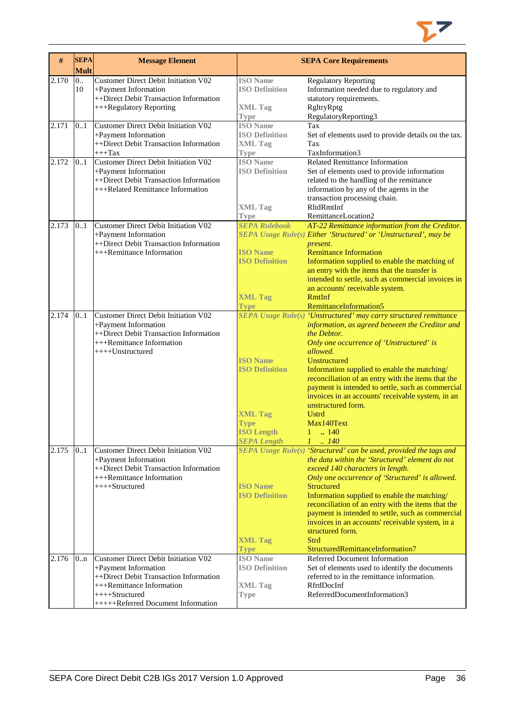

| #     | <b>SEPA</b><br><b>Mult</b> | <b>Message Element</b>                                                                                                                                                                        |                                                                                                                      | <b>SEPA Core Requirements</b>                                                                                                                                                                                                                                                                                                                                                                                                                                                                                           |
|-------|----------------------------|-----------------------------------------------------------------------------------------------------------------------------------------------------------------------------------------------|----------------------------------------------------------------------------------------------------------------------|-------------------------------------------------------------------------------------------------------------------------------------------------------------------------------------------------------------------------------------------------------------------------------------------------------------------------------------------------------------------------------------------------------------------------------------------------------------------------------------------------------------------------|
| 2.170 | 0<br>10                    | <b>Customer Direct Debit Initiation V02</b><br>+Payment Information<br>++Direct Debit Transaction Information<br>+++Regulatory Reporting                                                      | <b>ISO</b> Name<br><b>ISO Definition</b><br><b>XML Tag</b><br>Type                                                   | <b>Regulatory Reporting</b><br>Information needed due to regulatory and<br>statutory requirements.<br>RgltryRptg<br>RegulatoryReporting3                                                                                                                                                                                                                                                                                                                                                                                |
| 2.171 | 0.1                        | <b>Customer Direct Debit Initiation V02</b><br>+Payment Information<br>++Direct Debit Transaction Information<br>$++++$ Tax                                                                   | <b>ISO</b> Name<br><b>ISO Definition</b><br><b>XML Tag</b><br><b>Type</b>                                            | Tax<br>Set of elements used to provide details on the tax.<br>Tax<br>TaxInformation3                                                                                                                                                                                                                                                                                                                                                                                                                                    |
| 2.172 | 0.1                        | <b>Customer Direct Debit Initiation V02</b><br>+Payment Information<br>++Direct Debit Transaction Information<br>+++Related Remittance Information                                            | <b>ISO</b> Name<br><b>ISO Definition</b><br><b>XML Tag</b><br><b>Type</b>                                            | <b>Related Remittance Information</b><br>Set of elements used to provide information<br>related to the handling of the remittance<br>information by any of the agents in the<br>transaction processing chain.<br>RltdRmtInf<br>RemittanceLocation2                                                                                                                                                                                                                                                                      |
| 2.173 | 0.1                        | Customer Direct Debit Initiation V02<br>+Payment Information<br>++Direct Debit Transaction Information<br>+++Remittance Information                                                           | <b>SEPA Rulebook</b><br><b>ISO Name</b><br><b>ISO Definition</b><br><b>XML Tag</b><br><b>Type</b>                    | AT-22 Remittance information from the Creditor.<br>SEPA Usage Rule(s) Either 'Structured' or 'Unstructured', may be<br>present.<br><b>Remittance Information</b><br>Information supplied to enable the matching of<br>an entry with the items that the transfer is<br>intended to settle, such as commercial invoices in<br>an accounts' receivable system.<br>RmtInf<br>RemittanceInformation5                                                                                                                         |
| 2.174 | 0.1                        | Customer Direct Debit Initiation V02<br>+Payment Information<br>++Direct Debit Transaction Information<br>+++Remittance Information<br>++++Unstructured                                       | <b>ISO Name</b><br><b>ISO Definition</b><br><b>XML Tag</b><br><b>Type</b><br><b>ISO Length</b><br><b>SEPA</b> Length | SEPA Usage Rule(s) 'Unstructured' may carry structured remittance<br>information, as agreed between the Creditor and<br>the Debtor.<br>Only one occurrence of 'Unstructured' is<br>allowed.<br>Unstructured<br>Information supplied to enable the matching/<br>reconciliation of an entry with the items that the<br>payment is intended to settle, such as commercial<br>invoices in an accounts' receivable system, in an<br>unstructured form.<br><b>Ustrd</b><br>Max140Text<br>$1 \t . 140$<br>$1 \t . 140$         |
| 2.175 | 0.1                        | Customer Direct Debit Initiation V02<br>+Payment Information<br>++Direct Debit Transaction Information<br>+++Remittance Information<br>++++Structured                                         | <b>ISO Name</b><br><b>ISO Definition</b><br><b>XML Tag</b><br><b>Type</b>                                            | SEPA Usage Rule(s) 'Structured' can be used, provided the tags and<br>the data within the 'Structured' element do not<br>exceed 140 characters in length.<br>Only one occurrence of 'Structured' is allowed.<br><b>Structured</b><br>Information supplied to enable the matching/<br>reconciliation of an entry with the items that the<br>payment is intended to settle, such as commercial<br>invoices in an accounts' receivable system, in a<br>structured form.<br><b>Strd</b><br>StructuredRemittanceInformation7 |
| 2.176 | 0.n                        | Customer Direct Debit Initiation V02<br>+Payment Information<br>++Direct Debit Transaction Information<br>+++Remittance Information<br>$++++Structured$<br>+++++Referred Document Information | <b>ISO</b> Name<br><b>ISO Definition</b><br><b>XML Tag</b><br><b>Type</b>                                            | Referred Document Information<br>Set of elements used to identify the documents<br>referred to in the remittance information.<br>RfrdDocInf<br>ReferredDocumentInformation3                                                                                                                                                                                                                                                                                                                                             |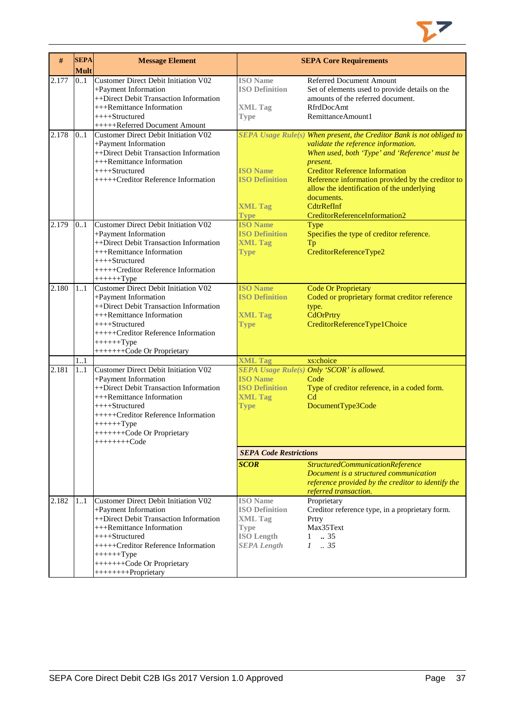

| #     | <b>SEPA</b><br><b>Mult</b> | <b>Message Element</b>                                                                                                                                                                                                                                             |                                                                                                                      | <b>SEPA Core Requirements</b>                                                                                                                                                                                                                                                                                                                                                      |
|-------|----------------------------|--------------------------------------------------------------------------------------------------------------------------------------------------------------------------------------------------------------------------------------------------------------------|----------------------------------------------------------------------------------------------------------------------|------------------------------------------------------------------------------------------------------------------------------------------------------------------------------------------------------------------------------------------------------------------------------------------------------------------------------------------------------------------------------------|
| 2.177 | 0.1                        | Customer Direct Debit Initiation V02<br>+Payment Information<br>++Direct Debit Transaction Information<br>+++Remittance Information<br>++++Structured<br>+++++Referred Document Amount                                                                             | <b>ISO</b> Name<br><b>ISO Definition</b><br><b>XML Tag</b><br><b>Type</b>                                            | Referred Document Amount<br>Set of elements used to provide details on the<br>amounts of the referred document.<br>RfrdDocAmt<br>RemittanceAmount1                                                                                                                                                                                                                                 |
| 2.178 | 0.1                        | Customer Direct Debit Initiation V02<br>+Payment Information<br>++Direct Debit Transaction Information<br>+++Remittance Information<br>$++++-Structured$<br>+++++Creditor Reference Information                                                                    | <b>ISO Name</b><br><b>ISO Definition</b><br><b>XML Tag</b><br><b>Type</b>                                            | SEPA Usage Rule(s) When present, the Creditor Bank is not obliged to<br>validate the reference information.<br>When used, both 'Type' and 'Reference' must be<br>present.<br><b>Creditor Reference Information</b><br>Reference information provided by the creditor to<br>allow the identification of the underlying<br>documents.<br>CdtrRefInf<br>CreditorReferenceInformation2 |
| 2.179 | 0.1                        | Customer Direct Debit Initiation V02<br>+Payment Information<br>++Direct Debit Transaction Information<br>+++Remittance Information<br>++++Structured<br>+++++Creditor Reference Information<br>$+++++Type$                                                        | <b>ISO Name</b><br><b>ISO Definition</b><br><b>XML Tag</b><br><b>Type</b>                                            | Type<br>Specifies the type of creditor reference.<br>Tp<br>CreditorReferenceType2                                                                                                                                                                                                                                                                                                  |
| 2.180 | 11                         | Customer Direct Debit Initiation V02<br>+Payment Information<br>++Direct Debit Transaction Information<br>+++Remittance Information<br>$++++$ Structured<br>+++++Creditor Reference Information<br>$+++++Type$<br>++++++++Code Or Proprietary                      | <b>ISO Name</b><br><b>ISO Definition</b><br><b>XML Tag</b><br><b>Type</b>                                            | <b>Code Or Proprietary</b><br>Coded or proprietary format creditor reference<br>type.<br>CdOrPrtry<br>CreditorReferenceType1Choice                                                                                                                                                                                                                                                 |
|       | 1.1                        |                                                                                                                                                                                                                                                                    | <b>XML Tag</b>                                                                                                       | xs:choice                                                                                                                                                                                                                                                                                                                                                                          |
| 2.181 | 1.1                        | Customer Direct Debit Initiation V02<br>+Payment Information<br>++Direct Debit Transaction Information<br>+++Remittance Information<br>++++Structured<br>+++++Creditor Reference Information<br>$+++++Type$<br>+++++++Code Or Proprietary<br>++++++++Code          | <b>ISO Name</b><br><b>ISO Definition</b><br><b>XML Tag</b><br><b>Type</b>                                            | SEPA Usage Rule(s) Only 'SCOR' is allowed.<br>Code<br>Type of creditor reference, in a coded form.<br>C <sub>d</sub><br>DocumentType3Code                                                                                                                                                                                                                                          |
|       |                            |                                                                                                                                                                                                                                                                    | <b>SEPA Code Restrictions</b>                                                                                        |                                                                                                                                                                                                                                                                                                                                                                                    |
|       |                            |                                                                                                                                                                                                                                                                    | <b>SCOR</b>                                                                                                          | <b>StructuredCommunicationReference</b><br>Document is a structured communication<br>reference provided by the creditor to identify the<br>referred transaction.                                                                                                                                                                                                                   |
| 2.182 | 1.1                        | Customer Direct Debit Initiation V02<br>+Payment Information<br>++Direct Debit Transaction Information<br>+++Remittance Information<br>++++Structured<br>+++++Creditor Reference Information<br>$+++++Type$<br>++++++++Code Or Proprietary<br>+++++++++Proprietary | <b>ISO</b> Name<br><b>ISO Definition</b><br><b>XML</b> Tag<br><b>Type</b><br><b>ISO</b> Length<br><b>SEPA Length</b> | Proprietary<br>Creditor reference type, in a proprietary form.<br>Prtry<br>Max35Text<br>$1 \t . 35$<br>$1-.35$                                                                                                                                                                                                                                                                     |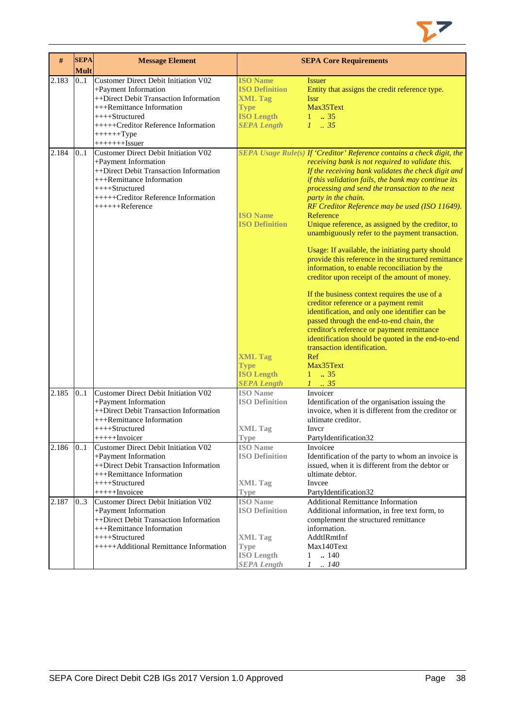

| #     | <b>SEPA</b> | <b>Message Element</b>                                                                                                                                                                                                       |                                                                                                                      | <b>SEPA Core Requirements</b>                                                                                                                                                                                                                                                                                                                                                                                                                                                                                                                                                                                                                                                                                                                                                                                                                                                                                                                                                                                                                                      |
|-------|-------------|------------------------------------------------------------------------------------------------------------------------------------------------------------------------------------------------------------------------------|----------------------------------------------------------------------------------------------------------------------|--------------------------------------------------------------------------------------------------------------------------------------------------------------------------------------------------------------------------------------------------------------------------------------------------------------------------------------------------------------------------------------------------------------------------------------------------------------------------------------------------------------------------------------------------------------------------------------------------------------------------------------------------------------------------------------------------------------------------------------------------------------------------------------------------------------------------------------------------------------------------------------------------------------------------------------------------------------------------------------------------------------------------------------------------------------------|
|       | <b>Mult</b> |                                                                                                                                                                                                                              |                                                                                                                      |                                                                                                                                                                                                                                                                                                                                                                                                                                                                                                                                                                                                                                                                                                                                                                                                                                                                                                                                                                                                                                                                    |
| 2.183 | 0.1         | Customer Direct Debit Initiation V02<br>+Payment Information<br>++Direct Debit Transaction Information<br>+++Remittance Information<br>++++Structured<br>+++++Creditor Reference Information<br>$+++++Type$<br>$+++++Hssuer$ | <b>ISO Name</b><br><b>ISO Definition</b><br><b>XML Tag</b><br><b>Type</b><br><b>ISO Length</b><br><b>SEPA Length</b> | <b>Issuer</b><br>Entity that assigns the credit reference type.<br><b>Issr</b><br>Max35Text<br>135<br>$1 \t . 35$                                                                                                                                                                                                                                                                                                                                                                                                                                                                                                                                                                                                                                                                                                                                                                                                                                                                                                                                                  |
| 2.184 | 0.1         | <b>Customer Direct Debit Initiation V02</b><br>+Payment Information<br>++Direct Debit Transaction Information<br>+++Remittance Information<br>$++++-Structured$<br>+++++Creditor Reference Information<br>$+++++Reference$   | <b>ISO</b> Name<br><b>ISO Definition</b><br><b>XML Tag</b><br><b>Type</b><br><b>ISO Length</b>                       | SEPA Usage Rule(s) If 'Creditor' Reference contains a check digit, the<br>receiving bank is not required to validate this.<br>If the receiving bank validates the check digit and<br>if this validation fails, the bank may continue its<br>processing and send the transaction to the next<br>party in the chain.<br>RF Creditor Reference may be used (ISO 11649).<br>Reference<br>Unique reference, as assigned by the creditor, to<br>unambiguously refer to the payment transaction.<br>Usage: If available, the initiating party should<br>provide this reference in the structured remittance<br>information, to enable reconciliation by the<br>creditor upon receipt of the amount of money.<br>If the business context requires the use of a<br>creditor reference or a payment remit<br>identification, and only one identifier can be<br>passed through the end-to-end chain, the<br>creditor's reference or payment remittance<br>identification should be quoted in the end-to-end<br>transaction identification.<br>Ref<br>Max35Text<br>$1 \t . 35$ |
| 2.185 | 0.1         | Customer Direct Debit Initiation V02<br>+Payment Information<br>++Direct Debit Transaction Information<br>+++Remittance Information<br>++++Structured                                                                        | <b>SEPA Length</b><br><b>ISO</b> Name<br><b>ISO Definition</b><br><b>XML</b> Tag                                     | $1 \t35$<br>Invoicer<br>Identification of the organisation issuing the<br>invoice, when it is different from the creditor or<br>ultimate creditor.<br>Inver                                                                                                                                                                                                                                                                                                                                                                                                                                                                                                                                                                                                                                                                                                                                                                                                                                                                                                        |
| 2.186 | 01          | ++++++Invoicer<br>Customer Direct Debit Initiation V02<br>+Payment Information<br>++Direct Debit Transaction Information<br>+++Remittance Information<br>++++Structured<br>$+++++Invoicee$                                   | <b>Type</b><br><b>ISO</b> Name<br><b>ISO Definition</b><br><b>XML Tag</b><br><b>Type</b>                             | PartyIdentification32<br>Invoicee<br>Identification of the party to whom an invoice is<br>issued, when it is different from the debtor or<br>ultimate debtor.<br>Invcee<br>PartyIdentification32                                                                                                                                                                                                                                                                                                                                                                                                                                                                                                                                                                                                                                                                                                                                                                                                                                                                   |
| 2.187 | 0.3         | <b>Customer Direct Debit Initiation V02</b><br>+Payment Information<br>++Direct Debit Transaction Information<br>+++Remittance Information<br>++++Structured<br>+++++Additional Remittance Information                       | <b>ISO</b> Name<br><b>ISO Definition</b><br><b>XML Tag</b><br><b>Type</b><br><b>ISO</b> Length<br><b>SEPA Length</b> | <b>Additional Remittance Information</b><br>Additional information, in free text form, to<br>complement the structured remittance<br>information.<br>AddtlRmtInf<br>Max140Text<br>$\mathbf{1}$<br>$\therefore$ 140<br>$\mathcal{I}$<br>.140                                                                                                                                                                                                                                                                                                                                                                                                                                                                                                                                                                                                                                                                                                                                                                                                                        |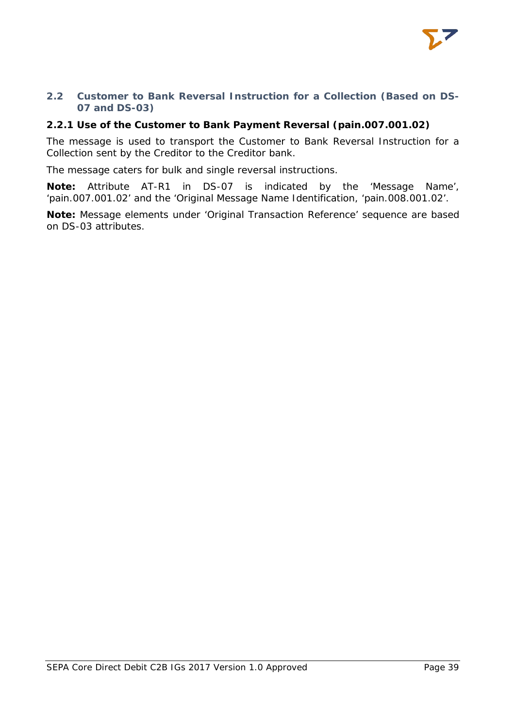

# <span id="page-39-0"></span>**2.2 Customer to Bank Reversal Instruction for a Collection (Based on DS-07 and DS-03)**

# <span id="page-39-1"></span>**2.2.1 Use of the Customer to Bank Payment Reversal (pain.007.001.02)**

The message is used to transport the Customer to Bank Reversal Instruction for a Collection sent by the Creditor to the Creditor bank.

The message caters for bulk and single reversal instructions.

**Note:** Attribute AT-R1 in DS-07 is indicated by the 'Message Name', 'pain.007.001.02' and the 'Original Message Name Identification, 'pain.008.001.02'.

**Note:** Message elements under 'Original Transaction Reference' sequence are based on DS-03 attributes.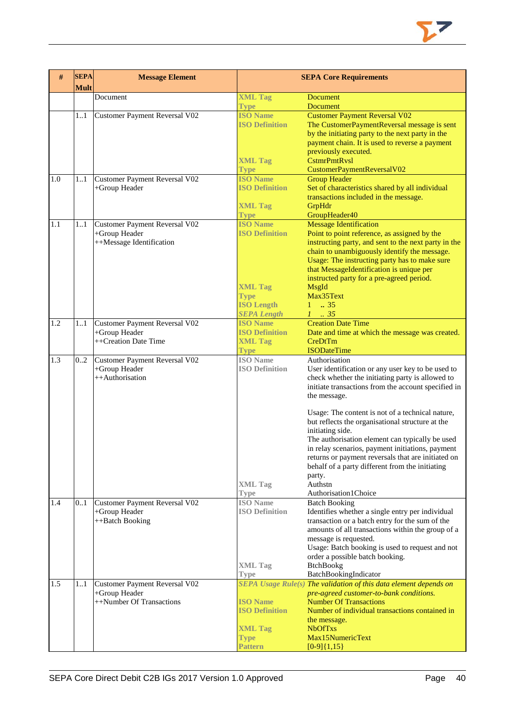

| #   | <b>SEPA</b><br><b>Mult</b> | <b>Message Element</b>                                                            |                                                                                                                      | <b>SEPA Core Requirements</b>                                                                                                                                                                                                                                                                                                                                                                                                                                                          |
|-----|----------------------------|-----------------------------------------------------------------------------------|----------------------------------------------------------------------------------------------------------------------|----------------------------------------------------------------------------------------------------------------------------------------------------------------------------------------------------------------------------------------------------------------------------------------------------------------------------------------------------------------------------------------------------------------------------------------------------------------------------------------|
|     |                            | Document                                                                          | <b>XML Tag</b>                                                                                                       | <b>Document</b>                                                                                                                                                                                                                                                                                                                                                                                                                                                                        |
|     |                            |                                                                                   | <b>Type</b>                                                                                                          | <b>Document</b>                                                                                                                                                                                                                                                                                                                                                                                                                                                                        |
|     | 11                         | <b>Customer Payment Reversal V02</b>                                              | <b>ISO Name</b><br><b>ISO Definition</b>                                                                             | <b>Customer Payment Reversal V02</b><br>The CustomerPaymentReversal message is sent<br>by the initiating party to the next party in the<br>payment chain. It is used to reverse a payment<br>previously executed.                                                                                                                                                                                                                                                                      |
|     |                            |                                                                                   | <b>XML Tag</b><br><b>Type</b>                                                                                        | <b>CstmrPmtRvsl</b><br>CustomerPaymentReversalV02                                                                                                                                                                                                                                                                                                                                                                                                                                      |
| 1.0 | 11                         | <b>Customer Payment Reversal V02</b><br>+Group Header                             | <b>ISO Name</b><br><b>ISO Definition</b><br><b>XML Tag</b><br><b>Type</b>                                            | <b>Group Header</b><br>Set of characteristics shared by all individual<br>transactions included in the message.<br>GrpHdr<br>GroupHeader40                                                                                                                                                                                                                                                                                                                                             |
| 1.1 | 11                         | <b>Customer Payment Reversal V02</b><br>+Group Header<br>++Message Identification | <b>ISO Name</b><br><b>ISO Definition</b><br><b>XML Tag</b><br><b>Type</b><br><b>ISO Length</b><br><b>SEPA Length</b> | <b>Message Identification</b><br>Point to point reference, as assigned by the<br>instructing party, and sent to the next party in the<br>chain to unambiguously identify the message.<br>Usage: The instructing party has to make sure<br>that MessageIdentification is unique per<br>instructed party for a pre-agreed period.<br>MsgId<br>Max35Text<br>$1 \t . 35$<br>$1 \t35$                                                                                                       |
| 1.2 | 11                         | <b>Customer Payment Reversal V02</b><br>+Group Header<br>++Creation Date Time     | <b>ISO Name</b><br><b>ISO Definition</b><br><b>XML Tag</b><br><b>Type</b>                                            | <b>Creation Date Time</b><br>Date and time at which the message was created.<br>CreDtTm<br><b>ISODateTime</b>                                                                                                                                                                                                                                                                                                                                                                          |
| 1.3 | 02                         | <b>Customer Payment Reversal V02</b><br>+Group Header<br>++Authorisation          | <b>ISO</b> Name<br><b>ISO Definition</b>                                                                             | Authorisation<br>User identification or any user key to be used to<br>check whether the initiating party is allowed to<br>initiate transactions from the account specified in<br>the message.<br>Usage: The content is not of a technical nature,<br>but reflects the organisational structure at the<br>initiating side.<br>The authorisation element can typically be used<br>in relay scenarios, payment initiations, payment<br>returns or payment reversals that are initiated on |
|     |                            |                                                                                   | <b>XML Tag</b><br><b>Type</b>                                                                                        | behalf of a party different from the initiating<br>party.<br>Authstn<br>Authorisation1Choice                                                                                                                                                                                                                                                                                                                                                                                           |
| 1.4 | 0.1                        | <b>Customer Payment Reversal V02</b><br>+Group Header<br>++Batch Booking          | <b>ISO</b> Name<br><b>ISO Definition</b><br><b>XML Tag</b><br><b>Type</b>                                            | <b>Batch Booking</b><br>Identifies whether a single entry per individual<br>transaction or a batch entry for the sum of the<br>amounts of all transactions within the group of a<br>message is requested.<br>Usage: Batch booking is used to request and not<br>order a possible batch booking.<br><b>BtchBookg</b><br>BatchBookingIndicator                                                                                                                                           |
| 1.5 | 11                         | Customer Payment Reversal V02<br>+Group Header<br>++Number Of Transactions        | <b>ISO Name</b><br><b>ISO Definition</b><br><b>XML Tag</b><br><b>Type</b><br>Pattern                                 | SEPA Usage Rule(s) The validation of this data element depends on<br>pre-agreed customer-to-bank conditions.<br><b>Number Of Transactions</b><br>Number of individual transactions contained in<br>the message.<br><b>NbOfTxs</b><br>Max15NumericText<br>$[0-9]{1,15}$                                                                                                                                                                                                                 |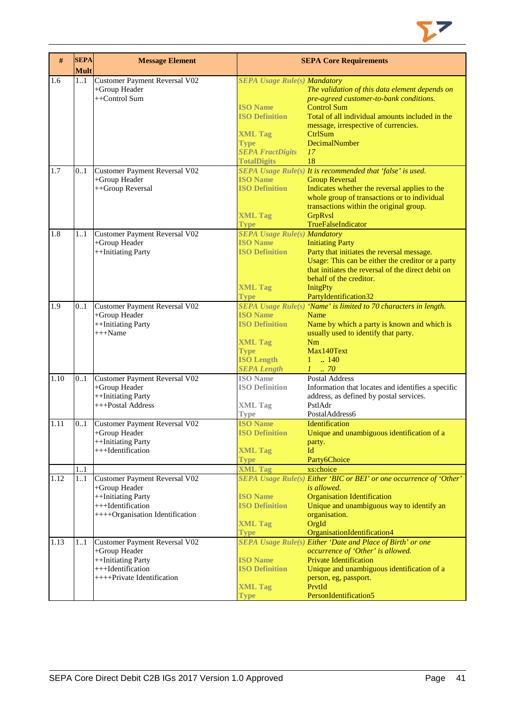

| #    | <b>SEPA</b><br><b>Mult</b> | <b>Message Element</b>                                                                                                              |                                                                                                                                                                   | <b>SEPA Core Requirements</b>                                                                                                                                                                                                                                    |
|------|----------------------------|-------------------------------------------------------------------------------------------------------------------------------------|-------------------------------------------------------------------------------------------------------------------------------------------------------------------|------------------------------------------------------------------------------------------------------------------------------------------------------------------------------------------------------------------------------------------------------------------|
| 1.6  | 1.1                        | Customer Payment Reversal V02<br>+Group Header<br>++Control Sum                                                                     | <b>SEPA Usage Rule(s) Mandatory</b><br><b>ISO</b> Name<br><b>ISO Definition</b><br><b>XML Tag</b><br><b>Type</b><br><b>SEPA FractDigits</b><br><b>TotalDigits</b> | The validation of this data element depends on<br>pre-agreed customer-to-bank conditions.<br><b>Control Sum</b><br>Total of all individual amounts included in the<br>message, irrespective of currencies.<br>CtrlSum<br>DecimalNumber<br>17<br>18               |
| 1.7  | 0.1                        | Customer Payment Reversal V02<br>+Group Header<br>++Group Reversal                                                                  | <b>ISO Name</b><br><b>ISO Definition</b><br><b>XML Tag</b><br><b>Type</b>                                                                                         | SEPA Usage Rule(s) It is recommended that 'false' is used.<br><b>Group Reversal</b><br>Indicates whether the reversal applies to the<br>whole group of transactions or to individual<br>transactions within the original group.<br>GrpRvsl<br>TrueFalseIndicator |
| 1.8  | 11                         | <b>Customer Payment Reversal V02</b><br>+Group Header<br>++Initiating Party                                                         | <b>SEPA Usage Rule(s) Mandatory</b><br><b>ISO Name</b><br><b>ISO Definition</b><br><b>XML Tag</b><br><b>Type</b>                                                  | <b>Initiating Party</b><br>Party that initiates the reversal message.<br>Usage: This can be either the creditor or a party<br>that initiates the reversal of the direct debit on<br>behalf of the creditor.<br><b>InitgPty</b><br>PartyIdentification32          |
| 1.9  | 0.1                        | Customer Payment Reversal V02<br>+Group Header<br>++Initiating Party<br>$+++Name$                                                   | <b>ISO Name</b><br><b>ISO Definition</b><br><b>XML Tag</b><br><b>Type</b><br><b>ISO Length</b><br><b>SEPA Length</b>                                              | SEPA Usage Rule(s) 'Name' is limited to 70 characters in length.<br>Name<br>Name by which a party is known and which is<br>usually used to identify that party.<br>Nm<br>Max140Text<br>$1 - 140$<br>$1 \dots 70$                                                 |
| 1.10 | 0.1                        | Customer Payment Reversal V02<br>+Group Header<br>++Initiating Party<br>+++Postal Address                                           | <b>ISO</b> Name<br><b>ISO Definition</b><br><b>XML Tag</b><br><b>Type</b>                                                                                         | Postal Address<br>Information that locates and identifies a specific<br>address, as defined by postal services.<br>PstlAdr<br>PostalAddress6                                                                                                                     |
| 1.11 | 0.1<br>11                  | <b>Customer Payment Reversal V02</b><br>+Group Header<br>++Initiating Party<br>+++Identification                                    | <b>ISO Name</b><br><b>ISO Definition</b><br><b>XML Tag</b><br><b>Type</b><br><b>XML Tag</b>                                                                       | Identification<br>Unique and unambiguous identification of a<br>party.<br>Id<br>Party6Choice<br>xs:choice                                                                                                                                                        |
| 1.12 | 11                         | <b>Customer Payment Reversal V02</b><br>+Group Header<br>++Initiating Party<br>+++Identification<br>++++Organisation Identification | <b>ISO Name</b><br><b>ISO Definition</b><br><b>XML Tag</b><br><b>Type</b>                                                                                         | SEPA Usage Rule(s) Either 'BIC or BEI' or one occurrence of 'Other'<br>is allowed.<br><b>Organisation Identification</b><br>Unique and unambiguous way to identify an<br>organisation.<br>OrgId<br>OrganisationIdentification4                                   |
| 1.13 | 11                         | Customer Payment Reversal V02<br>+Group Header<br>++Initiating Party<br>+++Identification<br>++++Private Identification             | <b>ISO Name</b><br><b>ISO Definition</b><br><b>XML Tag</b><br>Type                                                                                                | <b>SEPA Usage Rule(s) Either 'Date and Place of Birth' or one</b><br>occurrence of 'Other' is allowed.<br><b>Private Identification</b><br>Unique and unambiguous identification of a<br>person, eg, passport.<br>PrvtId<br>PersonIdentification5                |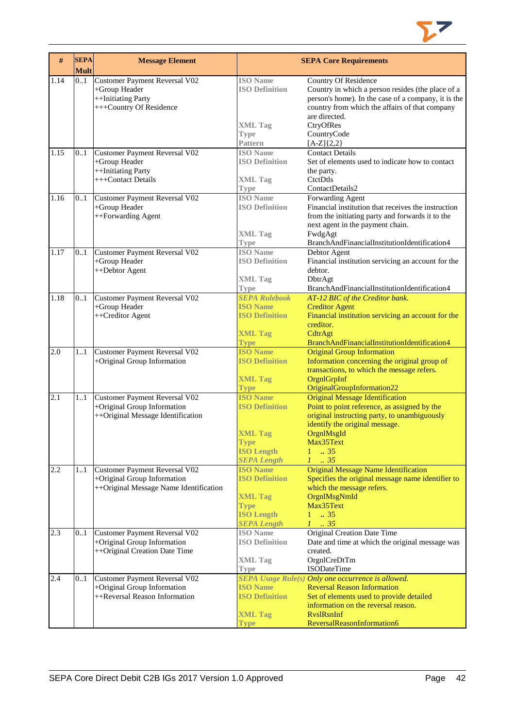

| $\#$ | <b>SEPA</b><br><b>Mult</b> | <b>Message Element</b>                                                                                 |                                                                                                                      | <b>SEPA Core Requirements</b>                                                                                                                                                                                                           |
|------|----------------------------|--------------------------------------------------------------------------------------------------------|----------------------------------------------------------------------------------------------------------------------|-----------------------------------------------------------------------------------------------------------------------------------------------------------------------------------------------------------------------------------------|
| 1.14 | 01                         | Customer Payment Reversal V02<br>+Group Header<br>++Initiating Party<br>+++Country Of Residence        | <b>ISO</b> Name<br><b>ISO Definition</b><br><b>XML Tag</b><br><b>Type</b>                                            | <b>Country Of Residence</b><br>Country in which a person resides (the place of a<br>person's home). In the case of a company, it is the<br>country from which the affairs of that company<br>are directed.<br>CtryOfRes<br>CountryCode  |
| 1.15 | 01                         | Customer Payment Reversal V02<br>+Group Header<br>++Initiating Party<br>+++Contact Details             | Pattern<br><b>ISO</b> Name<br><b>ISO Definition</b><br><b>XML Tag</b><br><b>Type</b>                                 | $[A-Z]\{2,2\}$<br><b>Contact Details</b><br>Set of elements used to indicate how to contact<br>the party.<br>CtetDtls<br>ContactDetails2                                                                                                |
| 1.16 | 0.1                        | Customer Payment Reversal V02<br>+Group Header<br>++Forwarding Agent                                   | <b>ISO</b> Name<br><b>ISO Definition</b><br><b>XML Tag</b><br><b>Type</b>                                            | Forwarding Agent<br>Financial institution that receives the instruction<br>from the initiating party and forwards it to the<br>next agent in the payment chain.<br>FwdgAgt<br>BranchAndFinancialInstitutionIdentification4              |
| 1.17 | 0.1                        | Customer Payment Reversal V02<br>+Group Header<br>++Debtor Agent                                       | <b>ISO Name</b><br><b>ISO Definition</b><br><b>XML Tag</b><br><b>Type</b>                                            | Debtor Agent<br>Financial institution servicing an account for the<br>debtor.<br>DbtrAgt<br>BranchAndFinancialInstitutionIdentification4                                                                                                |
| 1.18 | 0.1                        | Customer Payment Reversal V02<br>+Group Header<br>++Creditor Agent                                     | <b>SEPA Rulebook</b><br><b>ISO Name</b><br><b>ISO Definition</b><br><b>XML Tag</b><br><b>Type</b>                    | AT-12 BIC of the Creditor bank.<br><b>Creditor Agent</b><br>Financial institution servicing an account for the<br>creditor.<br>CdtrAgt<br>BranchAndFinancialInstitutionIdentification4                                                  |
| 2.0  | 11                         | Customer Payment Reversal V02<br>+Original Group Information                                           | <b>ISO Name</b><br><b>ISO Definition</b><br><b>XML Tag</b><br><b>Type</b>                                            | <b>Original Group Information</b><br>Information concerning the original group of<br>transactions, to which the message refers.<br>OrgnlGrpInf<br>OriginalGroupInformation22                                                            |
| 2.1  | 11                         | Customer Payment Reversal V02<br>+Original Group Information<br>++Original Message Identification      | <b>ISO Name</b><br><b>ISO Definition</b><br><b>XML Tag</b><br><b>Type</b><br><b>ISO Length</b><br><b>SEPA Length</b> | <b>Original Message Identification</b><br>Point to point reference, as assigned by the<br>original instructing party, to unambiguously<br>identify the original message.<br>OrgnlMsgId<br>Max35Text<br>.35<br>1<br>$\therefore$ 35<br>L |
| 2.2  | 11                         | Customer Payment Reversal V02<br>+Original Group Information<br>++Original Message Name Identification | <b>ISO Name</b><br><b>ISO Definition</b><br><b>XML Tag</b><br><b>Type</b><br><b>ISO Length</b><br><b>SEPA Length</b> | <b>Original Message Name Identification</b><br>Specifies the original message name identifier to<br>which the message refers.<br>OrgnlMsgNmId<br>Max35Text<br>.35<br>1<br>$1 \cdot .35$                                                 |
| 2.3  | 01                         | Customer Payment Reversal V02<br>+Original Group Information<br>++Original Creation Date Time          | <b>ISO</b> Name<br><b>ISO Definition</b><br><b>XML Tag</b><br><b>Type</b>                                            | Original Creation Date Time<br>Date and time at which the original message was<br>created.<br>OrgnlCreDtTm<br><b>ISODateTime</b>                                                                                                        |
| 2.4  | 0.1                        | Customer Payment Reversal V02<br>+Original Group Information<br>++Reversal Reason Information          | <b>ISO Name</b><br><b>ISO Definition</b><br><b>XML Tag</b><br>Type                                                   | SEPA Usage Rule(s) Only one occurrence is allowed.<br><b>Reversal Reason Information</b><br>Set of elements used to provide detailed<br>information on the reversal reason.<br><b>RyslRsnInf</b><br>ReversalReasonInformation6          |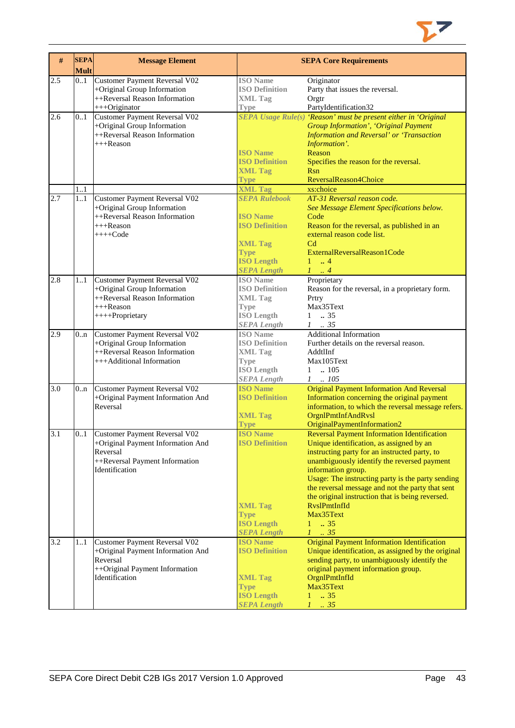

| $\#$             | <b>SEPA</b><br><b>Mult</b> | <b>Message Element</b>                                                                                                                    |                                                                                                                                                                | <b>SEPA Core Requirements</b>                                                                                                                                                                                                                                                                                                                                                                                                            |
|------------------|----------------------------|-------------------------------------------------------------------------------------------------------------------------------------------|----------------------------------------------------------------------------------------------------------------------------------------------------------------|------------------------------------------------------------------------------------------------------------------------------------------------------------------------------------------------------------------------------------------------------------------------------------------------------------------------------------------------------------------------------------------------------------------------------------------|
| 2.5              | 0.1                        | Customer Payment Reversal V02<br>+Original Group Information<br>++Reversal Reason Information<br>+++Originator                            | <b>ISO</b> Name<br><b>ISO Definition</b><br><b>XML Tag</b><br><b>Type</b>                                                                                      | Originator<br>Party that issues the reversal.<br>Orgtr<br>PartyIdentification32                                                                                                                                                                                                                                                                                                                                                          |
| 2.6              | 0.1                        | Customer Payment Reversal V02<br>+Original Group Information<br>++Reversal Reason Information<br>$+++$ Reason                             | <b>ISO Name</b><br><b>ISO Definition</b><br><b>XML Tag</b><br><b>Type</b>                                                                                      | SEPA Usage Rule(s) 'Reason' must be present either in 'Original<br><b>Group Information', 'Original Payment</b><br><b>Information and Reversal' or 'Transaction</b><br>Information'.<br>Reason<br>Specifies the reason for the reversal.<br><b>Rsn</b><br>ReversalReason4Choice                                                                                                                                                          |
| 2.7              | 1.1<br>11                  | <b>Customer Payment Reversal V02</b><br>+Original Group Information<br>++Reversal Reason Information<br>$+++$ Reason<br>$+++Code$         | <b>XML Tag</b><br><b>SEPA Rulebook</b><br><b>ISO Name</b><br><b>ISO Definition</b><br><b>XML Tag</b><br><b>Type</b><br><b>ISO Length</b><br><b>SEPA Length</b> | xs:choice<br>AT-31 Reversal reason code.<br>See Message Element Specifications below.<br>Code<br>Reason for the reversal, as published in an<br>external reason code list.<br>C <sub>d</sub><br>ExternalReversalReason1Code<br>$1 \dots 4$<br>$1 \ldots 4$                                                                                                                                                                               |
| 2.8              | 1.1                        | Customer Payment Reversal V02<br>+Original Group Information<br>++Reversal Reason Information<br>$+++$ Reason<br>++++Proprietary          | <b>ISO</b> Name<br><b>ISO Definition</b><br><b>XML Tag</b><br><b>Type</b><br><b>ISO Length</b><br><b>SEPA Length</b>                                           | Proprietary<br>Reason for the reversal, in a proprietary form.<br>Prtry<br>Max35Text<br>$1 \t . 35$<br>$1-.35$                                                                                                                                                                                                                                                                                                                           |
| 2.9              | 0 <sub>n</sub>             | <b>Customer Payment Reversal V02</b><br>+Original Group Information<br>++Reversal Reason Information<br>+++Additional Information         | <b>ISO</b> Name<br><b>ISO Definition</b><br><b>XML Tag</b><br><b>Type</b><br><b>ISO Length</b><br><b>SEPA Length</b>                                           | <b>Additional Information</b><br>Further details on the reversal reason.<br>AddtlInf<br>Max105Text<br>$1 \quad . \quad 105$<br>$1 \t . 105$                                                                                                                                                                                                                                                                                              |
| 3.0              | 0 <sub>nn</sub>            | Customer Payment Reversal V02<br>+Original Payment Information And<br>Reversal                                                            | <b>ISO Name</b><br><b>ISO Definition</b><br><b>XML Tag</b><br><b>Type</b>                                                                                      | <b>Original Payment Information And Reversal</b><br>Information concerning the original payment<br>information, to which the reversal message refers.<br>OrgnlPmtInfAndRvsl<br>OriginalPaymentInformation2                                                                                                                                                                                                                               |
| 3.1              | 0.1                        | <b>Customer Payment Reversal V02</b><br>+Original Payment Information And<br>Reversal<br>++Reversal Payment Information<br>Identification | <b>ISO Name</b><br><b>ISO Definition</b><br><b>XML Tag</b><br><b>Type</b><br><b>ISO Length</b><br><b>SEPA Length</b>                                           | <b>Reversal Payment Information Identification</b><br>Unique identification, as assigned by an<br>instructing party for an instructed party, to<br>unambiguously identify the reversed payment<br>information group.<br>Usage: The instructing party is the party sending<br>the reversal message and not the party that sent<br>the original instruction that is being reversed.<br>RvslPmtInfId<br>Max35Text<br>$1 \t . 35$<br>$1-.35$ |
| $\overline{3.2}$ | 11                         | Customer Payment Reversal V02<br>+Original Payment Information And<br>Reversal<br>++Original Payment Information<br>Identification        | <b>ISO Name</b><br><b>ISO Definition</b><br><b>XML Tag</b><br><b>Type</b><br><b>ISO Length</b><br><b>SEPA Length</b>                                           | <b>Original Payment Information Identification</b><br>Unique identification, as assigned by the original<br>sending party, to unambiguously identify the<br>original payment information group.<br>OrgnlPmtInfId<br>Max35Text<br>$\overline{.}35$<br>1<br>.35<br>$\mathcal{I}$                                                                                                                                                           |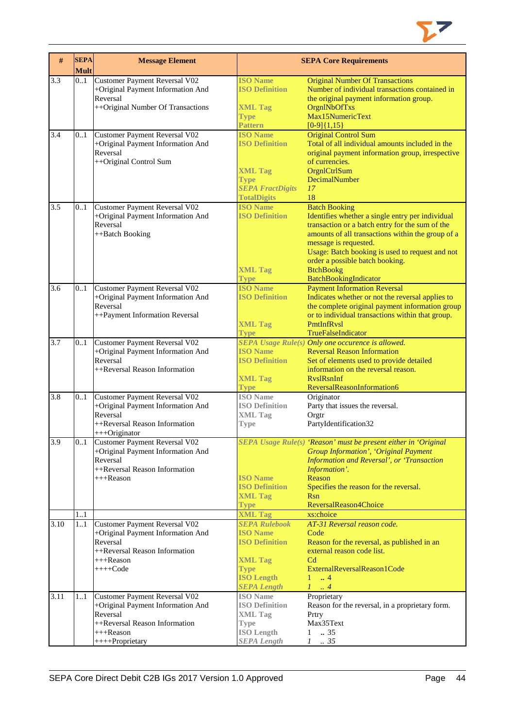

| $\#$ | <b>SEPA</b><br><b>Mult</b> | <b>Message Element</b>                                                                                                                             |                                                                                                                                                                | <b>SEPA Core Requirements</b>                                                                                                                                                                                                                                                                                                                       |
|------|----------------------------|----------------------------------------------------------------------------------------------------------------------------------------------------|----------------------------------------------------------------------------------------------------------------------------------------------------------------|-----------------------------------------------------------------------------------------------------------------------------------------------------------------------------------------------------------------------------------------------------------------------------------------------------------------------------------------------------|
| 3.3  | 0.1                        | Customer Payment Reversal V02<br>+Original Payment Information And<br>Reversal<br>++Original Number Of Transactions                                | <b>ISO Name</b><br><b>ISO Definition</b><br><b>XML Tag</b><br><b>Type</b><br><b>Pattern</b>                                                                    | <b>Original Number Of Transactions</b><br>Number of individual transactions contained in<br>the original payment information group.<br><b>OrgnlNbOfTxs</b><br>Max15NumericText<br>$[0-9]{1,15}$                                                                                                                                                     |
| 3.4  | 0.1                        | Customer Payment Reversal V02<br>+Original Payment Information And<br>Reversal<br>++Original Control Sum                                           | <b>ISO Name</b><br><b>ISO Definition</b><br><b>XML Tag</b><br><b>Type</b><br><b>SEPA FractDigits</b><br><b>TotalDigits</b>                                     | <b>Original Control Sum</b><br>Total of all individual amounts included in the<br>original payment information group, irrespective<br>of currencies.<br>OrgnlCtrlSum<br>DecimalNumber<br>17<br>18                                                                                                                                                   |
| 3.5  | 01                         | Customer Payment Reversal V02<br>+Original Payment Information And<br>Reversal<br>++Batch Booking                                                  | <b>ISO Name</b><br><b>ISO Definition</b><br><b>XML Tag</b><br><b>Type</b>                                                                                      | <b>Batch Booking</b><br>Identifies whether a single entry per individual<br>transaction or a batch entry for the sum of the<br>amounts of all transactions within the group of a<br>message is requested.<br>Usage: Batch booking is used to request and not<br>order a possible batch booking.<br><b>BtchBookg</b><br><b>BatchBookingIndicator</b> |
| 3.6  | 0.1                        | <b>Customer Payment Reversal V02</b><br>+Original Payment Information And<br>Reversal<br>++Payment Information Reversal                            | <b>ISO Name</b><br><b>ISO Definition</b><br><b>XML Tag</b><br><b>Type</b>                                                                                      | <b>Payment Information Reversal</b><br>Indicates whether or not the reversal applies to<br>the complete original payment information group<br>or to individual transactions within that group.<br>PmtInfRvsl<br>TrueFalseIndicator                                                                                                                  |
| 3.7  | 0.1                        | Customer Payment Reversal V02<br>+Original Payment Information And<br>Reversal<br>++Reversal Reason Information                                    | <b>ISO Name</b><br><b>ISO Definition</b><br><b>XML Tag</b><br><b>Type</b>                                                                                      | SEPA Usage Rule(s) Only one occurence is allowed.<br><b>Reversal Reason Information</b><br>Set of elements used to provide detailed<br>information on the reversal reason.<br><b>RyslRsnInf</b><br>ReversalReasonInformation6                                                                                                                       |
| 3.8  | 0.1                        | Customer Payment Reversal V02<br>+Original Payment Information And<br>Reversal<br>++Reversal Reason Information<br>+++Originator                   | <b>ISO</b> Name<br><b>ISO Definition</b><br><b>XML Tag</b><br>Type                                                                                             | Originator<br>Party that issues the reversal.<br>Orgtr<br>PartyIdentification32                                                                                                                                                                                                                                                                     |
| 3.9  | 01                         | <b>Customer Payment Reversal V02</b><br>+Original Payment Information And<br>Reversal<br>++Reversal Reason Information<br>$+++$ Reason             | <b>ISO</b> Name<br><b>ISO Definition</b><br><b>XML Tag</b><br><b>Type</b>                                                                                      | SEPA Usage Rule(s) 'Reason' must be present either in 'Original<br><b>Group Information', 'Original Payment</b><br>Information and Reversal', or 'Transaction<br>Information'.<br>Reason<br>Specifies the reason for the reversal.<br><b>Rsn</b><br>ReversalReason4Choice                                                                           |
| 3.10 | 1.1<br>11                  | Customer Payment Reversal V02<br>+Original Payment Information And<br>Reversal<br>++Reversal Reason Information<br>$+++$ Reason<br>$+++Code$       | <b>XML Tag</b><br><b>SEPA Rulebook</b><br><b>ISO Name</b><br><b>ISO Definition</b><br><b>XML Tag</b><br><b>Type</b><br><b>ISO Length</b><br><b>SEPA Length</b> | xs:choice<br>AT-31 Reversal reason code.<br>Code<br>Reason for the reversal, as published in an<br>external reason code list.<br>C <sub>d</sub><br>ExternalReversalReason1Code<br>$1 \dots 4$<br>1<br>$\cdot$ 4                                                                                                                                     |
| 3.11 | 11                         | Customer Payment Reversal V02<br>+Original Payment Information And<br>Reversal<br>++Reversal Reason Information<br>$+++$ Reason<br>++++Proprietary | <b>ISO</b> Name<br><b>ISO Definition</b><br><b>XML Tag</b><br><b>Type</b><br><b>ISO Length</b><br><b>SEPA Length</b>                                           | Proprietary<br>Reason for the reversal, in a proprietary form.<br>Prtry<br>Max35Text<br>.35<br>1<br>$\mathcal{I}$<br>.35                                                                                                                                                                                                                            |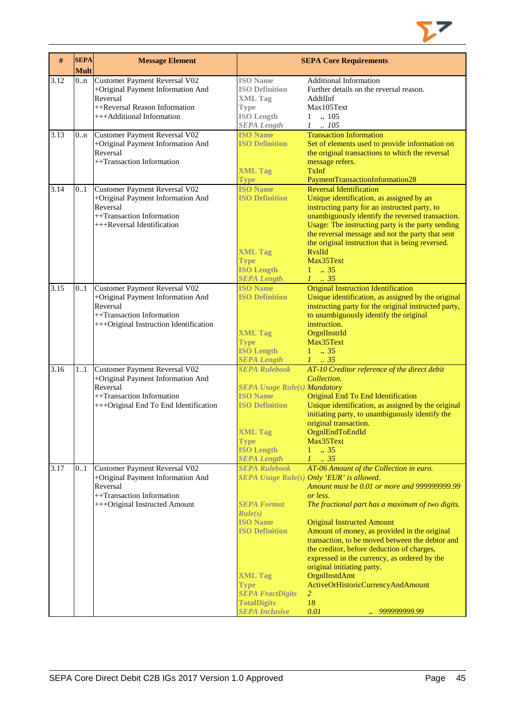

| #    | <b>SEPA</b><br><b>Mult</b> | <b>Message Element</b>                                                                                                                                |                                                                                                                                                                                                              | <b>SEPA Core Requirements</b>                                                                                                                                                                                                                                                                                                                                                                                                                                                                                                                                                          |
|------|----------------------------|-------------------------------------------------------------------------------------------------------------------------------------------------------|--------------------------------------------------------------------------------------------------------------------------------------------------------------------------------------------------------------|----------------------------------------------------------------------------------------------------------------------------------------------------------------------------------------------------------------------------------------------------------------------------------------------------------------------------------------------------------------------------------------------------------------------------------------------------------------------------------------------------------------------------------------------------------------------------------------|
| 3.12 | 0n                         | Customer Payment Reversal V02<br>+Original Payment Information And<br>Reversal<br>++Reversal Reason Information<br>+++Additional Information          | <b>ISO</b> Name<br><b>ISO Definition</b><br><b>XML Tag</b><br><b>Type</b><br><b>ISO Length</b><br><b>SEPA Length</b>                                                                                         | <b>Additional Information</b><br>Further details on the reversal reason.<br>AddtlInf<br>Max105Text<br>$\ln 105$<br>$\mathbf{1}$<br>$1-.105$                                                                                                                                                                                                                                                                                                                                                                                                                                            |
| 3.13 | 0n                         | Customer Payment Reversal V02<br>+Original Payment Information And<br>Reversal<br>++Transaction Information                                           | <b>ISO Name</b><br><b>ISO Definition</b><br><b>XML Tag</b><br><b>Type</b>                                                                                                                                    | <b>Transaction Information</b><br>Set of elements used to provide information on<br>the original transactions to which the reversal<br>message refers.<br><b>TxInf</b><br>PaymentTransactionInformation28                                                                                                                                                                                                                                                                                                                                                                              |
| 3.14 | 0.1                        | Customer Payment Reversal V02<br>+Original Payment Information And<br>Reversal<br>++Transaction Information<br>+++Reversal Identification             | <b>ISO Name</b><br><b>ISO Definition</b><br><b>XML Tag</b><br><b>Type</b><br><b>ISO Length</b><br><b>SEPA Length</b>                                                                                         | <b>Reversal Identification</b><br>Unique identification, as assigned by an<br>instructing party for an instructed party, to<br>unambiguously identify the reversed transaction.<br>Usage: The instructing party is the party sending<br>the reversal message and not the party that sent<br>the original instruction that is being reversed.<br><b>RyslId</b><br>Max35Text<br>$1 \t . 35$<br>$1 \t35$                                                                                                                                                                                  |
| 3.15 | 0.1                        | Customer Payment Reversal V02<br>+Original Payment Information And<br>Reversal<br>++Transaction Information<br>+++Original Instruction Identification | <b>ISO Name</b><br><b>ISO Definition</b><br><b>XML Tag</b><br><b>Type</b><br><b>ISO Length</b><br><b>SEPA Length</b>                                                                                         | <b>Original Instruction Identification</b><br>Unique identification, as assigned by the original<br>instructing party for the original instructed party,<br>to unambiguously identify the original<br>instruction.<br>OrgnIInstrId<br>Max35Text<br>$1 \t . 35$<br>$1 \t35$                                                                                                                                                                                                                                                                                                             |
| 3.16 | 1.1                        | Customer Payment Reversal V02<br>+Original Payment Information And<br>Reversal<br>++Transaction Information<br>+++Original End To End Identification  | <b>SEPA Rulebook</b><br><b>SEPA Usage Rule(s) Mandatory</b><br><b>ISO Name</b><br><b>ISO Definition</b><br><b>XML Tag</b><br><b>Type</b><br><b>ISO Length</b><br><b>SEPA Length</b>                          | AT-10 Creditor reference of the direct debit<br>Collection.<br>Original End To End Identification<br>Unique identification, as assigned by the original<br>initiating party, to unambiguously identify the<br>original transaction.<br>OrgnlEndToEndId<br>Max35Text<br>$\therefore$ 35<br>1<br>$1 \cdot .35$                                                                                                                                                                                                                                                                           |
| 3.17 | 0.1                        | Customer Payment Reversal V02<br>+Original Payment Information And<br>Reversal<br>++Transaction Information<br>+++Original Instructed Amount          | <b>SEPA Rulebook</b><br><b>SEPA Format</b><br>Rule(s)<br><b>ISO</b> Name<br><b>ISO Definition</b><br><b>XML Tag</b><br><b>Type</b><br><b>SEPA FractDigits</b><br><b>TotalDigits</b><br><b>SEPA Inclusive</b> | AT-06 Amount of the Collection in euro.<br><b>SEPA Usage Rule(s) Only 'EUR' is allowed.</b><br>Amount must be 0.01 or more and 9999999999.99<br>or less.<br>The fractional part has a maximum of two digits.<br><b>Original Instructed Amount</b><br>Amount of money, as provided in the original<br>transaction, to be moved between the debtor and<br>the creditor, before deduction of charges,<br>expressed in the currency, as ordered by the<br>original initiating party.<br>OrgnIInstdAmt<br>ActiveOrHistoricCurrencyAndAmount<br>$\overline{2}$<br>18<br>0.01<br>999999999.99 |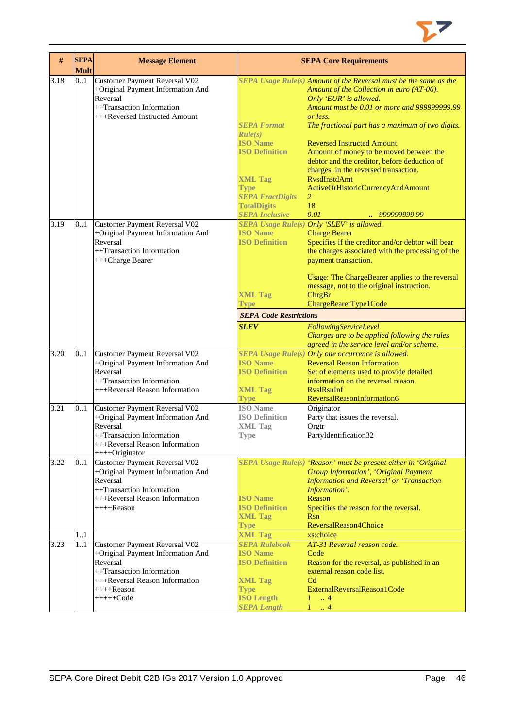

| $\#$ | <b>SEPA</b> | <b>Message Element</b>                                                                                                                                                              |                                                                                                                                              | <b>SEPA Core Requirements</b>                                                                                                                                                                                                                                                                                                                                                                                                                                                                 |
|------|-------------|-------------------------------------------------------------------------------------------------------------------------------------------------------------------------------------|----------------------------------------------------------------------------------------------------------------------------------------------|-----------------------------------------------------------------------------------------------------------------------------------------------------------------------------------------------------------------------------------------------------------------------------------------------------------------------------------------------------------------------------------------------------------------------------------------------------------------------------------------------|
|      | <b>Mult</b> |                                                                                                                                                                                     |                                                                                                                                              |                                                                                                                                                                                                                                                                                                                                                                                                                                                                                               |
| 3.18 | 0.1         | <b>Customer Payment Reversal V02</b><br>+Original Payment Information And<br>Reversal<br>++Transaction Information<br>+++Reversed Instructed Amount                                 | <b>SEPA Format</b><br>Rule(s)<br><b>ISO Name</b><br><b>ISO Definition</b><br><b>XML Tag</b><br><b>Type</b>                                   | SEPA Usage Rule(s) Amount of the Reversal must be the same as the<br>Amount of the Collection in euro (AT-06).<br>Only 'EUR' is allowed.<br>Amount must be 0.01 or more and 999999999.99<br>or less.<br>The fractional part has a maximum of two digits.<br><b>Reversed Instructed Amount</b><br>Amount of money to be moved between the<br>debtor and the creditor, before deduction of<br>charges, in the reversed transaction.<br><b>RysdInstdAmt</b><br>ActiveOrHistoricCurrencyAndAmount |
|      |             |                                                                                                                                                                                     | <b>SEPA FractDigits</b>                                                                                                                      | $\overline{2}$                                                                                                                                                                                                                                                                                                                                                                                                                                                                                |
|      |             |                                                                                                                                                                                     | <b>TotalDigits</b>                                                                                                                           | 18                                                                                                                                                                                                                                                                                                                                                                                                                                                                                            |
|      |             |                                                                                                                                                                                     | <b>SEPA Inclusive</b>                                                                                                                        | 0.01<br>999999999.99                                                                                                                                                                                                                                                                                                                                                                                                                                                                          |
| 3.19 | 0.1         | Customer Payment Reversal V02<br>+Original Payment Information And<br>Reversal<br>++Transaction Information<br>+++Charge Bearer                                                     | <b>ISO Name</b><br><b>ISO Definition</b>                                                                                                     | SEPA Usage Rule(s) Only 'SLEV' is allowed.<br><b>Charge Bearer</b><br>Specifies if the creditor and/or debtor will bear<br>the charges associated with the processing of the<br>payment transaction.<br>Usage: The ChargeBearer applies to the reversal<br>message, not to the original instruction.                                                                                                                                                                                          |
|      |             |                                                                                                                                                                                     | <b>XML Tag</b>                                                                                                                               | ChrgBr                                                                                                                                                                                                                                                                                                                                                                                                                                                                                        |
|      |             |                                                                                                                                                                                     | Type                                                                                                                                         | ChargeBearerType1Code                                                                                                                                                                                                                                                                                                                                                                                                                                                                         |
|      |             |                                                                                                                                                                                     | <b>SEPA Code Restrictions</b>                                                                                                                |                                                                                                                                                                                                                                                                                                                                                                                                                                                                                               |
|      |             |                                                                                                                                                                                     | <b>SLEV</b>                                                                                                                                  | FollowingServiceLevel                                                                                                                                                                                                                                                                                                                                                                                                                                                                         |
|      |             |                                                                                                                                                                                     |                                                                                                                                              | Charges are to be applied following the rules<br>agreed in the service level and/or scheme.                                                                                                                                                                                                                                                                                                                                                                                                   |
| 3.20 | 0.1         | Customer Payment Reversal V02<br>+Original Payment Information And<br>Reversal<br>++Transaction Information<br>+++Reversal Reason Information                                       | <b>ISO</b> Name<br><b>ISO Definition</b><br><b>XML Tag</b>                                                                                   | SEPA Usage Rule(s) Only one occurrence is allowed.<br><b>Reversal Reason Information</b><br>Set of elements used to provide detailed<br>information on the reversal reason.<br><b>RyslRsnInf</b>                                                                                                                                                                                                                                                                                              |
| 3.21 | 0.1         | Customer Payment Reversal V02                                                                                                                                                       | <b>Type</b><br><b>ISO</b> Name                                                                                                               | ReversalReasonInformation6<br>Originator                                                                                                                                                                                                                                                                                                                                                                                                                                                      |
|      |             | +Original Payment Information And<br>Reversal<br>++Transaction Information<br>+++Reversal Reason Information<br>$+++O$ riginator                                                    | <b>ISO Definition</b><br><b>XML Tag</b><br><b>Type</b>                                                                                       | Party that issues the reversal.<br>Orgtr<br>PartyIdentification32                                                                                                                                                                                                                                                                                                                                                                                                                             |
| 3.22 | 01          | <b>Customer Payment Reversal V02</b><br>+Original Payment Information And<br>Reversal<br>++Transaction Information<br>+++Reversal Reason Information<br>$+++$ Reason                | <b>ISO Name</b><br><b>ISO Definition</b><br><b>XML Tag</b><br><b>Type</b>                                                                    | SEPA Usage Rule(s) 'Reason' must be present either in 'Original<br><b>Group Information', 'Original Payment</b><br>Information and Reversal' or 'Transaction<br>Information'.<br>Reason<br>Specifies the reason for the reversal.<br><b>Rsn</b><br>ReversalReason4Choice                                                                                                                                                                                                                      |
|      | 11          |                                                                                                                                                                                     | <b>XML Tag</b>                                                                                                                               | xs:choice                                                                                                                                                                                                                                                                                                                                                                                                                                                                                     |
| 3.23 | 11          | <b>Customer Payment Reversal V02</b><br>+Original Payment Information And<br>Reversal<br>++Transaction Information<br>+++Reversal Reason Information<br>$+++$ Reason<br>$++++-Code$ | <b>SEPA Rulebook</b><br><b>ISO Name</b><br><b>ISO Definition</b><br><b>XML Tag</b><br><b>Type</b><br><b>ISO Length</b><br><b>SEPA Length</b> | AT-31 Reversal reason code.<br>Code<br>Reason for the reversal, as published in an<br>external reason code list.<br>C <sub>d</sub><br>ExternalReversalReason1Code<br>$\overline{4}$<br>1<br>1<br>$\cdot$ 4                                                                                                                                                                                                                                                                                    |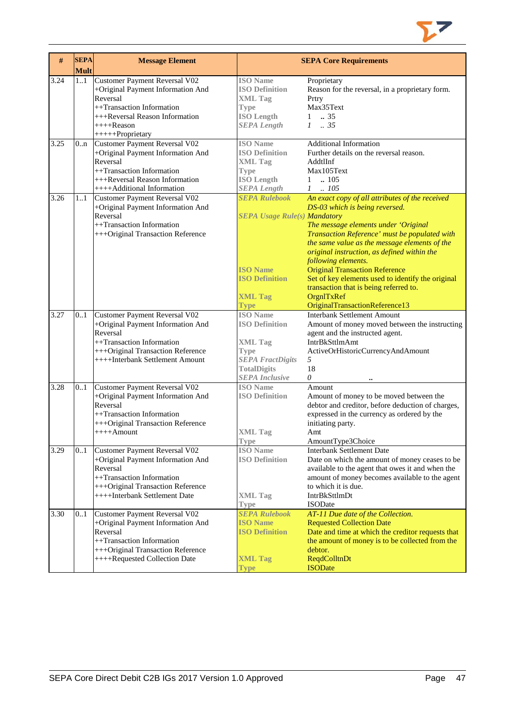

| #    | <b>SEPA</b><br><b>Mult</b> | <b>Message Element</b>               |                                     | <b>SEPA Core Requirements</b>                                                                  |
|------|----------------------------|--------------------------------------|-------------------------------------|------------------------------------------------------------------------------------------------|
| 3.24 | 1.1                        | Customer Payment Reversal V02        | <b>ISO</b> Name                     | Proprietary                                                                                    |
|      |                            | +Original Payment Information And    | <b>ISO Definition</b>               | Reason for the reversal, in a proprietary form.                                                |
|      |                            | Reversal                             | <b>XML Tag</b>                      | Prtry                                                                                          |
|      |                            | ++Transaction Information            | <b>Type</b>                         | Max35Text                                                                                      |
|      |                            | +++Reversal Reason Information       | <b>ISO Length</b>                   | .35<br>$\mathbf{1}$                                                                            |
|      |                            | ++++Reason                           | <b>SEPA Length</b>                  | $1-.35$                                                                                        |
|      |                            | +++++Proprietary                     |                                     |                                                                                                |
| 3.25 | 0 <sub>nn</sub>            | <b>Customer Payment Reversal V02</b> | <b>ISO</b> Name                     | <b>Additional Information</b>                                                                  |
|      |                            | +Original Payment Information And    | <b>ISO Definition</b>               | Further details on the reversal reason.                                                        |
|      |                            | Reversal                             | <b>XML Tag</b>                      | AddtlInf                                                                                       |
|      |                            | ++Transaction Information            | <b>Type</b>                         | Max105Text                                                                                     |
|      |                            | +++Reversal Reason Information       | <b>ISO Length</b>                   | .105<br>1                                                                                      |
|      |                            | ++++Additional Information           | <b>SEPA Length</b>                  | $1 \quad .105$                                                                                 |
| 3.26 | 11                         | Customer Payment Reversal V02        | <b>SEPA Rulebook</b>                | An exact copy of all attributes of the received                                                |
|      |                            | +Original Payment Information And    |                                     | DS-03 which is being reversed.                                                                 |
|      |                            | Reversal                             | <b>SEPA Usage Rule(s) Mandatory</b> |                                                                                                |
|      |                            | ++Transaction Information            |                                     | The message elements under 'Original                                                           |
|      |                            | +++Original Transaction Reference    |                                     | Transaction Reference' must be populated with<br>the same value as the message elements of the |
|      |                            |                                      |                                     | original instruction, as defined within the                                                    |
|      |                            |                                      |                                     | following elements.                                                                            |
|      |                            |                                      | <b>ISO Name</b>                     | <b>Original Transaction Reference</b>                                                          |
|      |                            |                                      | <b>ISO Definition</b>               | Set of key elements used to identify the original                                              |
|      |                            |                                      |                                     | transaction that is being referred to.                                                         |
|      |                            |                                      | <b>XML Tag</b>                      | OrgnITxRef                                                                                     |
|      |                            |                                      | Type                                | OriginalTransactionReference13                                                                 |
| 3.27 | 0.1                        | Customer Payment Reversal V02        | <b>ISO</b> Name                     | <b>Interbank Settlement Amount</b>                                                             |
|      |                            | +Original Payment Information And    | <b>ISO Definition</b>               | Amount of money moved between the instructing                                                  |
|      |                            | Reversal                             |                                     | agent and the instructed agent.                                                                |
|      |                            | ++Transaction Information            | <b>XML</b> Tag                      | IntrBkSttlmAmt                                                                                 |
|      |                            | +++Original Transaction Reference    | <b>Type</b>                         | ActiveOrHistoricCurrencyAndAmount                                                              |
|      |                            | ++++Interbank Settlement Amount      | <b>SEPA FractDigits</b>             | 5                                                                                              |
|      |                            |                                      | <b>TotalDigits</b>                  | 18                                                                                             |
|      |                            |                                      | <b>SEPA</b> Inclusive               | 0                                                                                              |
| 3.28 | 0.1                        | Customer Payment Reversal V02        | <b>ISO Name</b>                     | Amount                                                                                         |
|      |                            | +Original Payment Information And    | <b>ISO Definition</b>               | Amount of money to be moved between the                                                        |
|      |                            | Reversal                             |                                     | debtor and creditor, before deduction of charges,                                              |
|      |                            | ++Transaction Information            |                                     | expressed in the currency as ordered by the                                                    |
|      |                            | +++Original Transaction Reference    |                                     | initiating party.                                                                              |
|      |                            | $++++$ Amount                        | <b>XML</b> Tag                      | Amt<br>AmountType3Choice                                                                       |
| 3.29 | 0.1                        | Customer Payment Reversal V02        | <b>Type</b><br><b>ISO</b> Name      | <b>Interbank Settlement Date</b>                                                               |
|      |                            | +Original Payment Information And    | <b>ISO Definition</b>               | Date on which the amount of money ceases to be                                                 |
|      |                            | Reversal                             |                                     | available to the agent that owes it and when the                                               |
|      |                            | ++Transaction Information            |                                     | amount of money becomes available to the agent                                                 |
|      |                            | +++Original Transaction Reference    |                                     | to which it is due.                                                                            |
|      |                            | ++++Interbank Settlement Date        | <b>XML Tag</b>                      | IntrBkSttlmDt                                                                                  |
|      |                            |                                      | <b>Type</b>                         | <b>ISODate</b>                                                                                 |
| 3.30 | 0.1                        | Customer Payment Reversal V02        | <b>SEPA Rulebook</b>                | AT-11 Due date of the Collection.                                                              |
|      |                            | +Original Payment Information And    | <b>ISO Name</b>                     | <b>Requested Collection Date</b>                                                               |
|      |                            | Reversal                             | <b>ISO Definition</b>               | Date and time at which the creditor requests that                                              |
|      |                            | ++Transaction Information            |                                     | the amount of money is to be collected from the                                                |
|      |                            | +++Original Transaction Reference    |                                     | debtor.                                                                                        |
|      |                            | ++++Requested Collection Date        | <b>XML Tag</b>                      | <b>ReqdColltnDt</b>                                                                            |
|      |                            |                                      | <b>Type</b>                         | <b>ISODate</b>                                                                                 |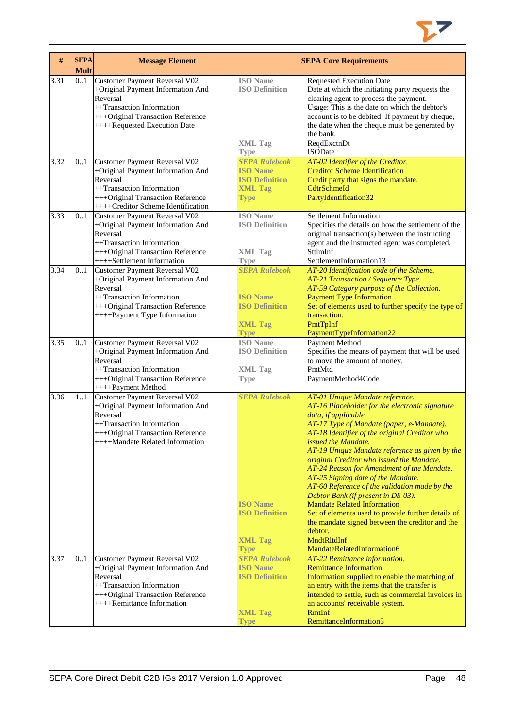

| #    | <b>SEPA</b><br><b>Mult</b> | <b>Message Element</b>                                                                                                                                                                        |                                                                                                   | <b>SEPA Core Requirements</b>                                                                                                                                                                                                                                                                                                                                                                                                                                                                                                                                                                                                                                                                                          |
|------|----------------------------|-----------------------------------------------------------------------------------------------------------------------------------------------------------------------------------------------|---------------------------------------------------------------------------------------------------|------------------------------------------------------------------------------------------------------------------------------------------------------------------------------------------------------------------------------------------------------------------------------------------------------------------------------------------------------------------------------------------------------------------------------------------------------------------------------------------------------------------------------------------------------------------------------------------------------------------------------------------------------------------------------------------------------------------------|
| 3.31 | 01                         | Customer Payment Reversal V02<br>+Original Payment Information And<br>Reversal<br>++Transaction Information<br>+++Original Transaction Reference<br>++++Requested Execution Date              | <b>ISO</b> Name<br><b>ISO Definition</b><br><b>XML Tag</b><br><b>Type</b>                         | <b>Requested Execution Date</b><br>Date at which the initiating party requests the<br>clearing agent to process the payment.<br>Usage: This is the date on which the debtor's<br>account is to be debited. If payment by cheque,<br>the date when the cheque must be generated by<br>the bank.<br>ReqdExctnDt<br><b>ISODate</b>                                                                                                                                                                                                                                                                                                                                                                                        |
| 3.32 | 0.1                        | <b>Customer Payment Reversal V02</b><br>+Original Payment Information And<br>Reversal<br>++Transaction Information<br>+++Original Transaction Reference<br>++++Creditor Scheme Identification | <b>SEPA Rulebook</b><br><b>ISO Name</b><br><b>ISO Definition</b><br><b>XML Tag</b><br><b>Type</b> | AT-02 Identifier of the Creditor.<br><b>Creditor Scheme Identification</b><br>Credit party that signs the mandate.<br>CdtrSchmeId<br>PartyIdentification32                                                                                                                                                                                                                                                                                                                                                                                                                                                                                                                                                             |
| 3.33 | 0.1                        | <b>Customer Payment Reversal V02</b><br>+Original Payment Information And<br>Reversal<br>++Transaction Information<br>+++Original Transaction Reference<br>++++Settlement Information         | <b>ISO</b> Name<br><b>ISO Definition</b><br><b>XML Tag</b><br><b>Type</b>                         | Settlement Information<br>Specifies the details on how the settlement of the<br>original transaction(s) between the instructing<br>agent and the instructed agent was completed.<br>SttlmInf<br>SettlementInformation13                                                                                                                                                                                                                                                                                                                                                                                                                                                                                                |
| 3.34 | 0.1                        | Customer Payment Reversal V02<br>+Original Payment Information And<br>Reversal<br>++Transaction Information<br>+++Original Transaction Reference<br>++++Payment Type Information              | <b>SEPA Rulebook</b><br><b>ISO Name</b><br><b>ISO Definition</b><br><b>XML Tag</b><br><b>Type</b> | AT-20 Identification code of the Scheme.<br>AT-21 Transaction / Sequence Type.<br>AT-59 Category purpose of the Collection.<br><b>Payment Type Information</b><br>Set of elements used to further specify the type of<br>transaction.<br>PmtTpInf<br>PaymentTypeInformation22                                                                                                                                                                                                                                                                                                                                                                                                                                          |
| 3.35 | 0.1                        | Customer Payment Reversal V02<br>+Original Payment Information And<br>Reversal<br>++Transaction Information<br>+++Original Transaction Reference<br>++++Payment Method                        | <b>ISO</b> Name<br><b>ISO Definition</b><br><b>XML Tag</b><br><b>Type</b>                         | Payment Method<br>Specifies the means of payment that will be used<br>to move the amount of money.<br>PmtMtd<br>PaymentMethod4Code                                                                                                                                                                                                                                                                                                                                                                                                                                                                                                                                                                                     |
| 3.36 | 1.1                        | Customer Payment Reversal V02<br>+Original Payment Information And<br>Reversal<br>++Transaction Information<br>+++Original Transaction Reference<br>++++Mandate Related Information           | <b>SEPA Rulebook</b><br><b>ISO</b> Name<br><b>ISO Definition</b><br><b>XML Tag</b><br><b>Type</b> | AT-01 Unique Mandate reference.<br>AT-16 Placeholder for the electronic signature<br>data, if applicable.<br>AT-17 Type of Mandate (paper, e-Mandate).<br>AT-18 Identifier of the original Creditor who<br><i>issued the Mandate.</i><br>AT-19 Unique Mandate reference as given by the<br>original Creditor who issued the Mandate.<br>AT-24 Reason for Amendment of the Mandate.<br>AT-25 Signing date of the Mandate.<br>AT-60 Reference of the validation made by the<br>Debtor Bank (if present in DS-03).<br><b>Mandate Related Information</b><br>Set of elements used to provide further details of<br>the mandate signed between the creditor and the<br>debtor.<br>MndtRltdInf<br>MandateRelatedInformation6 |
| 3.37 | 0.1                        | Customer Payment Reversal V02<br>+Original Payment Information And<br>Reversal<br>++Transaction Information<br>+++Original Transaction Reference<br>++++Remittance Information                | <b>SEPA Rulebook</b><br><b>ISO Name</b><br><b>ISO Definition</b><br><b>XML Tag</b><br>Type        | AT-22 Remittance information.<br><b>Remittance Information</b><br>Information supplied to enable the matching of<br>an entry with the items that the transfer is<br>intended to settle, such as commercial invoices in<br>an accounts' receivable system.<br><b>RmtInf</b><br>RemittanceInformation5                                                                                                                                                                                                                                                                                                                                                                                                                   |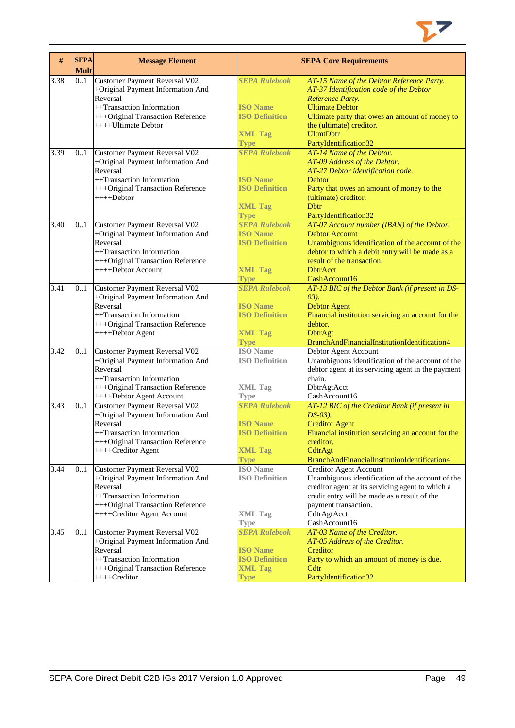

| $\#$ | <b>SEPA</b><br><b>Mult</b> | <b>Message Element</b>                                                                                                                                                                             |                                                                                                                  | <b>SEPA Core Requirements</b>                                                                                                                                                                                                                   |
|------|----------------------------|----------------------------------------------------------------------------------------------------------------------------------------------------------------------------------------------------|------------------------------------------------------------------------------------------------------------------|-------------------------------------------------------------------------------------------------------------------------------------------------------------------------------------------------------------------------------------------------|
| 3.38 | 0.1                        | Customer Payment Reversal V02<br>+Original Payment Information And<br>Reversal<br>++Transaction Information<br>+++Original Transaction Reference<br>++++Ultimate Debtor                            | <b>SEPA Rulebook</b><br><b>ISO Name</b><br><b>ISO Definition</b><br><b>XML Tag</b>                               | AT-15 Name of the Debtor Reference Party.<br>AT-37 Identification code of the Debtor<br>Reference Party.<br><b>Ultimate Debtor</b><br>Ultimate party that owes an amount of money to<br>the (ultimate) creditor.<br><b>UltmtDbtr</b>            |
| 3.39 | 01                         | Customer Payment Reversal V02<br>+Original Payment Information And<br>Reversal<br>++Transaction Information<br>+++Original Transaction Reference<br>$++++$ Debtor                                  | <b>Type</b><br><b>SEPA Rulebook</b><br><b>ISO Name</b><br><b>ISO Definition</b><br><b>XML Tag</b><br><b>Type</b> | PartyIdentification32<br>AT-14 Name of the Debtor.<br>AT-09 Address of the Debtor.<br>AT-27 Debtor identification code.<br>Debtor<br>Party that owes an amount of money to the<br>(ultimate) creditor.<br><b>D</b> btr<br>PartyIdentification32 |
| 3.40 | 0.1                        | Customer Payment Reversal V02<br>+Original Payment Information And<br>Reversal<br>++Transaction Information<br>+++Original Transaction Reference<br>++++Debtor Account                             | <b>SEPA Rulebook</b><br><b>ISO Name</b><br><b>ISO Definition</b><br><b>XML Tag</b><br><b>Type</b>                | AT-07 Account number (IBAN) of the Debtor.<br><b>Debtor Account</b><br>Unambiguous identification of the account of the<br>debtor to which a debit entry will be made as a<br>result of the transaction.<br><b>DbtrAcct</b><br>CashAccount16    |
| 3.41 | 0.1                        | Customer Payment Reversal V02<br>+Original Payment Information And<br>Reversal<br>++Transaction Information<br>+++Original Transaction Reference<br>++++Debtor Agent                               | <b>SEPA Rulebook</b><br><b>ISO Name</b><br><b>ISO Definition</b><br><b>XML Tag</b><br><b>Type</b>                | AT-13 BIC of the Debtor Bank (if present in DS-<br>$(03)$ .<br><b>Debtor Agent</b><br>Financial institution servicing an account for the<br>debtor.<br><b>DbtrAgt</b><br>BranchAndFinancialInstitutionIdentification4                           |
| 3.42 | 0.1                        | Customer Payment Reversal V02<br>+Original Payment Information And<br>Reversal<br>++Transaction Information<br>+++Original Transaction Reference                                                   | <b>ISO</b> Name<br><b>ISO Definition</b><br><b>XML Tag</b>                                                       | Debtor Agent Account<br>Unambiguous identification of the account of the<br>debtor agent at its servicing agent in the payment<br>chain.<br>DbtrAgtAcct                                                                                         |
| 3.43 | 0.1                        | ++++Debtor Agent Account<br>Customer Payment Reversal V02<br>+Original Payment Information And<br>Reversal<br>++Transaction Information<br>+++Original Transaction Reference<br>++++Creditor Agent | <b>Type</b><br><b>SEPA Rulebook</b><br><b>ISO Name</b><br><b>ISO Definition</b><br><b>XML Tag</b><br><b>Type</b> | CashAccount16<br>AT-12 BIC of the Creditor Bank (if present in<br>$DS-03$ ).<br><b>Creditor Agent</b><br>Financial institution servicing an account for the<br>creditor.<br>CdtrAgt<br>BranchAndFinancialInstitutionIdentification4             |
| 3.44 | 0.1                        | Customer Payment Reversal V02<br>+Original Payment Information And<br>Reversal<br>++Transaction Information<br>+++Original Transaction Reference<br>++++Creditor Agent Account                     | <b>ISO</b> Name<br><b>ISO Definition</b><br><b>XML Tag</b><br><b>Type</b>                                        | <b>Creditor Agent Account</b><br>Unambiguous identification of the account of the<br>creditor agent at its servicing agent to which a<br>credit entry will be made as a result of the<br>payment transaction.<br>CdtrAgtAcct<br>CashAccount16   |
| 3.45 | 01                         | Customer Payment Reversal V02<br>+Original Payment Information And<br>Reversal<br>++Transaction Information<br>+++Original Transaction Reference<br>++++Creditor                                   | <b>SEPA Rulebook</b><br><b>ISO Name</b><br><b>ISO Definition</b><br><b>XML Tag</b><br><b>Type</b>                | AT-03 Name of the Creditor.<br>AT-05 Address of the Creditor.<br>Creditor<br>Party to which an amount of money is due.<br>C <sub>dt</sub><br>PartyIdentification32                                                                              |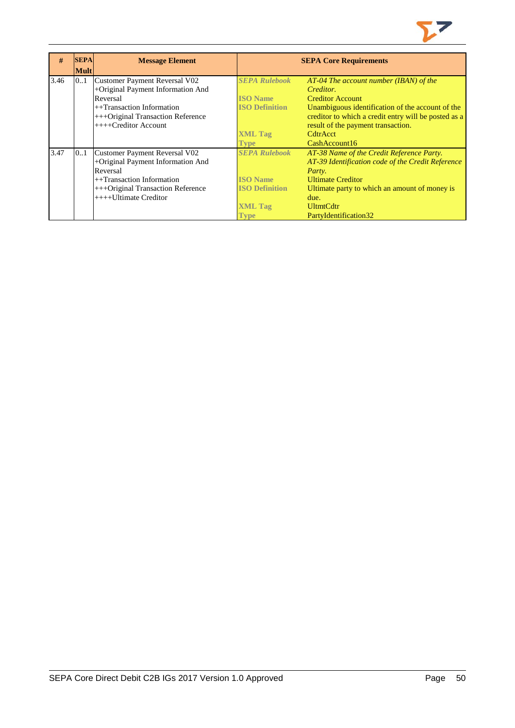

| #    | <b>SEPA</b> | <b>Message Element</b>            |                       | <b>SEPA Core Requirements</b>                        |
|------|-------------|-----------------------------------|-----------------------|------------------------------------------------------|
|      | <b>Mult</b> |                                   |                       |                                                      |
| 3.46 | 0.1         | Customer Payment Reversal V02     | <b>SEPA Rulebook</b>  | $AT-04$ The account number (IBAN) of the             |
|      |             | +Original Payment Information And |                       | Creditor.                                            |
|      |             | Reversal                          | <b>ISO Name</b>       | <b>Creditor Account</b>                              |
|      |             | $++$ Transaction Information      | <b>ISO Definition</b> | Unambiguous identification of the account of the     |
|      |             | +++Original Transaction Reference |                       | creditor to which a credit entry will be posted as a |
|      |             | $+++C$ reditor Account            |                       | result of the payment transaction.                   |
|      |             |                                   | <b>XML Tag</b>        | CdtrAcct                                             |
|      |             |                                   | Type                  | CashAccount16                                        |
| 3.47 | 01          | Customer Payment Reversal V02     | <b>SEPA Rulebook</b>  | AT-38 Name of the Credit Reference Party.            |
|      |             | +Original Payment Information And |                       | AT-39 Identification code of the Credit Reference    |
|      |             | Reversal                          |                       | Party.                                               |
|      |             | $++$ Transaction Information      | <b>ISO Name</b>       | <b>Ultimate Creditor</b>                             |
|      |             | +++Original Transaction Reference | <b>ISO Definition</b> | Ultimate party to which an amount of money is        |
|      |             | $++++$ Ultimate Creditor          |                       | due.                                                 |
|      |             |                                   | <b>XML Tag</b>        | <b>UltmtCdtr</b>                                     |
|      |             |                                   | <b>Type</b>           | PartyIdentification32                                |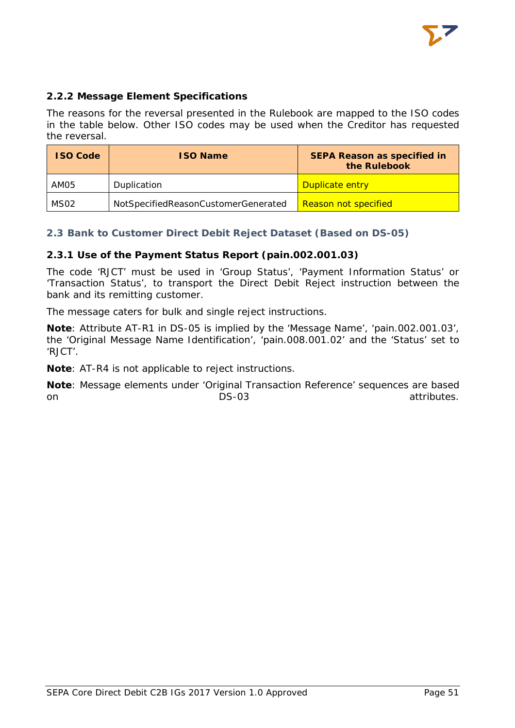

# <span id="page-51-0"></span>**2.2.2 Message Element Specifications**

The reasons for the reversal presented in the Rulebook are mapped to the ISO codes in the table below. Other ISO codes may be used when the Creditor has requested the reversal.

| <b>ISO Code</b>  | <b>ISO Name</b>                     | <b>SEPA Reason as specified in</b><br>the Rulebook |
|------------------|-------------------------------------|----------------------------------------------------|
| AM05             | Duplication                         | Duplicate entry                                    |
| MS <sub>02</sub> | NotSpecifiedReasonCustomerGenerated | <b>Reason not specified</b>                        |

# <span id="page-51-1"></span>**2.3 Bank to Customer Direct Debit Reject Dataset (Based on DS-05)**

# <span id="page-51-2"></span>**2.3.1 Use of the Payment Status Report (pain.002.001.03)**

The code 'RJCT' must be used in 'Group Status', 'Payment Information Status' or 'Transaction Status', to transport the Direct Debit Reject instruction between the bank and its remitting customer.

The message caters for bulk and single reject instructions.

**Note**: Attribute AT-R1 in DS-05 is implied by the 'Message Name', 'pain.002.001.03', the 'Original Message Name Identification', 'pain.008.001.02' and the 'Status' set to 'RJCT'.

**Note**: AT-R4 is not applicable to reject instructions.

**Note**: Message elements under 'Original Transaction Reference' sequences are based on attributes.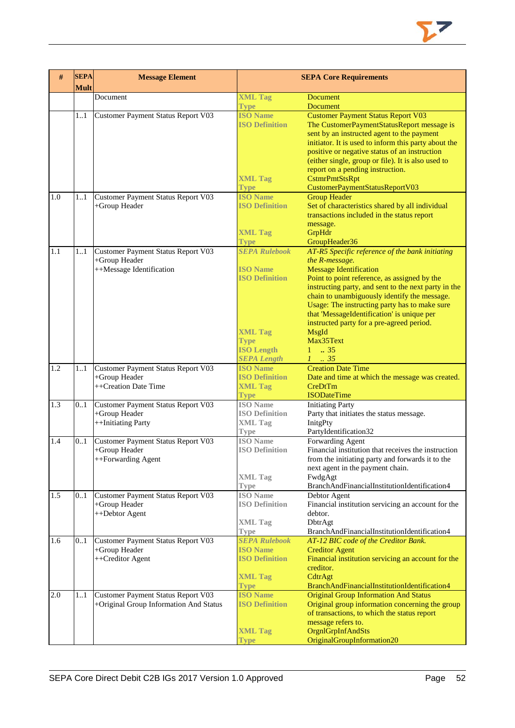

| #   | <b>SEPA</b><br><b>Mult</b> | <b>Message Element</b>                              |                                | <b>SEPA Core Requirements</b>                                                           |  |
|-----|----------------------------|-----------------------------------------------------|--------------------------------|-----------------------------------------------------------------------------------------|--|
|     |                            | Document                                            | <b>XML Tag</b>                 | <b>Document</b>                                                                         |  |
|     |                            |                                                     | <b>Type</b>                    | <b>Document</b>                                                                         |  |
|     | 1.1                        | Customer Payment Status Report V03                  | <b>ISO Name</b>                | <b>Customer Payment Status Report V03</b>                                               |  |
|     |                            |                                                     | <b>ISO Definition</b>          | The CustomerPaymentStatusReport message is                                              |  |
|     |                            |                                                     |                                | sent by an instructed agent to the payment                                              |  |
|     |                            |                                                     |                                | initiator. It is used to inform this party about the                                    |  |
|     |                            |                                                     |                                | positive or negative status of an instruction                                           |  |
|     |                            |                                                     |                                | (either single, group or file). It is also used to                                      |  |
|     |                            |                                                     |                                | report on a pending instruction.                                                        |  |
|     |                            |                                                     | <b>XML Tag</b><br><b>Type</b>  | CstmrPmtStsRpt<br>CustomerPaymentStatusReportV03                                        |  |
| 1.0 | 1.1                        | Customer Payment Status Report V03                  | <b>ISO Name</b>                | <b>Group Header</b>                                                                     |  |
|     |                            | +Group Header                                       | <b>ISO Definition</b>          | Set of characteristics shared by all individual                                         |  |
|     |                            |                                                     |                                | transactions included in the status report                                              |  |
|     |                            |                                                     |                                | message.                                                                                |  |
|     |                            |                                                     | <b>XML Tag</b>                 | GrpHdr                                                                                  |  |
|     |                            |                                                     | <b>Type</b>                    | GroupHeader36                                                                           |  |
| 1.1 | $11$                       | Customer Payment Status Report V03                  | <b>SEPA Rulebook</b>           | AT-R5 Specific reference of the bank initiating                                         |  |
|     |                            | +Group Header                                       |                                | the R-message.                                                                          |  |
|     |                            | ++Message Identification                            | <b>ISO Name</b>                | <b>Message Identification</b>                                                           |  |
|     |                            |                                                     | <b>ISO Definition</b>          | Point to point reference, as assigned by the                                            |  |
|     |                            |                                                     |                                | instructing party, and sent to the next party in the                                    |  |
|     |                            |                                                     |                                | chain to unambiguously identify the message.                                            |  |
|     |                            |                                                     |                                | Usage: The instructing party has to make sure                                           |  |
|     |                            |                                                     |                                | that 'MessageIdentification' is unique per<br>instructed party for a pre-agreed period. |  |
|     |                            |                                                     | <b>XML Tag</b>                 | MsgId                                                                                   |  |
|     |                            |                                                     | <b>Type</b>                    | Max35Text                                                                               |  |
|     |                            |                                                     | <b>ISO Length</b>              | $1 \t . 35$                                                                             |  |
|     |                            |                                                     | <b>SEPA Length</b>             | $1-.35$                                                                                 |  |
| 1.2 | 1.1                        | Customer Payment Status Report V03                  | <b>ISO Name</b>                | <b>Creation Date Time</b>                                                               |  |
|     |                            | +Group Header                                       | <b>ISO Definition</b>          | Date and time at which the message was created.                                         |  |
|     |                            | ++Creation Date Time                                | <b>XML Tag</b>                 | CreDtTm                                                                                 |  |
|     |                            |                                                     | <b>Type</b>                    | <b>ISODateTime</b>                                                                      |  |
| 1.3 | 0.1                        | Customer Payment Status Report V03                  | <b>ISO</b> Name                | <b>Initiating Party</b>                                                                 |  |
|     |                            | +Group Header                                       | <b>ISO Definition</b>          | Party that initiates the status message.                                                |  |
|     |                            | ++Initiating Party                                  | <b>XML Tag</b>                 | InitgPty                                                                                |  |
| 1.4 | 0.1                        |                                                     | <b>Type</b><br><b>ISO</b> Name | PartyIdentification32<br>Forwarding Agent                                               |  |
|     |                            | Customer Payment Status Report V03<br>+Group Header | <b>ISO Definition</b>          | Financial institution that receives the instruction                                     |  |
|     |                            | ++Forwarding Agent                                  |                                | from the initiating party and forwards it to the                                        |  |
|     |                            |                                                     |                                | next agent in the payment chain.                                                        |  |
|     |                            |                                                     | <b>XML Tag</b>                 | FwdgAgt                                                                                 |  |
|     |                            |                                                     | <b>Type</b>                    | BranchAndFinancialInstitutionIdentification4                                            |  |
| 1.5 | 01                         | Customer Payment Status Report V03                  | <b>ISO</b> Name                | Debtor Agent                                                                            |  |
|     |                            | +Group Header                                       | <b>ISO Definition</b>          | Financial institution servicing an account for the                                      |  |
|     |                            | ++Debtor Agent                                      |                                | debtor.                                                                                 |  |
|     |                            |                                                     | <b>XML Tag</b>                 | DbtrAgt                                                                                 |  |
|     |                            |                                                     | Type                           | BranchAndFinancialInstitutionIdentification4                                            |  |
| 1.6 | 0.1                        | Customer Payment Status Report V03                  | <b>SEPA Rulebook</b>           | AT-12 BIC code of the Creditor Bank.                                                    |  |
|     |                            | +Group Header                                       | <b>ISO Name</b>                | <b>Creditor Agent</b>                                                                   |  |
|     |                            | ++Creditor Agent                                    | <b>ISO Definition</b>          | Financial institution servicing an account for the<br>creditor.                         |  |
|     |                            |                                                     | <b>XML Tag</b>                 | CdtrAgt                                                                                 |  |
|     |                            |                                                     | <b>Type</b>                    | BranchAndFinancialInstitutionIdentification4                                            |  |
| 2.0 | 1.1                        | Customer Payment Status Report V03                  | <b>ISO Name</b>                | <b>Original Group Information And Status</b>                                            |  |
|     |                            | +Original Group Information And Status              | <b>ISO Definition</b>          | Original group information concerning the group                                         |  |
|     |                            |                                                     |                                | of transactions, to which the status report                                             |  |
|     |                            |                                                     |                                | message refers to.                                                                      |  |
|     |                            |                                                     | <b>XML Tag</b>                 | OrgnlGrpInfAndSts                                                                       |  |
|     |                            |                                                     | <b>Type</b>                    | OriginalGroupInformation20                                                              |  |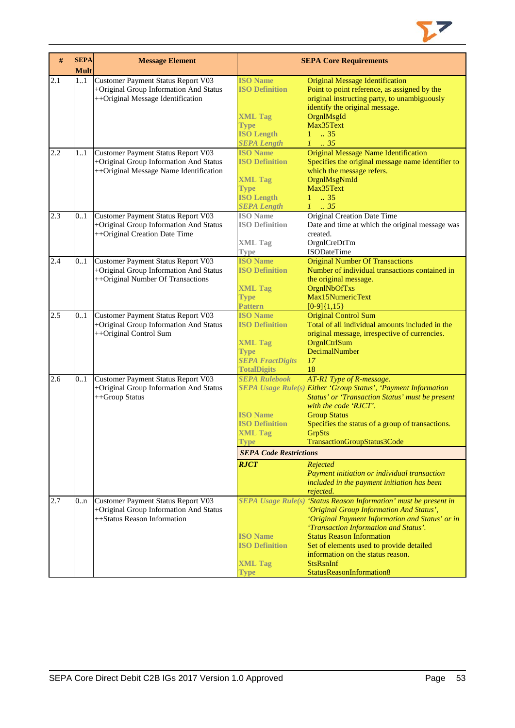

| $\#$ | <b>SEPA</b><br><b>Mult</b> | <b>Message Element</b>                    |                               | <b>SEPA Core Requirements</b>                                     |
|------|----------------------------|-------------------------------------------|-------------------------------|-------------------------------------------------------------------|
| 2.1  | 11                         | <b>Customer Payment Status Report V03</b> | <b>ISO Name</b>               | <b>Original Message Identification</b>                            |
|      |                            | +Original Group Information And Status    | <b>ISO Definition</b>         | Point to point reference, as assigned by the                      |
|      |                            | ++Original Message Identification         |                               | original instructing party, to unambiguously                      |
|      |                            |                                           |                               | identify the original message.                                    |
|      |                            |                                           | <b>XML Tag</b>                | OrgnlMsgId                                                        |
|      |                            |                                           | <b>Type</b>                   | Max35Text                                                         |
|      |                            |                                           | <b>ISO Length</b>             | $1 \t . 35$                                                       |
|      |                            |                                           | <b>SEPA Length</b>            | $1-.35$                                                           |
| 2.2  | 11                         | Customer Payment Status Report V03        | <b>ISO Name</b>               | <b>Original Message Name Identification</b>                       |
|      |                            | +Original Group Information And Status    | <b>ISO Definition</b>         | Specifies the original message name identifier to                 |
|      |                            | ++Original Message Name Identification    |                               | which the message refers.                                         |
|      |                            |                                           | <b>XML Tag</b>                | OrgnlMsgNmId                                                      |
|      |                            |                                           | <b>Type</b>                   | Max35Text                                                         |
|      |                            |                                           | <b>ISO Length</b>             | $1 \t . 35$                                                       |
|      |                            |                                           | <b>SEPA Length</b>            | $1 \t35$                                                          |
| 2.3  | 0.1                        | Customer Payment Status Report V03        | <b>ISO</b> Name               | <b>Original Creation Date Time</b>                                |
|      |                            | +Original Group Information And Status    | <b>ISO Definition</b>         | Date and time at which the original message was                   |
|      |                            | ++Original Creation Date Time             |                               | created.                                                          |
|      |                            |                                           |                               |                                                                   |
|      |                            |                                           | <b>XML Tag</b>                | OrgnlCreDtTm                                                      |
|      |                            | Customer Payment Status Report V03        | Type<br><b>ISO Name</b>       | ISODateTime                                                       |
| 2.4  | 0.1                        |                                           |                               | <b>Original Number Of Transactions</b>                            |
|      |                            | +Original Group Information And Status    | <b>ISO Definition</b>         | Number of individual transactions contained in                    |
|      |                            | ++Original Number Of Transactions         |                               | the original message.                                             |
|      |                            |                                           | <b>XML Tag</b>                | OrgnlNbOfTxs                                                      |
|      |                            |                                           | <b>Type</b>                   | Max15NumericText                                                  |
|      |                            |                                           | <b>Pattern</b>                | $[0-9]{1,15}$                                                     |
| 2.5  | 0.1                        | Customer Payment Status Report V03        | <b>ISO Name</b>               | <b>Original Control Sum</b>                                       |
|      |                            | +Original Group Information And Status    | <b>ISO Definition</b>         | Total of all individual amounts included in the                   |
|      |                            | ++Original Control Sum                    |                               | original message, irrespective of currencies.                     |
|      |                            |                                           | <b>XML Tag</b>                | OrgnlCtrlSum                                                      |
|      |                            |                                           | <b>Type</b>                   | DecimalNumber                                                     |
|      |                            |                                           | <b>SEPA FractDigits</b>       | 17                                                                |
|      |                            |                                           | <b>TotalDigits</b>            | 18                                                                |
| 2.6  | 0.1                        | Customer Payment Status Report V03        | <b>SEPA Rulebook</b>          | AT-R1 Type of R-message.                                          |
|      |                            | +Original Group Information And Status    |                               | SEPA Usage Rule(s) Either 'Group Status', 'Payment Information    |
|      |                            | ++Group Status                            |                               | Status' or 'Transaction Status' must be present                   |
|      |                            |                                           |                               | with the code 'RJCT'.                                             |
|      |                            |                                           | <b>ISO</b> Name               | <b>Group Status</b>                                               |
|      |                            |                                           | <b>ISO Definition</b>         | Specifies the status of a group of transactions.                  |
|      |                            |                                           | <b>XML Tag</b>                | <b>GrpSts</b>                                                     |
|      |                            |                                           | <b>Type</b>                   | TransactionGroupStatus3Code                                       |
|      |                            |                                           | <b>SEPA Code Restrictions</b> |                                                                   |
|      |                            |                                           | <b>RJCT</b>                   | Rejected                                                          |
|      |                            |                                           |                               | Payment initiation or individual transaction                      |
|      |                            |                                           |                               | included in the payment initiation has been                       |
|      |                            |                                           |                               | rejected.                                                         |
| 2.7  | 0n                         | Customer Payment Status Report V03        |                               | SEPA Usage Rule(s) 'Status Reason Information' must be present in |
|      |                            | +Original Group Information And Status    |                               | 'Original Group Information And Status',                          |
|      |                            | ++Status Reason Information               |                               | 'Original Payment Information and Status' or in                   |
|      |                            |                                           |                               | 'Transaction Information and Status'.                             |
|      |                            |                                           | <b>ISO Name</b>               | <b>Status Reason Information</b>                                  |
|      |                            |                                           | <b>ISO Definition</b>         | Set of elements used to provide detailed                          |
|      |                            |                                           |                               | information on the status reason.                                 |
|      |                            |                                           | <b>XML Tag</b>                | <b>StsRsnInf</b>                                                  |
|      |                            |                                           | <b>Type</b>                   | StatusReasonInformation8                                          |
|      |                            |                                           |                               |                                                                   |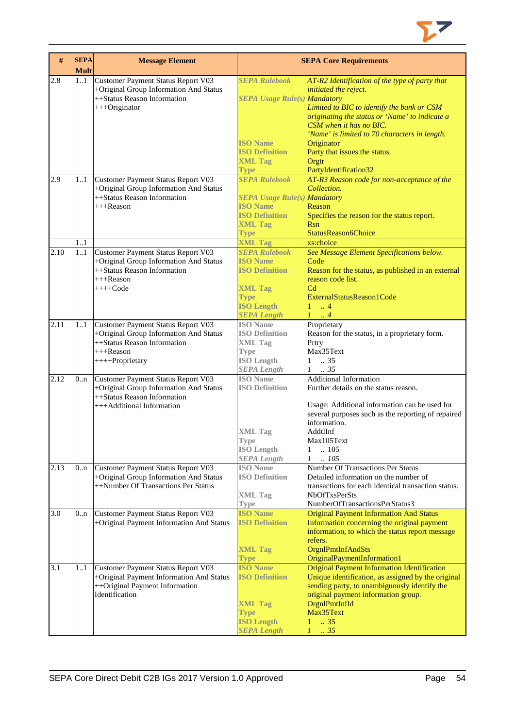

| #    | <b>SEPA</b><br><b>Mult</b> | <b>Message Element</b>                   |                                     | <b>SEPA Core Requirements</b>                       |
|------|----------------------------|------------------------------------------|-------------------------------------|-----------------------------------------------------|
| 2.8  | 11                         | Customer Payment Status Report V03       | <b>SEPA Rulebook</b>                | AT-R2 Identification of the type of party that      |
|      |                            | +Original Group Information And Status   |                                     | initiated the reject.                               |
|      |                            | ++Status Reason Information              | <b>SEPA Usage Rule(s) Mandatory</b> |                                                     |
|      |                            | +++Originator                            |                                     | Limited to BIC to identify the bank or CSM          |
|      |                            |                                          |                                     | originating the status or 'Name' to indicate a      |
|      |                            |                                          |                                     | CSM when it has no BIC.                             |
|      |                            |                                          |                                     | 'Name' is limited to 70 characters in length.       |
|      |                            |                                          | <b>ISO Name</b>                     | Originator                                          |
|      |                            |                                          | <b>ISO Definition</b>               | Party that issues the status.                       |
|      |                            |                                          | <b>XML Tag</b>                      | Orgtr                                               |
|      |                            |                                          | <b>Type</b>                         | PartyIdentification32                               |
| 2.9  | 11                         | Customer Payment Status Report V03       | <b>SEPA Rulebook</b>                | AT-R3 Reason code for non-acceptance of the         |
|      |                            | +Original Group Information And Status   |                                     | Collection.                                         |
|      |                            | ++Status Reason Information              | <b>SEPA Usage Rule(s) Mandatory</b> |                                                     |
|      |                            | $+++$ Reason                             | <b>ISO Name</b>                     | Reason                                              |
|      |                            |                                          | <b>ISO Definition</b>               | Specifies the reason for the status report.         |
|      |                            |                                          | <b>XML Tag</b>                      | <b>R</b> sn                                         |
|      |                            |                                          |                                     |                                                     |
|      |                            |                                          | <b>Type</b>                         | StatusReason6Choice<br>xs:choice                    |
|      | 1.1                        |                                          | <b>XML Tag</b>                      |                                                     |
| 2.10 | 11                         | Customer Payment Status Report V03       | <b>SEPA Rulebook</b>                | See Message Element Specifications below.           |
|      |                            | +Original Group Information And Status   | <b>ISO Name</b>                     | Code                                                |
|      |                            | ++Status Reason Information              | <b>ISO Definition</b>               | Reason for the status, as published in an external  |
|      |                            | $+++$ Reason                             |                                     | reason code list.                                   |
|      |                            | $+++Code$                                | <b>XML Tag</b>                      | C <sub>d</sub>                                      |
|      |                            |                                          | <b>Type</b>                         | ExternalStatusReason1Code                           |
|      |                            |                                          | <b>ISO Length</b>                   | $\ldots$ 4<br>1                                     |
|      |                            |                                          | <b>SEPA Length</b>                  | $1 \ldots 4$                                        |
| 2.11 | 11                         | Customer Payment Status Report V03       | <b>ISO</b> Name                     | Proprietary                                         |
|      |                            | +Original Group Information And Status   | <b>ISO Definition</b>               | Reason for the status, in a proprietary form.       |
|      |                            | ++Status Reason Information              | <b>XML Tag</b>                      | Prtry                                               |
|      |                            | +++Reason                                | Type                                | Max35Text                                           |
|      |                            | ++++Proprietary                          | <b>ISO Length</b>                   | $1-.35$                                             |
|      |                            |                                          | <b>SEPA</b> Length                  | $1-.35$                                             |
| 2.12 | 0 <sub>nn</sub>            | Customer Payment Status Report V03       | <b>ISO</b> Name                     | <b>Additional Information</b>                       |
|      |                            | +Original Group Information And Status   | <b>ISO Definition</b>               | Further details on the status reason.               |
|      |                            | ++Status Reason Information              |                                     |                                                     |
|      |                            | +++Additional Information                |                                     | Usage: Additional information can be used for       |
|      |                            |                                          |                                     | several purposes such as the reporting of repaired  |
|      |                            |                                          |                                     | information.                                        |
|      |                            |                                          | <b>XML</b> Tag                      | AddtlInf                                            |
|      |                            |                                          | Type                                | Max105Text                                          |
|      |                            |                                          | <b>ISO</b> Length                   | $\mathbf{1}$<br>$\ln 105$                           |
|      |                            |                                          | <b>SEPA Length</b>                  | .105<br>$\mathcal{I}$                               |
| 2.13 | 0 <sub>nn</sub>            | Customer Payment Status Report V03       | <b>ISO</b> Name                     | <b>Number Of Transactions Per Status</b>            |
|      |                            | +Original Group Information And Status   | <b>ISO Definition</b>               | Detailed information on the number of               |
|      |                            | ++Number Of Transactions Per Status      |                                     | transactions for each identical transaction status. |
|      |                            |                                          | <b>XML Tag</b>                      | <b>NbOfTxsPerSts</b>                                |
|      |                            |                                          |                                     | NumberOfTransactionsPerStatus3                      |
|      |                            |                                          | <b>Type</b>                         |                                                     |
| 3.0  | 0 <sub>nn</sub>            | Customer Payment Status Report V03       | <b>ISO Name</b>                     | <b>Original Payment Information And Status</b>      |
|      |                            | +Original Payment Information And Status | <b>ISO Definition</b>               | Information concerning the original payment         |
|      |                            |                                          |                                     | information, to which the status report message     |
|      |                            |                                          |                                     | refers.                                             |
|      |                            |                                          | <b>XML Tag</b>                      | OrgnlPmtInfAndSts                                   |
|      |                            |                                          | <b>Type</b>                         | OriginalPaymentInformation1                         |
| 3.1  | 1.1                        | Customer Payment Status Report V03       | <b>ISO Name</b>                     | <b>Original Payment Information Identification</b>  |
|      |                            | +Original Payment Information And Status | <b>ISO Definition</b>               | Unique identification, as assigned by the original  |
|      |                            | ++Original Payment Information           |                                     | sending party, to unambiguously identify the        |
|      |                            | Identification                           |                                     | original payment information group.                 |
|      |                            |                                          | <b>XML Tag</b>                      | OrgnlPmtInfId                                       |
|      |                            |                                          | <b>Type</b>                         | Max35Text                                           |
|      |                            |                                          | <b>ISO Length</b>                   | .35<br>$\mathbf{1}$                                 |
|      |                            |                                          | <b>SEPA Length</b>                  | $1 - .35$                                           |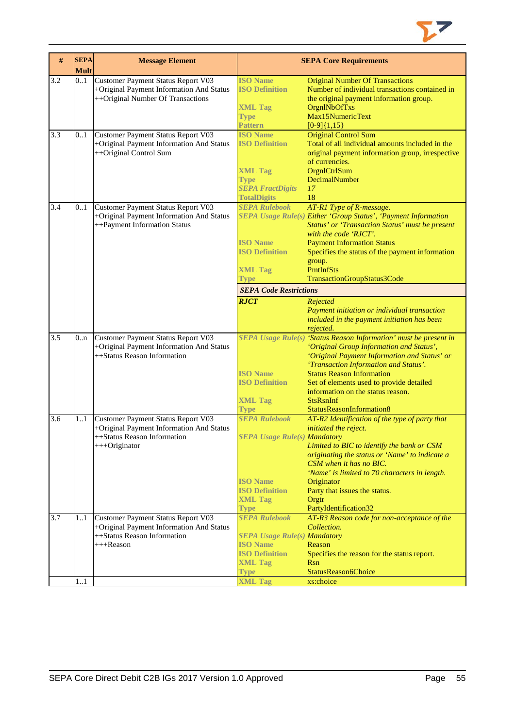

| $\#$             | <b>SEPA</b><br><b>Mult</b> | <b>Message Element</b>                                                                                                         |                                                                                                                                                   | <b>SEPA Core Requirements</b>                                                                                                                                                                                                                                                                                                                                                                                                   |
|------------------|----------------------------|--------------------------------------------------------------------------------------------------------------------------------|---------------------------------------------------------------------------------------------------------------------------------------------------|---------------------------------------------------------------------------------------------------------------------------------------------------------------------------------------------------------------------------------------------------------------------------------------------------------------------------------------------------------------------------------------------------------------------------------|
| 3.2              | 0.1                        | Customer Payment Status Report V03<br>+Original Payment Information And Status<br>++Original Number Of Transactions            | <b>ISO Name</b><br><b>ISO Definition</b><br><b>XML Tag</b><br><b>Type</b><br>Pattern                                                              | <b>Original Number Of Transactions</b><br>Number of individual transactions contained in<br>the original payment information group.<br>OrgnlNbOfTxs<br>Max15NumericText<br>$[0-9]{1,15}$                                                                                                                                                                                                                                        |
| 3.3              | 0.1                        | Customer Payment Status Report V03<br>+Original Payment Information And Status<br>++Original Control Sum                       | <b>ISO Name</b><br><b>ISO Definition</b><br><b>XML Tag</b><br><b>Type</b><br><b>SEPA FractDigits</b><br><b>TotalDigits</b>                        | <b>Original Control Sum</b><br>Total of all individual amounts included in the<br>original payment information group, irrespective<br>of currencies.<br>OrgnlCtrlSum<br>DecimalNumber<br>17<br>18                                                                                                                                                                                                                               |
| 3.4              | 0.1                        | Customer Payment Status Report V03<br>+Original Payment Information And Status<br>++Payment Information Status                 | <b>SEPA Rulebook</b><br><b>ISO Name</b><br><b>ISO Definition</b><br><b>XML Tag</b><br><b>Type</b><br><b>SEPA Code Restrictions</b><br><b>RJCT</b> | AT-R1 Type of R-message.<br>SEPA Usage Rule(s) Either 'Group Status', 'Payment Information<br>Status' or 'Transaction Status' must be present<br>with the code 'RJCT'.<br><b>Payment Information Status</b><br>Specifies the status of the payment information<br>group.<br>PmtInfSts<br>TransactionGroupStatus3Code<br>Rejected<br>Payment initiation or individual transaction<br>included in the payment initiation has been |
| $\overline{3.5}$ | 0.n                        | Customer Payment Status Report V03<br>+Original Payment Information And Status<br>++Status Reason Information                  | <b>ISO Name</b><br><b>ISO Definition</b><br><b>XML Tag</b><br><b>Type</b>                                                                         | rejected.<br>SEPA Usage Rule(s) 'Status Reason Information' must be present in<br>'Original Group Information and Status',<br>'Original Payment Information and Status' or<br>'Transaction Information and Status'.<br><b>Status Reason Information</b><br>Set of elements used to provide detailed<br>information on the status reason.<br><b>StsRsnInf</b><br>StatusReasonInformation8                                        |
| 3.6              | 1.1                        | Customer Payment Status Report V03<br>+Original Payment Information And Status<br>++Status Reason Information<br>+++Originator | <b>SEPA Rulebook</b><br><b>SEPA Usage Rule(s) Mandatory</b><br><b>ISO</b> Name<br><b>ISO Definition</b><br><b>XML Tag</b><br><b>Type</b>          | AT-R2 Identification of the type of party that<br>initiated the reject.<br>Limited to BIC to identify the bank or CSM<br>originating the status or 'Name' to indicate a<br>CSM when it has no BIC.<br>'Name' is limited to 70 characters in length.<br>Originator<br>Party that issues the status.<br>Orgtr<br>PartyIdentification32                                                                                            |
| 3.7              | 1.1                        | Customer Payment Status Report V03<br>+Original Payment Information And Status<br>++Status Reason Information<br>+++Reason     | <b>SEPA Rulebook</b><br><b>SEPA Usage Rule(s) Mandatory</b><br><b>ISO</b> Name<br><b>ISO Definition</b><br><b>XML Tag</b><br><b>Type</b>          | AT-R3 Reason code for non-acceptance of the<br>Collection.<br>Reason<br>Specifies the reason for the status report.<br>Rsn<br>StatusReason6Choice                                                                                                                                                                                                                                                                               |
|                  | 11                         |                                                                                                                                | <b>XML Tag</b>                                                                                                                                    | xs:choice                                                                                                                                                                                                                                                                                                                                                                                                                       |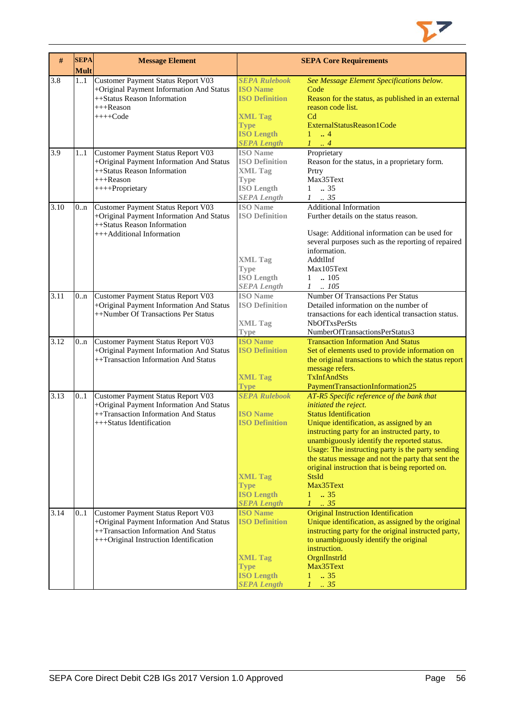

| #    | <b>SEPA</b><br><b>Mult</b> | <b>Message Element</b>                                                                                                                                           |                                                                                                                                              | <b>SEPA Core Requirements</b>                                                                                                                                                                                                                                                                                                                                                                                                                                        |
|------|----------------------------|------------------------------------------------------------------------------------------------------------------------------------------------------------------|----------------------------------------------------------------------------------------------------------------------------------------------|----------------------------------------------------------------------------------------------------------------------------------------------------------------------------------------------------------------------------------------------------------------------------------------------------------------------------------------------------------------------------------------------------------------------------------------------------------------------|
| 3.8  | 1.1                        | Customer Payment Status Report V03<br>+Original Payment Information And Status<br>++Status Reason Information<br>+++Reason<br>$+++Code$                          | <b>SEPA Rulebook</b><br><b>ISO Name</b><br><b>ISO Definition</b><br><b>XML Tag</b><br><b>Type</b><br><b>ISO Length</b><br><b>SEPA Length</b> | See Message Element Specifications below.<br>Code<br>Reason for the status, as published in an external<br>reason code list.<br>C <sub>d</sub><br>ExternalStatusReason1Code<br>$1 \dots 4$<br>$1 \ldots 4$                                                                                                                                                                                                                                                           |
| 3.9  | 11                         | Customer Payment Status Report V03<br>+Original Payment Information And Status<br>++Status Reason Information<br>$+++$ Reason<br>++++Proprietary                 | <b>ISO</b> Name<br><b>ISO Definition</b><br><b>XML Tag</b><br><b>Type</b><br><b>ISO Length</b><br><b>SEPA</b> Length                         | Proprietary<br>Reason for the status, in a proprietary form.<br>Prtry<br>Max35Text<br>$1 \t . 35$<br>$1 \t . 35$                                                                                                                                                                                                                                                                                                                                                     |
| 3.10 | 0n                         | Customer Payment Status Report V03<br>+Original Payment Information And Status<br>++Status Reason Information<br>+++Additional Information                       | <b>ISO</b> Name<br><b>ISO Definition</b><br><b>XML Tag</b><br><b>Type</b><br><b>ISO Length</b><br><b>SEPA Length</b>                         | <b>Additional Information</b><br>Further details on the status reason.<br>Usage: Additional information can be used for<br>several purposes such as the reporting of repaired<br>information.<br>AddtlInf<br>Max105Text<br>$1 \quad .105$<br>$1 \quad .105$                                                                                                                                                                                                          |
| 3.11 | 0 <sub>nn</sub>            | Customer Payment Status Report V03<br>+Original Payment Information And Status<br>++Number Of Transactions Per Status                                            | <b>ISO</b> Name<br><b>ISO Definition</b><br><b>XML Tag</b><br><b>Type</b>                                                                    | Number Of Transactions Per Status<br>Detailed information on the number of<br>transactions for each identical transaction status.<br><b>NbOfTxsPerSts</b><br>NumberOfTransactionsPerStatus3                                                                                                                                                                                                                                                                          |
| 3.12 | 0 <sub>nn</sub>            | Customer Payment Status Report V03<br>+Original Payment Information And Status<br>++Transaction Information And Status                                           | <b>ISO</b> Name<br><b>ISO Definition</b><br><b>XML Tag</b><br><b>Type</b>                                                                    | <b>Transaction Information And Status</b><br>Set of elements used to provide information on<br>the original transactions to which the status report<br>message refers.<br><b>TxInfAndSts</b><br>PaymentTransactionInformation25                                                                                                                                                                                                                                      |
| 3.13 | 0.1                        | Customer Payment Status Report V03<br>+Original Payment Information And Status<br>++Transaction Information And Status<br>+++Status Identification               | <b>SEPA Rulebook</b><br><b>ISO Name</b><br><b>ISO Definition</b><br><b>XML Tag</b><br><b>Type</b><br><b>ISO Length</b><br><b>SEPA Length</b> | AT-R5 Specific reference of the bank that<br>initiated the reject.<br><b>Status Identification</b><br>Unique identification, as assigned by an<br>instructing party for an instructed party, to<br>unambiguously identify the reported status.<br>Usage: The instructing party is the party sending<br>the status message and not the party that sent the<br>original instruction that is being reported on.<br><b>StsId</b><br>Max35Text<br>$1 \t . 35$<br>$1 \t35$ |
| 3.14 | 0.1                        | Customer Payment Status Report V03<br>+Original Payment Information And Status<br>++Transaction Information And Status<br>+++Original Instruction Identification | <b>ISO Name</b><br><b>ISO Definition</b><br><b>XML Tag</b><br><b>Type</b><br><b>ISO Length</b><br><b>SEPA Length</b>                         | <b>Original Instruction Identification</b><br>Unique identification, as assigned by the original<br>instructing party for the original instructed party,<br>to unambiguously identify the original<br>instruction.<br>OrgnIInstrId<br>Max35Text<br>$\overline{35}$<br>$\mathbf{1}$<br>$1-.35$                                                                                                                                                                        |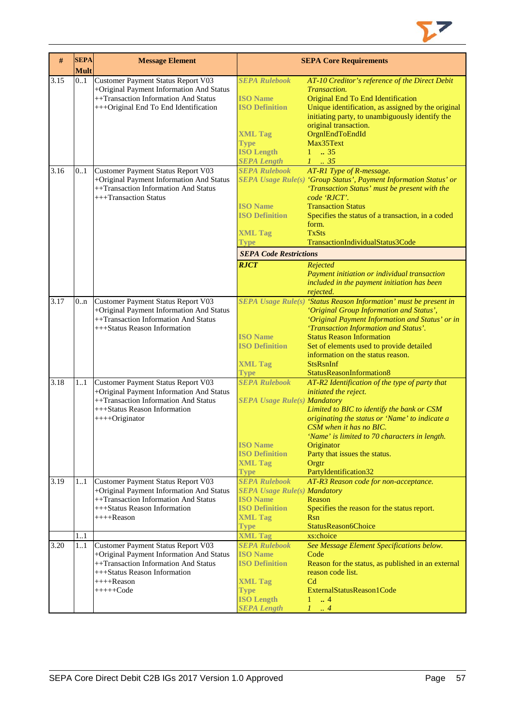

| #    | <b>SEPA</b><br><b>Mult</b> | <b>Message Element</b>                                                                                                                                                                |                                                                                                                                                         | <b>SEPA Core Requirements</b>                                                                                                                                                                                                                                                                                                                                                                                  |
|------|----------------------------|---------------------------------------------------------------------------------------------------------------------------------------------------------------------------------------|---------------------------------------------------------------------------------------------------------------------------------------------------------|----------------------------------------------------------------------------------------------------------------------------------------------------------------------------------------------------------------------------------------------------------------------------------------------------------------------------------------------------------------------------------------------------------------|
| 3.15 | 0.1                        | Customer Payment Status Report V03<br>+Original Payment Information And Status<br>++Transaction Information And Status<br>+++Original End To End Identification                       | <b>SEPA Rulebook</b><br><b>ISO</b> Name<br><b>ISO Definition</b><br><b>XML Tag</b><br><b>Type</b><br><b>ISO Length</b><br><b>SEPA Length</b>            | AT-10 Creditor's reference of the Direct Debit<br>Transaction.<br>Original End To End Identification<br>Unique identification, as assigned by the original<br>initiating party, to unambiguously identify the<br>original transaction.<br>OrgnlEndToEndId<br>Max35Text<br>$1 \t . 35$<br>$1 \t 35$                                                                                                             |
| 3.16 | 0.1                        | Customer Payment Status Report V03<br>+Original Payment Information And Status<br>++Transaction Information And Status<br>+++Transaction Status                                       | <b>SEPA Rulebook</b><br><b>ISO Name</b><br><b>ISO Definition</b><br><b>XML Tag</b><br>Type<br><b>SEPA Code Restrictions</b><br><b>RJCT</b>              | AT-R1 Type of R-message.<br>SEPA Usage Rule(s) 'Group Status', Payment Information Status' or<br>'Transaction Status' must be present with the<br>code 'RJCT'.<br><b>Transaction Status</b><br>Specifies the status of a transaction, in a coded<br>form.<br><b>TxSts</b><br>TransactionIndividualStatus3Code<br>Rejected<br>Payment initiation or individual transaction                                      |
| 3.17 | 0.n                        | Customer Payment Status Report V03<br>+Original Payment Information And Status<br>++Transaction Information And Status<br>+++Status Reason Information                                | <b>ISO Name</b><br><b>ISO Definition</b><br><b>XML Tag</b>                                                                                              | included in the payment initiation has been<br>rejected.<br>SEPA Usage Rule(s) 'Status Reason Information' must be present in<br>'Original Group Information and Status',<br>'Original Payment Information and Status' or in<br>'Transaction Information and Status'.<br><b>Status Reason Information</b><br>Set of elements used to provide detailed<br>information on the status reason.<br><b>StsRsnInf</b> |
| 3.18 | 11                         | Customer Payment Status Report V03<br>+Original Payment Information And Status<br>++Transaction Information And Status<br>+++Status Reason Information<br>$+++O$ riginator            | <b>Type</b><br><b>SEPA Rulebook</b><br><b>SEPA Usage Rule(s) Mandatory</b><br><b>ISO Name</b><br><b>ISO Definition</b><br><b>XML Tag</b><br><b>Type</b> | StatusReasonInformation8<br>AT-R2 Identification of the type of party that<br>initiated the reject.<br>Limited to BIC to identify the bank or CSM<br>originating the status or 'Name' to indicate a<br>CSM when it has no BIC.<br>'Name' is limited to 70 characters in length.<br>Originator<br>Party that issues the status.<br>Orgtr<br>PartyIdentification32                                               |
| 3.19 | 11                         | Customer Payment Status Report V03<br>+Original Payment Information And Status<br>++Transaction Information And Status<br>+++Status Reason Information<br>++++Reason                  | <b>SEPA Rulebook</b><br><b>SEPA Usage Rule(s) Mandatory</b><br><b>ISO Name</b><br><b>ISO Definition</b><br><b>XML Tag</b><br><b>Type</b>                | AT-R3 Reason code for non-acceptance.<br>Reason<br>Specifies the reason for the status report.<br>Rsn<br>StatusReason6Choice                                                                                                                                                                                                                                                                                   |
|      | 11                         |                                                                                                                                                                                       | <b>XML Tag</b>                                                                                                                                          | xs:choice                                                                                                                                                                                                                                                                                                                                                                                                      |
| 3.20 | 1.1                        | Customer Payment Status Report V03<br>+Original Payment Information And Status<br>++Transaction Information And Status<br>+++Status Reason Information<br>$++++Reason$<br>$+++++Code$ | <b>SEPA Rulebook</b><br><b>ISO Name</b><br><b>ISO Definition</b><br><b>XML Tag</b><br>Type<br><b>ISO Length</b><br><b>SEPA Length</b>                   | See Message Element Specifications below.<br>Code<br>Reason for the status, as published in an external<br>reason code list.<br>C <sub>d</sub><br>ExternalStatusReason1Code<br>$\therefore$ 4<br>$1 -$<br>1<br>$\cdot$ 4                                                                                                                                                                                       |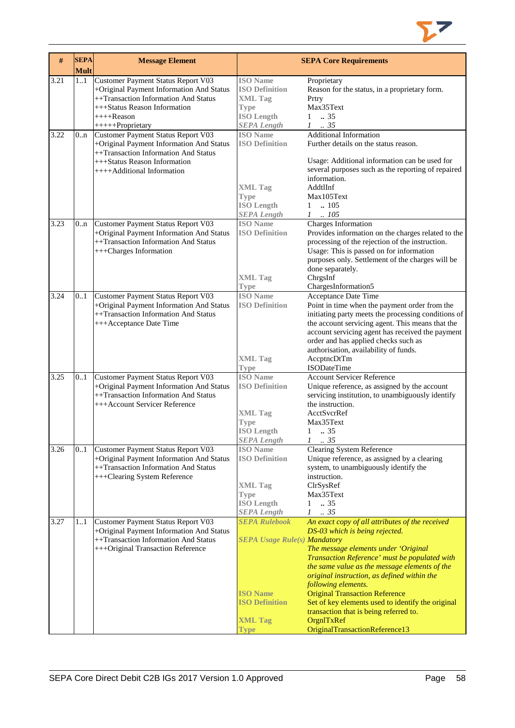

| #    | <b>SEPA</b><br><b>Mult</b> | <b>Message Element</b>                                                                                                                                                                     |                                                                                                                                          | <b>SEPA Core Requirements</b>                                                                                                                                                                                                                                                                                                                                                                                                                                                             |
|------|----------------------------|--------------------------------------------------------------------------------------------------------------------------------------------------------------------------------------------|------------------------------------------------------------------------------------------------------------------------------------------|-------------------------------------------------------------------------------------------------------------------------------------------------------------------------------------------------------------------------------------------------------------------------------------------------------------------------------------------------------------------------------------------------------------------------------------------------------------------------------------------|
| 3.21 | 11                         | Customer Payment Status Report V03<br>+Original Payment Information And Status<br>++Transaction Information And Status<br>+++Status Reason Information<br>$+++$ Reason<br>+++++Proprietary | <b>ISO</b> Name<br><b>ISO Definition</b><br><b>XML Tag</b><br><b>Type</b><br><b>ISO Length</b><br><b>SEPA Length</b>                     | Proprietary<br>Reason for the status, in a proprietary form.<br>Prtry<br>Max35Text<br>.35<br>1<br>$\mathcal{I}$<br>.35                                                                                                                                                                                                                                                                                                                                                                    |
| 3.22 | 0n                         | Customer Payment Status Report V03<br>+Original Payment Information And Status<br>++Transaction Information And Status<br>+++Status Reason Information<br>++++Additional Information       | <b>ISO</b> Name<br><b>ISO Definition</b><br><b>XML Tag</b><br><b>Type</b><br><b>ISO Length</b><br><b>SEPA Length</b>                     | <b>Additional Information</b><br>Further details on the status reason.<br>Usage: Additional information can be used for<br>several purposes such as the reporting of repaired<br>information.<br>AddtlInf<br>Max105Text<br>.105<br>$\mathbf{1}$<br>$1 \quad .105$                                                                                                                                                                                                                         |
| 3.23 | 0.n                        | Customer Payment Status Report V03<br>+Original Payment Information And Status<br>++Transaction Information And Status<br>+++Charges Information                                           | <b>ISO</b> Name<br><b>ISO Definition</b><br><b>XML Tag</b><br><b>Type</b>                                                                | Charges Information<br>Provides information on the charges related to the<br>processing of the rejection of the instruction.<br>Usage: This is passed on for information<br>purposes only. Settlement of the charges will be<br>done separately.<br>ChrgsInf<br>ChargesInformation5                                                                                                                                                                                                       |
| 3.24 | 0.1                        | Customer Payment Status Report V03<br>+Original Payment Information And Status<br>++Transaction Information And Status<br>+++Acceptance Date Time                                          | <b>ISO</b> Name<br><b>ISO Definition</b><br><b>XML Tag</b><br><b>Type</b>                                                                | Acceptance Date Time<br>Point in time when the payment order from the<br>initiating party meets the processing conditions of<br>the account servicing agent. This means that the<br>account servicing agent has received the payment<br>order and has applied checks such as<br>authorisation, availability of funds.<br>AccptncDtTm<br><b>ISODateTime</b>                                                                                                                                |
| 3.25 | 01                         | Customer Payment Status Report V03<br>+Original Payment Information And Status<br>++Transaction Information And Status<br>+++Account Servicer Reference                                    | <b>ISO</b> Name<br><b>ISO Definition</b><br><b>XML Tag</b><br>Type<br><b>ISO</b> Length<br><b>SEPA Length</b>                            | <b>Account Servicer Reference</b><br>Unique reference, as assigned by the account<br>servicing institution, to unambiguously identify<br>the instruction.<br>AcctSvcrRef<br>Max35Text<br>1<br>$\therefore$ 35<br>$\mathcal{I}$<br>$\frac{1}{2}35$                                                                                                                                                                                                                                         |
| 3.26 | 01                         | Customer Payment Status Report V03<br>+Original Payment Information And Status<br>++Transaction Information And Status<br>+++Clearing System Reference                                     | <b>ISO</b> Name<br><b>ISO Definition</b><br><b>XML Tag</b><br><b>Type</b><br><b>ISO Length</b><br><b>SEPA Length</b>                     | <b>Clearing System Reference</b><br>Unique reference, as assigned by a clearing<br>system, to unambiguously identify the<br>instruction.<br>ClrSysRef<br>Max35Text<br>.35<br>1<br>.35<br>$\mathcal{I}$                                                                                                                                                                                                                                                                                    |
| 3.27 | 11                         | Customer Payment Status Report V03<br>+Original Payment Information And Status<br>++Transaction Information And Status<br>+++Original Transaction Reference                                | <b>SEPA Rulebook</b><br><b>SEPA Usage Rule(s) Mandatory</b><br><b>ISO Name</b><br><b>ISO Definition</b><br><b>XML Tag</b><br><b>Type</b> | An exact copy of all attributes of the received<br>DS-03 which is being rejected.<br>The message elements under 'Original<br>Transaction Reference' must be populated with<br>the same value as the message elements of the<br>original instruction, as defined within the<br>following elements.<br><b>Original Transaction Reference</b><br>Set of key elements used to identify the original<br>transaction that is being referred to.<br>OrgnITxRef<br>OriginalTransactionReference13 |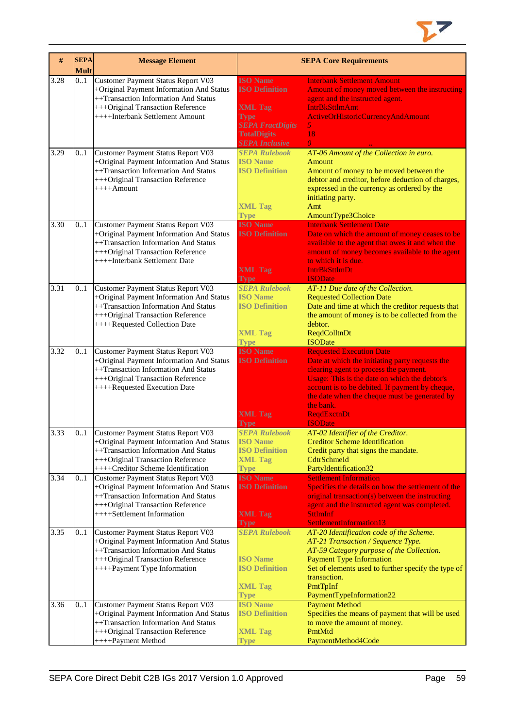

| #    | <b>SEPA</b><br><b>Mult</b> | <b>Message Element</b>                                                                                                                                                                            |                                                                                                                                                     | <b>SEPA Core Requirements</b>                                                                                                                                                                                                                                                                                                          |
|------|----------------------------|---------------------------------------------------------------------------------------------------------------------------------------------------------------------------------------------------|-----------------------------------------------------------------------------------------------------------------------------------------------------|----------------------------------------------------------------------------------------------------------------------------------------------------------------------------------------------------------------------------------------------------------------------------------------------------------------------------------------|
| 3.28 | 0.1                        | Customer Payment Status Report V03<br>+Original Payment Information And Status<br>++Transaction Information And Status<br>+++Original Transaction Reference<br>++++Interbank Settlement Amount    | <b>ISO Name</b><br><b>ISO Definition</b><br><b>XML Tag</b><br><b>Type</b><br><b>SEPA FractDigits</b><br><b>TotalDigits</b><br><b>SEPA Inclusive</b> | <b>Interbank Settlement Amount</b><br>Amount of money moved between the instructing<br>agent and the instructed agent.<br><b>IntrBkSttlmAmt</b><br>ActiveOrHistoricCurrencyAndAmount<br>$\mathfrak{H}$<br>18<br>$\theta$                                                                                                               |
| 3.29 | 0.1                        | Customer Payment Status Report V03<br>+Original Payment Information And Status<br>++Transaction Information And Status<br>+++Original Transaction Reference<br>$++++$ Amount                      | <b>SEPA Rulebook</b><br><b>ISO</b> Name<br><b>ISO Definition</b><br><b>XML Tag</b><br><b>Type</b>                                                   | AT-06 Amount of the Collection in euro.<br>Amount<br>Amount of money to be moved between the<br>debtor and creditor, before deduction of charges,<br>expressed in the currency as ordered by the<br>initiating party.<br>Amt<br>AmountType3Choice                                                                                      |
| 3.30 | 0.1                        | Customer Payment Status Report V03<br>+Original Payment Information And Status<br>++Transaction Information And Status<br>+++Original Transaction Reference<br>++++Interbank Settlement Date      | <b>ISO Name</b><br><b>ISO Definition</b><br><b>XML Tag</b><br><b>Type</b>                                                                           | <b>Interbank Settlement Date</b><br>Date on which the amount of money ceases to be<br>available to the agent that owes it and when the<br>amount of money becomes available to the agent<br>to which it is due.<br><b>IntrBkSttImDt</b><br><b>ISODate</b>                                                                              |
| 3.31 | 0.1                        | Customer Payment Status Report V03<br>+Original Payment Information And Status<br>++Transaction Information And Status<br>+++Original Transaction Reference<br>++++Requested Collection Date      | <b>SEPA Rulebook</b><br><b>ISO</b> Name<br><b>ISO Definition</b><br><b>XML Tag</b><br><b>Type</b>                                                   | AT-11 Due date of the Collection.<br><b>Requested Collection Date</b><br>Date and time at which the creditor requests that<br>the amount of money is to be collected from the<br>debtor.<br><b>ReqdColltnDt</b><br><b>ISODate</b>                                                                                                      |
| 3.32 | 0.1                        | Customer Payment Status Report V03<br>+Original Payment Information And Status<br>++Transaction Information And Status<br>+++Original Transaction Reference<br>++++Requested Execution Date       | <b>ISO Name</b><br><b>ISO Definition</b><br><b>XML Tag</b><br>Type                                                                                  | <b>Requested Execution Date</b><br>Date at which the initiating party requests the<br>clearing agent to process the payment.<br>Usage: This is the date on which the debtor's<br>account is to be debited. If payment by cheque,<br>the date when the cheque must be generated by<br>the bank.<br><b>ReqdExctnDt</b><br><b>ISODate</b> |
| 3.33 | 0.1                        | Customer Payment Status Report V03<br>+Original Payment Information And Status<br>++Transaction Information And Status<br>+++Original Transaction Reference<br>++++Creditor Scheme Identification | <b>SEPA Rulebook</b><br><b>ISO</b> Name<br><b>ISO Definition</b><br><b>XML Tag</b><br><b>Type</b>                                                   | AT-02 Identifier of the Creditor.<br><b>Creditor Scheme Identification</b><br>Credit party that signs the mandate.<br>CdtrSchmeId<br>PartyIdentification32                                                                                                                                                                             |
| 3.34 | 0.1                        | Customer Payment Status Report V03<br>+Original Payment Information And Status<br>++Transaction Information And Status<br>+++Original Transaction Reference<br>++++Settlement Information         | <b>ISO Name</b><br><b>ISO Definition</b><br><b>XML Tag</b><br>Type                                                                                  | <b>Settlement Information</b><br>Specifies the details on how the settlement of the<br>original transaction(s) between the instructing<br>agent and the instructed agent was completed.<br><b>SttlmInf</b><br>SettlementInformation13                                                                                                  |
| 3.35 | 0.1                        | Customer Payment Status Report V03<br>+Original Payment Information And Status<br>++Transaction Information And Status<br>+++Original Transaction Reference<br>++++Payment Type Information       | <b>SEPA Rulebook</b><br><b>ISO Name</b><br><b>ISO Definition</b><br><b>XML Tag</b><br><b>Type</b>                                                   | AT-20 Identification code of the Scheme.<br>AT-21 Transaction / Sequence Type.<br>AT-59 Category purpose of the Collection.<br><b>Payment Type Information</b><br>Set of elements used to further specify the type of<br>transaction.<br>PmtTpInf<br>PaymentTypeInformation22                                                          |
| 3.36 | 0.1                        | Customer Payment Status Report V03<br>+Original Payment Information And Status<br>++Transaction Information And Status<br>+++Original Transaction Reference<br>++++Payment Method                 | <b>ISO Name</b><br><b>ISO Definition</b><br><b>XML Tag</b><br><b>Type</b>                                                                           | <b>Payment Method</b><br>Specifies the means of payment that will be used<br>to move the amount of money.<br>PmtMtd<br>PaymentMethod4Code                                                                                                                                                                                              |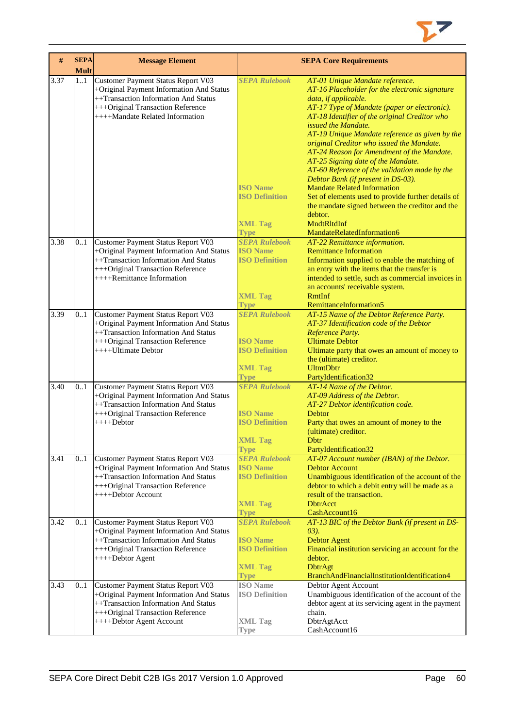

| $\#$ | <b>SEPA</b><br><b>Mult</b> | <b>Message Element</b>                                                                                                                                                                         |                                                                                                   | <b>SEPA Core Requirements</b>                                                                                                                                                                                                                                                                                                                                                                                                                                                                                                                                                                                                                                                        |
|------|----------------------------|------------------------------------------------------------------------------------------------------------------------------------------------------------------------------------------------|---------------------------------------------------------------------------------------------------|--------------------------------------------------------------------------------------------------------------------------------------------------------------------------------------------------------------------------------------------------------------------------------------------------------------------------------------------------------------------------------------------------------------------------------------------------------------------------------------------------------------------------------------------------------------------------------------------------------------------------------------------------------------------------------------|
| 3.37 | 11                         | Customer Payment Status Report V03<br>+Original Payment Information And Status<br>++Transaction Information And Status<br>+++Original Transaction Reference<br>++++Mandate Related Information | <b>SEPA Rulebook</b><br><b>ISO Name</b><br><b>ISO Definition</b>                                  | AT-01 Unique Mandate reference.<br>AT-16 Placeholder for the electronic signature<br>data, if applicable.<br>AT-17 Type of Mandate (paper or electronic).<br>AT-18 Identifier of the original Creditor who<br>issued the Mandate.<br>AT-19 Unique Mandate reference as given by the<br>original Creditor who issued the Mandate.<br>AT-24 Reason for Amendment of the Mandate.<br>AT-25 Signing date of the Mandate.<br>AT-60 Reference of the validation made by the<br>Debtor Bank (if present in DS-03).<br><b>Mandate Related Information</b><br>Set of elements used to provide further details of<br>the mandate signed between the creditor and the<br>debtor.<br>MndtRltdInf |
|      |                            |                                                                                                                                                                                                | <b>XML Tag</b><br><b>Type</b>                                                                     | MandateRelatedInformation6                                                                                                                                                                                                                                                                                                                                                                                                                                                                                                                                                                                                                                                           |
| 3.38 | 0.1                        | Customer Payment Status Report V03<br>+Original Payment Information And Status<br>++Transaction Information And Status<br>+++Original Transaction Reference<br>++++Remittance Information      | <b>SEPA Rulebook</b><br><b>ISO Name</b><br><b>ISO Definition</b><br><b>XML Tag</b>                | AT-22 Remittance information.<br><b>Remittance Information</b><br>Information supplied to enable the matching of<br>an entry with the items that the transfer is<br>intended to settle, such as commercial invoices in<br>an accounts' receivable system.<br><b>RmtInf</b>                                                                                                                                                                                                                                                                                                                                                                                                           |
| 3.39 | 0.1                        | Customer Payment Status Report V03                                                                                                                                                             | <b>Type</b><br><b>SEPA Rulebook</b>                                                               | RemittanceInformation5<br>AT-15 Name of the Debtor Reference Party.                                                                                                                                                                                                                                                                                                                                                                                                                                                                                                                                                                                                                  |
|      |                            | +Original Payment Information And Status<br>++Transaction Information And Status<br>+++Original Transaction Reference<br>$++++$ Ultimate Debtor                                                | <b>ISO</b> Name<br><b>ISO Definition</b><br><b>XML Tag</b><br><b>Type</b>                         | AT-37 Identification code of the Debtor<br>Reference Party.<br><b>Ultimate Debtor</b><br>Ultimate party that owes an amount of money to<br>the (ultimate) creditor.<br><b>UltmtDbtr</b><br>PartyIdentification32                                                                                                                                                                                                                                                                                                                                                                                                                                                                     |
| 3.40 | 0.1                        | Customer Payment Status Report V03                                                                                                                                                             | <b>SEPA Rulebook</b>                                                                              | AT-14 Name of the Debtor.                                                                                                                                                                                                                                                                                                                                                                                                                                                                                                                                                                                                                                                            |
|      |                            | +Original Payment Information And Status<br>++Transaction Information And Status<br>+++Original Transaction Reference<br>$+++Debtor$                                                           | <b>ISO Name</b><br><b>ISO Definition</b><br><b>XML Tag</b><br><b>Type</b>                         | AT-09 Address of the Debtor.<br>AT-27 Debtor identification code.<br>Debtor<br>Party that owes an amount of money to the<br>(ultimate) creditor.<br>Dbtr<br>PartyIdentification32                                                                                                                                                                                                                                                                                                                                                                                                                                                                                                    |
| 3.41 | 0.1                        | Customer Payment Status Report V03<br>+Original Payment Information And Status<br>++Transaction Information And Status<br>+++Original Transaction Reference<br>++++Debtor Account              | <b>SEPA Rulebook</b><br><b>ISO</b> Name<br><b>ISO Definition</b><br><b>XML Tag</b><br><b>Type</b> | AT-07 Account number (IBAN) of the Debtor.<br><b>Debtor Account</b><br>Unambiguous identification of the account of the<br>debtor to which a debit entry will be made as a<br>result of the transaction.<br><b>DbtrAcct</b><br>CashAccount16                                                                                                                                                                                                                                                                                                                                                                                                                                         |
| 3.42 | 0.1                        | Customer Payment Status Report V03<br>+Original Payment Information And Status<br>++Transaction Information And Status<br>+++Original Transaction Reference<br>++++Debtor Agent                | <b>SEPA Rulebook</b><br><b>ISO</b> Name<br><b>ISO Definition</b><br><b>XML Tag</b><br><b>Type</b> | AT-13 BIC of the Debtor Bank (if present in DS-<br>$(03)$ .<br><b>Debtor Agent</b><br>Financial institution servicing an account for the<br>debtor.<br><b>DbtrAgt</b><br>BranchAndFinancialInstitutionIdentification4                                                                                                                                                                                                                                                                                                                                                                                                                                                                |
| 3.43 | 01                         | Customer Payment Status Report V03<br>+Original Payment Information And Status<br>++Transaction Information And Status<br>+++Original Transaction Reference<br>++++Debtor Agent Account        | <b>ISO</b> Name<br><b>ISO Definition</b><br><b>XML Tag</b><br>Type                                | Debtor Agent Account<br>Unambiguous identification of the account of the<br>debtor agent at its servicing agent in the payment<br>chain.<br>DbtrAgtAcct<br>CashAccount16                                                                                                                                                                                                                                                                                                                                                                                                                                                                                                             |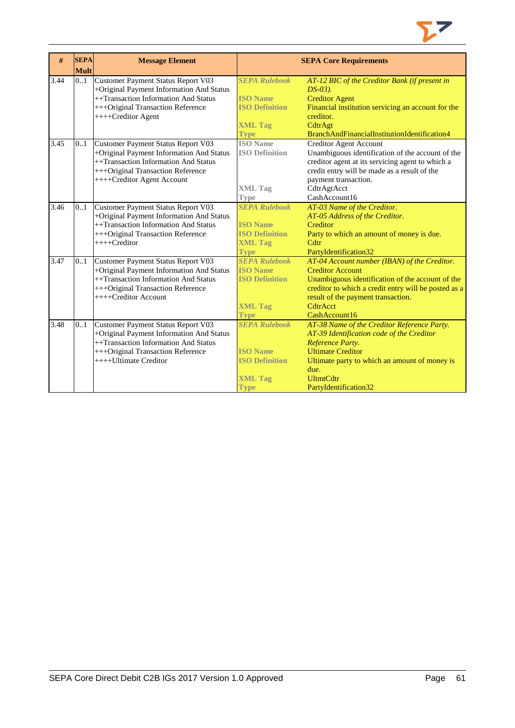

| #    | <b>SEPA</b> | <b>Message Element</b>                    |                       | <b>SEPA Core Requirements</b>                        |
|------|-------------|-------------------------------------------|-----------------------|------------------------------------------------------|
|      | <b>Mult</b> |                                           |                       |                                                      |
| 3.44 | 0.1         | <b>Customer Payment Status Report V03</b> | <b>SEPA Rulebook</b>  | AT-12 BIC of the Creditor Bank (if present in        |
|      |             | +Original Payment Information And Status  |                       | $DS-03$ ).                                           |
|      |             | ++Transaction Information And Status      | <b>ISO</b> Name       | <b>Creditor Agent</b>                                |
|      |             | +++Original Transaction Reference         | <b>ISO Definition</b> | Financial institution servicing an account for the   |
|      |             | ++++Creditor Agent                        |                       | creditor.                                            |
|      |             |                                           | <b>XML Tag</b>        | CdtrAgt                                              |
|      |             |                                           | Type                  | BranchAndFinancialInstitutionIdentification4         |
| 3.45 | 01          | Customer Payment Status Report V03        | <b>ISO</b> Name       | <b>Creditor Agent Account</b>                        |
|      |             | +Original Payment Information And Status  | <b>ISO Definition</b> | Unambiguous identification of the account of the     |
|      |             | ++Transaction Information And Status      |                       | creditor agent at its servicing agent to which a     |
|      |             | +++Original Transaction Reference         |                       | credit entry will be made as a result of the         |
|      |             | ++++Creditor Agent Account                |                       | payment transaction.                                 |
|      |             |                                           | <b>XML Tag</b>        | CdtrAgtAcct                                          |
|      |             |                                           | Type                  | CashAccount16                                        |
| 3.46 | 0.1         | Customer Payment Status Report V03        | <b>SEPA Rulebook</b>  | AT-03 Name of the Creditor.                          |
|      |             | +Original Payment Information And Status  |                       | AT-05 Address of the Creditor.                       |
|      |             | ++Transaction Information And Status      | <b>ISO</b> Name       | Creditor                                             |
|      |             | +++Original Transaction Reference         | <b>ISO Definition</b> | Party to which an amount of money is due.            |
|      |             | ++++Creditor                              | <b>XML Tag</b>        | Cdtr                                                 |
|      |             |                                           | <b>Type</b>           | PartyIdentification32                                |
| 3.47 | 01          | Customer Payment Status Report V03        | <b>SEPA Rulebook</b>  | AT-04 Account number (IBAN) of the Creditor.         |
|      |             | +Original Payment Information And Status  | <b>ISO</b> Name       | <b>Creditor Account</b>                              |
|      |             | ++Transaction Information And Status      | <b>ISO Definition</b> | Unambiguous identification of the account of the     |
|      |             | +++Original Transaction Reference         |                       | creditor to which a credit entry will be posted as a |
|      |             | ++++Creditor Account                      |                       | result of the payment transaction.                   |
|      |             |                                           | <b>XML Tag</b>        | CdtrAcct                                             |
|      |             |                                           | Type                  | CashAccount16                                        |
| 3.48 | 01          | Customer Payment Status Report V03        | <b>SEPA Rulebook</b>  | AT-38 Name of the Creditor Reference Party.          |
|      |             | +Original Payment Information And Status  |                       | AT-39 Identification code of the Creditor            |
|      |             | ++Transaction Information And Status      |                       | Reference Party.                                     |
|      |             | +++Original Transaction Reference         | <b>ISO</b> Name       | <b>Ultimate Creditor</b>                             |
|      |             | ++++Ultimate Creditor                     | <b>ISO Definition</b> | Ultimate party to which an amount of money is        |
|      |             |                                           |                       | due.                                                 |
|      |             |                                           | <b>XML Tag</b>        | <b>UltmtCdtr</b>                                     |
|      |             |                                           | Type                  | PartyIdentification32                                |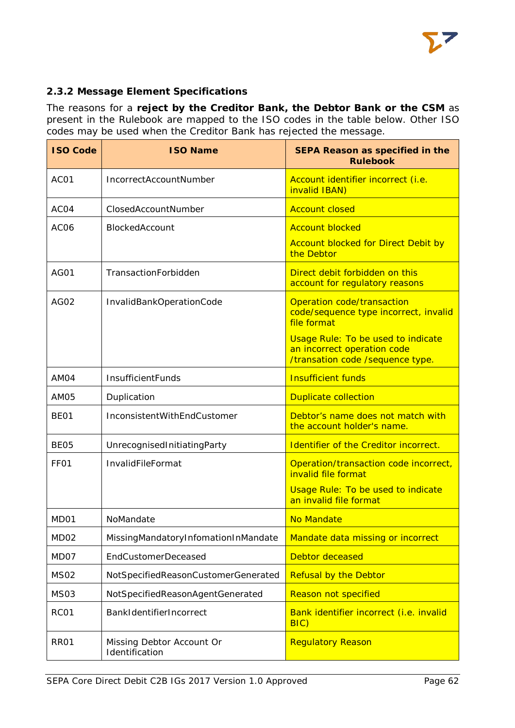

# <span id="page-62-0"></span>**2.3.2 Message Element Specifications**

The reasons for a **reject by the Creditor Bank, the Debtor Bank or the CSM** as present in the Rulebook are mapped to the ISO codes in the table below. Other ISO codes may be used when the Creditor Bank has rejected the message.

| <b>ISO Code</b>  | <b>ISO Name</b>                             | <b>SEPA Reason as specified in the</b><br><b>Rulebook</b>                                             |
|------------------|---------------------------------------------|-------------------------------------------------------------------------------------------------------|
| AC01             | IncorrectAccountNumber                      | Account identifier incorrect (i.e.<br>invalid IBAN)                                                   |
| ACO4             | ClosedAccountNumber                         | <b>Account closed</b>                                                                                 |
| AC <sub>06</sub> | BlockedAccount                              | <b>Account blocked</b>                                                                                |
|                  |                                             | <b>Account blocked for Direct Debit by</b><br>the Debtor                                              |
| <b>AG01</b>      | TransactionForbidden                        | Direct debit forbidden on this<br>account for regulatory reasons                                      |
| AG02             | InvalidBankOperationCode                    | Operation code/transaction<br>code/sequence type incorrect, invalid<br>file format                    |
|                  |                                             | Usage Rule: To be used to indicate<br>an incorrect operation code<br>/transation code /sequence type. |
| AM04             | InsufficientFunds                           | <b>Insufficient funds</b>                                                                             |
| AM05             | Duplication                                 | <b>Duplicate collection</b>                                                                           |
| BE <sub>01</sub> | InconsistentWithEndCustomer                 | Debtor's name does not match with<br>the account holder's name.                                       |
| BE <sub>05</sub> | UnrecognisedInitiatingParty                 | Identifier of the Creditor incorrect.                                                                 |
| FF <sub>O1</sub> | InvalidFileFormat                           | Operation/transaction code incorrect,<br>invalid file format                                          |
|                  |                                             | <b>Usage Rule: To be used to indicate</b><br>an invalid file format                                   |
| MD <sub>01</sub> | NoMandate                                   | <b>No Mandate</b>                                                                                     |
| MD02             | MissingMandatoryInfomationInMandate         | Mandate data missing or incorrect                                                                     |
| MD07             | <b>EndCustomerDeceased</b>                  | Debtor deceased                                                                                       |
| <b>MS02</b>      | NotSpecifiedReasonCustomerGenerated         | <b>Refusal by the Debtor</b>                                                                          |
| <b>MS03</b>      | NotSpecifiedReasonAgentGenerated            | <b>Reason not specified</b>                                                                           |
| RC01             | BankIdentifierIncorrect                     | Bank identifier incorrect (i.e. invalid<br>BIC)                                                       |
| <b>RR01</b>      | Missing Debtor Account Or<br>Identification | <b>Regulatory Reason</b>                                                                              |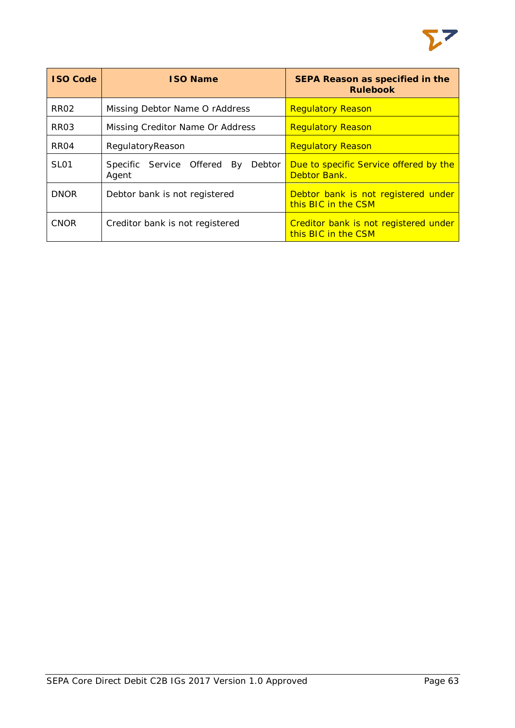

| <b>ISO Code</b>  | <b>ISO Name</b>                                   | SEPA Reason as specified in the<br><b>Rulebook</b>           |
|------------------|---------------------------------------------------|--------------------------------------------------------------|
| RR <sub>02</sub> | Missing Debtor Name O rAddress                    | <b>Regulatory Reason</b>                                     |
| RR <sub>03</sub> | Missing Creditor Name Or Address                  | <b>Regulatory Reason</b>                                     |
| RR <sub>04</sub> | RegulatoryReason                                  | <b>Regulatory Reason</b>                                     |
| SL <sub>01</sub> | By<br>Specific Service Offered<br>Debtor<br>Agent | Due to specific Service offered by the<br>Debtor Bank.       |
| <b>DNOR</b>      | Debtor bank is not registered                     | Debtor bank is not registered under<br>this BIC in the CSM   |
| <b>CNOR</b>      | Creditor bank is not registered                   | Creditor bank is not registered under<br>this BIC in the CSM |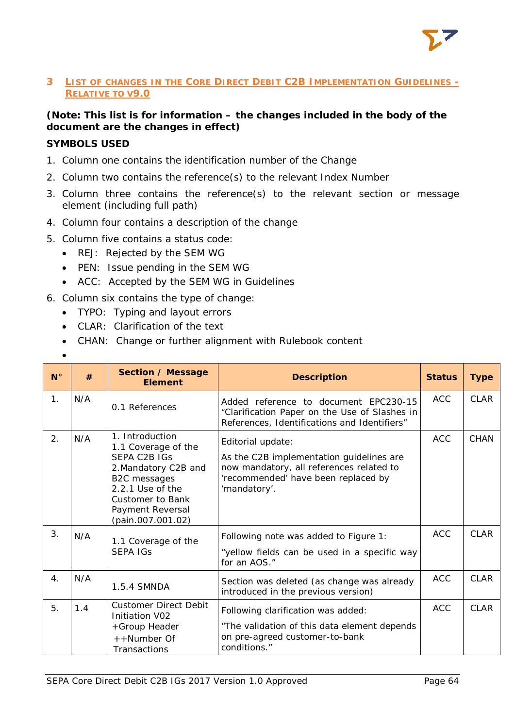

# <span id="page-64-0"></span>**3 LIST OF CHANGES IN THE CORE DIRECT DEBIT C2B IMPLEMENTATION GUIDELINES - RELATIVE TO V9.0**

# **(Note: This list is for information – the changes included in the body of the document are the changes in effect)**

# **SYMBOLS USED**

- 1. Column one contains the identification number of the Change
- 2. Column two contains the reference(s) to the relevant Index Number
- 3. Column three contains the reference(s) to the relevant section or message element (including full path)
- 4. Column four contains a description of the change
- 5. Column five contains a status code:
	- REJ: Rejected by the SEM WG
	- PEN: Issue pending in the SEM WG
	- ACC: Accepted by the SEM WG in Guidelines
- 6. Column six contains the type of change:
	- TYPO: Typing and layout errors
	- CLAR: Clarification of the text
	- CHAN: Change or further alignment with Rulebook content
	- •

| $N^{\circ}$      | #   | <b>Section / Message</b><br><b>Element</b>                                                                                                                                                    | <b>Description</b>                                                                                                                                               | <b>Status</b> | <b>Type</b> |
|------------------|-----|-----------------------------------------------------------------------------------------------------------------------------------------------------------------------------------------------|------------------------------------------------------------------------------------------------------------------------------------------------------------------|---------------|-------------|
| $\mathbf{1}$ .   | N/A | 0.1 References                                                                                                                                                                                | Added reference to document EPC230-15<br>"Clarification Paper on the Use of Slashes in<br>References, Identifications and Identifiers"                           | <b>ACC</b>    | <b>CLAR</b> |
| 2.               | N/A | 1. Introduction<br>1.1 Coverage of the<br><b>SEPA C2B IGS</b><br>2. Mandatory C2B and<br>B2C messages<br>2.2.1 Use of the<br><b>Customer to Bank</b><br>Payment Reversal<br>(pain.007.001.02) | Editorial update:<br>As the C2B implementation guidelines are<br>now mandatory, all references related to<br>'recommended' have been replaced by<br>'mandatory'. | <b>ACC</b>    | <b>CHAN</b> |
| 3.               | N/A | 1.1 Coverage of the<br><b>SEPA IGS</b>                                                                                                                                                        | Following note was added to Figure 1:<br>"yellow fields can be used in a specific way<br>for an AOS."                                                            | <b>ACC</b>    | <b>CLAR</b> |
| $\overline{4}$ . | N/A | 1.5.4 SMNDA                                                                                                                                                                                   | Section was deleted (as change was already<br>introduced in the previous version)                                                                                | <b>ACC</b>    | <b>CLAR</b> |
| 5.               | 1.4 | <b>Customer Direct Debit</b><br>Initiation V02<br>+Group Header<br>++Number Of<br>Transactions                                                                                                | Following clarification was added:<br>"The validation of this data element depends<br>on pre-agreed customer-to-bank<br>conditions."                             | <b>ACC</b>    | <b>CLAR</b> |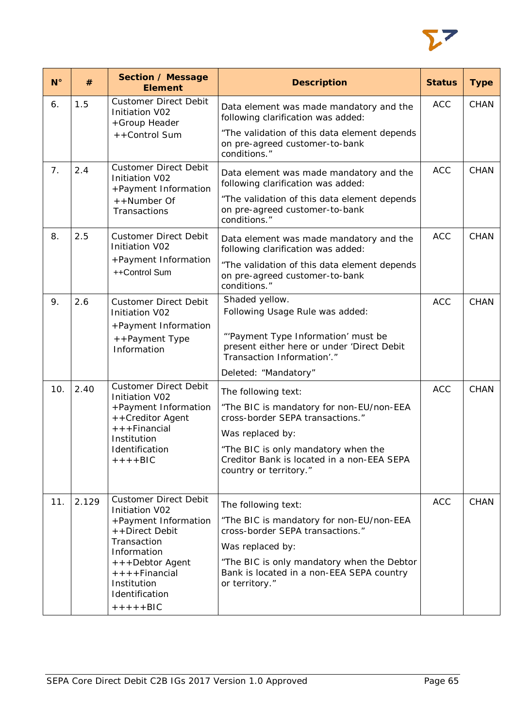

| $N^{\circ}$ | #                                                                                      | Section / Message<br><b>Element</b>                                                                                                                           | <b>Description</b>                                                                                              | <b>Status</b> | <b>Type</b> |
|-------------|----------------------------------------------------------------------------------------|---------------------------------------------------------------------------------------------------------------------------------------------------------------|-----------------------------------------------------------------------------------------------------------------|---------------|-------------|
| 6.          | 1.5                                                                                    | <b>Customer Direct Debit</b><br>Initiation V02<br>+Group Header                                                                                               | Data element was made mandatory and the<br>following clarification was added:                                   | <b>ACC</b>    | <b>CHAN</b> |
|             |                                                                                        | ++Control Sum                                                                                                                                                 | "The validation of this data element depends<br>on pre-agreed customer-to-bank<br>conditions."                  |               |             |
| 7.          | 2.4                                                                                    | <b>Customer Direct Debit</b><br><b>Initiation V02</b><br>+Payment Information                                                                                 | Data element was made mandatory and the<br>following clarification was added:                                   | <b>ACC</b>    | <b>CHAN</b> |
|             | ++Number Of<br>Transactions                                                            |                                                                                                                                                               | "The validation of this data element depends<br>on pre-agreed customer-to-bank<br>conditions."                  |               |             |
| 8.          | 2.5                                                                                    | <b>Customer Direct Debit</b><br><b>Initiation V02</b><br>+Payment Information<br>++Control Sum                                                                | Data element was made mandatory and the<br>following clarification was added:                                   | <b>ACC</b>    | <b>CHAN</b> |
|             |                                                                                        |                                                                                                                                                               | "The validation of this data element depends<br>on pre-agreed customer-to-bank<br>conditions."                  |               |             |
| 9.          | 2.6                                                                                    | <b>Customer Direct Debit</b><br>Initiation V02                                                                                                                | Shaded yellow.<br>Following Usage Rule was added:                                                               | <b>ACC</b>    | <b>CHAN</b> |
|             |                                                                                        | +Payment Information<br>++Payment Type<br>Information                                                                                                         | "'Payment Type Information' must be<br>present either here or under 'Direct Debit<br>Transaction Information'." |               |             |
|             |                                                                                        |                                                                                                                                                               | Deleted: "Mandatory"                                                                                            |               |             |
| 10.         | 2.40<br>Initiation V02<br>$++$ Financial<br>Institution<br>Identification<br>$++++BIC$ | <b>Customer Direct Debit</b>                                                                                                                                  | The following text:                                                                                             | <b>ACC</b>    | <b>CHAN</b> |
|             |                                                                                        | +Payment Information<br>++Creditor Agent                                                                                                                      | "The BIC is mandatory for non-EU/non-EEA<br>cross-border SEPA transactions."                                    |               |             |
|             |                                                                                        |                                                                                                                                                               | Was replaced by:                                                                                                |               |             |
|             |                                                                                        |                                                                                                                                                               | "The BIC is only mandatory when the<br>Creditor Bank is located in a non-EEA SEPA<br>country or territory."     |               |             |
| 11.         | 2.129                                                                                  | <b>Customer Direct Debit</b>                                                                                                                                  | The following text:                                                                                             | <b>ACC</b>    | CHAN        |
|             |                                                                                        | Initiation V02<br>+Payment Information<br>++Direct Debit<br>Transaction<br>Information<br>+++Debtor Agent<br>$++++Finencial$<br>Institution<br>Identification | "The BIC is mandatory for non-EU/non-EEA                                                                        |               |             |
|             |                                                                                        |                                                                                                                                                               | cross-border SEPA transactions."                                                                                |               |             |
|             |                                                                                        |                                                                                                                                                               | Was replaced by:                                                                                                |               |             |
|             |                                                                                        |                                                                                                                                                               | "The BIC is only mandatory when the Debtor<br>Bank is located in a non-EEA SEPA country<br>or territory."       |               |             |
|             |                                                                                        | $+++++BIC$                                                                                                                                                    |                                                                                                                 |               |             |